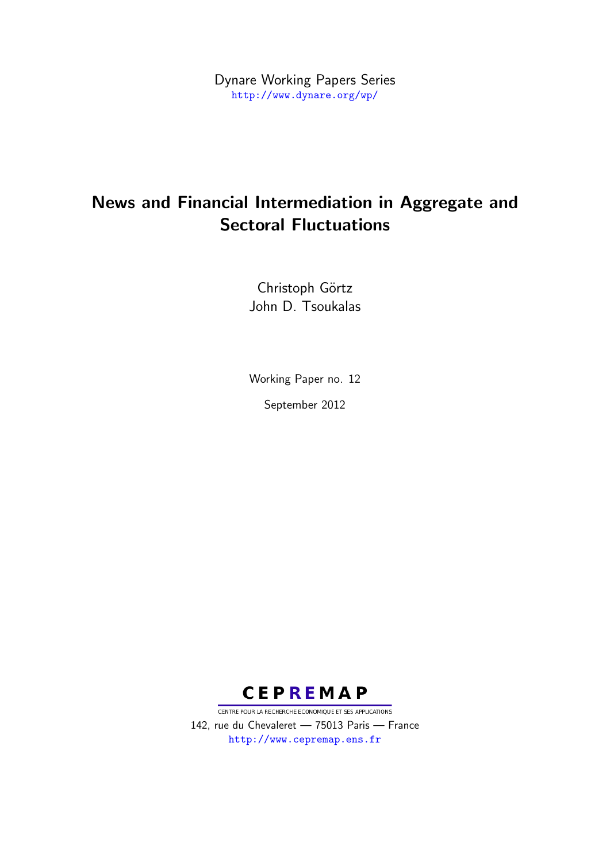Dynare Working Papers Series <http://www.dynare.org/wp/>

# News and Financial Intermediation in Aggregate and Sectoral Fluctuations

Christoph Görtz John D. Tsoukalas

Working Paper no. 12 September 2012



CENTRE POUR LA RECHERCHE ECONOMIQUE ET SES APPLICATIONS 142, rue du Chevaleret — 75013 Paris — France <http://www.cepremap.ens.fr>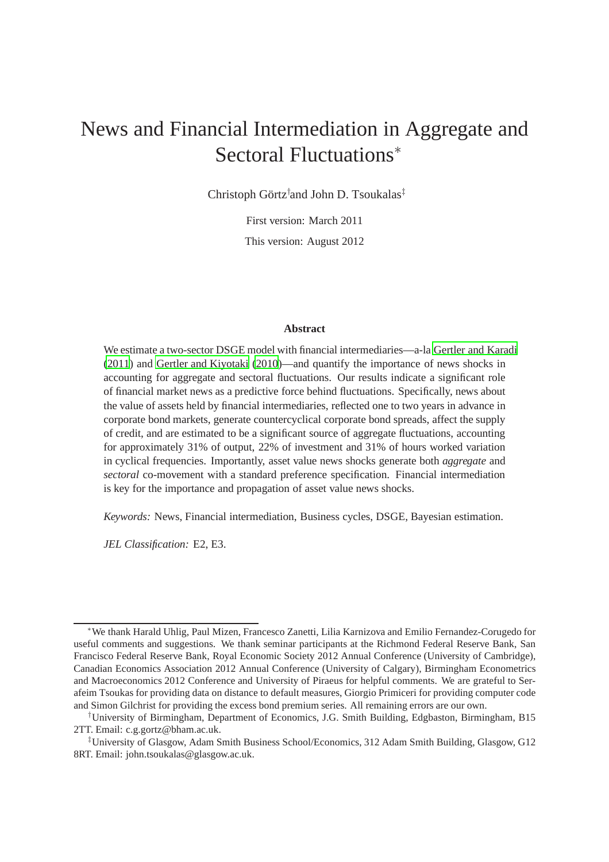# News and Financial Intermediation in Aggregate and Sectoral Fluctuations<sup>∗</sup>

Christoph Görtz† and John D. Tsoukalas‡

First version: March 2011

This version: August 2012

#### **Abstract**

We estimate a two-sector DSGE model with financial intermediaries—a-la [Gertler and Karadi](#page-39-0) [\(2011](#page-39-0)) and [Gertler and Kiyotaki \(2010\)](#page-39-1)—and quantify the importance of news shocks in accounting for aggregate and sectoral fluctuations. Our results indicate a significant role of financial market news as a predictive force behind fluctuations. Specifically, news about the value of assets held by financial intermediaries, reflected one to two years in advance in corporate bond markets, generate countercyclical corporate bond spreads, affect the supply of credit, and are estimated to be a significant source of aggregate fluctuations, accounting for approximately 31% of output, 22% of investment and 31% of hours worked variation in cyclical frequencies. Importantly, asset value news shocks generate both *aggregate* and *sectoral* co-movement with a standard preference specification. Financial intermediation is key for the importance and propagation of asset value news shocks.

*Keywords:* News, Financial intermediation, Business cycles, DSGE, Bayesian estimation.

*JEL Classification:* E2, E3.

<sup>∗</sup>We thank Harald Uhlig, Paul Mizen, Francesco Zanetti, Lilia Karnizova and Emilio Fernandez-Corugedo for useful comments and suggestions. We thank seminar participants at the Richmond Federal Reserve Bank, San Francisco Federal Reserve Bank, Royal Economic Society 2012 Annual Conference (University of Cambridge), Canadian Economics Association 2012 Annual Conference (University of Calgary), Birmingham Econometrics and Macroeconomics 2012 Conference and University of Piraeus for helpful comments. We are grateful to Serafeim Tsoukas for providing data on distance to default measures, Giorgio Primiceri for providing computer code and Simon Gilchrist for providing the excess bond premium series. All remaining errors are our own.

<sup>†</sup>University of Birmingham, Department of Economics, J.G. Smith Building, Edgbaston, Birmingham, B15 2TT. Email: c.g.gortz@bham.ac.uk.

<sup>‡</sup>University of Glasgow, Adam Smith Business School/Economics, 312 Adam Smith Building, Glasgow, G12 8RT. Email: john.tsoukalas@glasgow.ac.uk.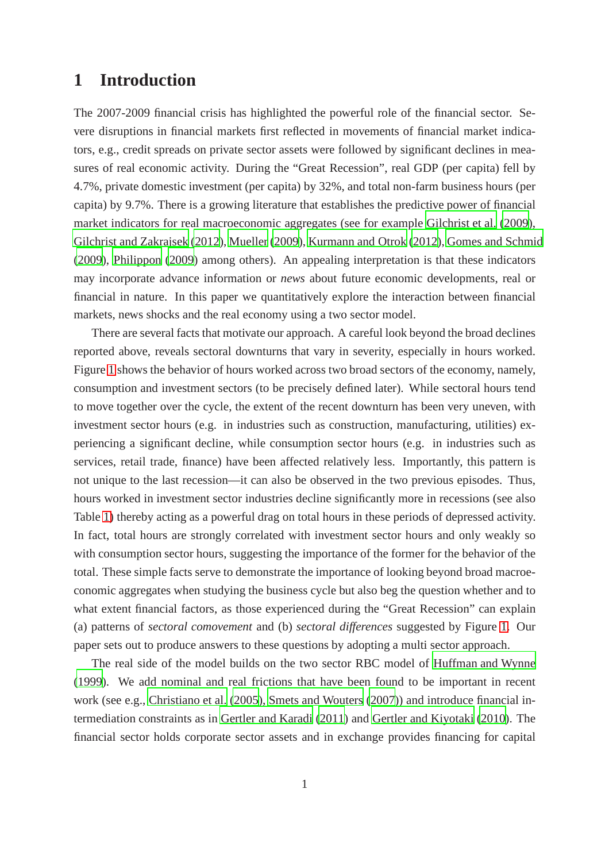# **1 Introduction**

The 2007-2009 financial crisis has highlighted the powerful role of the financial sector. Severe disruptions in financial markets first reflected in movements of financial market indicators, e.g., credit spreads on private sector assets were followed by significant declines in measures of real economic activity. During the "Great Recession", real GDP (per capita) fell by 4.7%, private domestic investment (per capita) by 32%, and total non-farm business hours (per capita) by 9.7%. There is a growing literature that establishes the predictive power of financial market indicators for real macroeconomic aggregates (see for example [Gilchrist et al. \(2009](#page-39-2)), [Gilchrist and Zakrajsek \(2012](#page-39-3)), [Mueller](#page-41-0) [\(2009\)](#page-41-0), [Kurmann and Otrok](#page-41-1) [\(2012\)](#page-41-1), [Gomes and Schmid](#page-39-4) [\(2009\)](#page-39-4), [Philippon \(2009](#page-41-2)) among others). An appealing interpretation is that these indicators may incorporate advance information or *news* about future economic developments, real or financial in nature. In this paper we quantitatively explore the interaction between financial markets, news shocks and the real economy using a two sector model.

There are several facts that motivate our approach. A careful look beyond the broad declines reported above, reveals sectoral downturns that vary in severity, especially in hours worked. Figure [1](#page-6-0) shows the behavior of hours worked across two broad sectors of the economy, namely, consumption and investment sectors (to be precisely defined later). While sectoral hours tend to move together over the cycle, the extent of the recent downturn has been very uneven, with investment sector hours (e.g. in industries such as construction, manufacturing, utilities) experiencing a significant decline, while consumption sector hours (e.g. in industries such as services, retail trade, finance) have been affected relatively less. Importantly, this pattern is not unique to the last recession—it can also be observed in the two previous episodes. Thus, hours worked in investment sector industries decline significantly more in recessions (see also Table [1\)](#page-6-1) thereby acting as a powerful drag on total hours in these periods of depressed activity. In fact, total hours are strongly correlated with investment sector hours and only weakly so with consumption sector hours, suggesting the importance of the former for the behavior of the total. These simple facts serve to demonstrate the importance of looking beyond broad macroeconomic aggregates when studying the business cycle but also beg the question whether and to what extent financial factors, as those experienced during the "Great Recession" can explain (a) patterns of *sectoral comovement* and (b) *sectoral differences* suggested by Figure [1.](#page-6-0) Our paper sets out to produce answers to these questions by adopting a multi sector approach.

The real side of the model builds on the two sector RBC model of [Huffman and Wynne](#page-40-0) [\(1999\)](#page-40-0). We add nominal and real frictions that have been found to be important in recent work (see e.g., [Christiano et al.](#page-38-0) [\(2005\)](#page-38-0), [Smets and Wouters](#page-41-3) [\(2007\)](#page-41-3)) and introduce financial intermediation constraints as in [Gertler and Karadi \(2011](#page-39-0)) and [Gertler and Kiyotaki](#page-39-1) [\(2010\)](#page-39-1). The financial sector holds corporate sector assets and in exchange provides financing for capital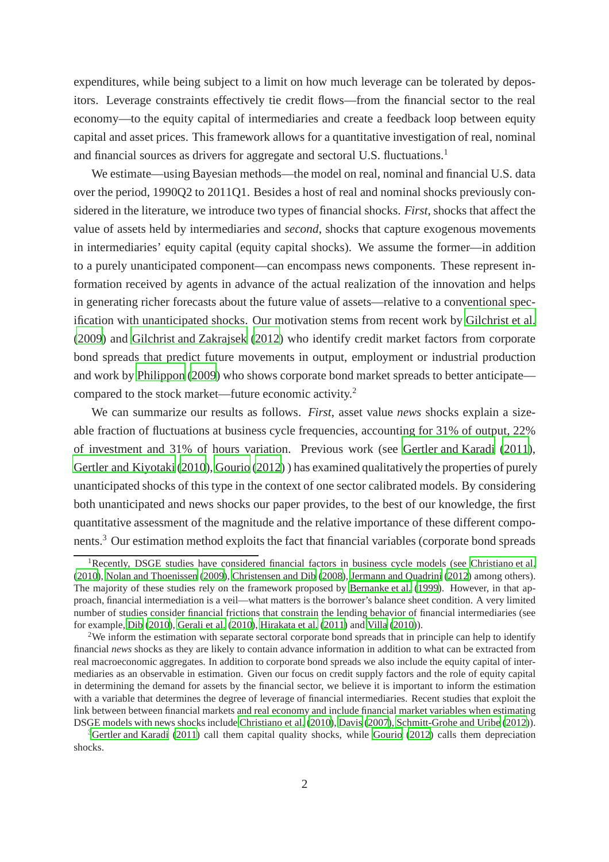expenditures, while being subject to a limit on how much leverage can be tolerated by depositors. Leverage constraints effectively tie credit flows—from the financial sector to the real economy—to the equity capital of intermediaries and create a feedback loop between equity capital and asset prices. This framework allows for a quantitative investigation of real, nominal and financial sources as drivers for aggregate and sectoral U.S. fluctuations.<sup>1</sup>

We estimate—using Bayesian methods—the model on real, nominal and financial U.S. data over the period, 1990Q2 to 2011Q1. Besides a host of real and nominal shocks previously considered in the literature, we introduce two types of financial shocks. *First*, shocks that affect the value of assets held by intermediaries and *second*, shocks that capture exogenous movements in intermediaries' equity capital (equity capital shocks). We assume the former—in addition to a purely unanticipated component—can encompass news components. These represent information received by agents in advance of the actual realization of the innovation and helps in generating richer forecasts about the future value of assets—relative to a conventional specification with unanticipated shocks. Our motivation stems from recent work by [Gilchrist et al.](#page-39-2) [\(2009\)](#page-39-2) and [Gilchrist and Zakrajsek \(2012](#page-39-3)) who identify credit market factors from corporate bond spreads that predict future movements in output, employment or industrial production and work by [Philippon \(2009](#page-41-2)) who shows corporate bond market spreads to better anticipate compared to the stock market—future economic activity.<sup>2</sup>

We can summarize our results as follows. *First*, asset value *news* shocks explain a sizeable fraction of fluctuations at business cycle frequencies, accounting for 31% of output, 22% of investment and 31% of hours variation. Previous work (see [Gertler and Karadi \(2011](#page-39-0)), [Gertler and Kiyotaki \(2010](#page-39-1)), [Gourio](#page-40-1) [\(2012\)](#page-40-1) ) has examined qualitatively the properties of purely unanticipated shocks of this type in the context of one sector calibrated models. By considering both unanticipated and news shocks our paper provides, to the best of our knowledge, the first quantitative assessment of the magnitude and the relative importance of these different components.<sup>3</sup> Our estimation method exploits the fact that financial variables (corporate bond spreads

<sup>&</sup>lt;sup>1</sup>Recently, DSGE studies have considered financial factors in business cycle models (see [Christiano et al.](#page-38-1) [\(2010\)](#page-38-1), [Nolan and Thoenissen](#page-41-4) [\(2009\)](#page-41-4), [Christensen and Dib](#page-38-2) [\(2008\)](#page-38-2), [Jermann and Quadrini](#page-40-2) [\(2012\)](#page-40-2) among others). The majority of these studies rely on the framework proposed by [Bernanke et al. \(1999\)](#page-38-3). However, in that approach, financial intermediation is a veil—what matters is the borrower's balance sheet condition. A very limited number of studies consider financial frictions that constrain the lending behavior of financial intermediaries (see for example, [Dib \(2010\)](#page-38-4), [Gerali et al. \(2010](#page-39-5)), [Hirakata et al. \(2011\)](#page-40-3) and [Villa \(2010](#page-42-0))).

<sup>&</sup>lt;sup>2</sup>We inform the estimation with separate sectoral corporate bond spreads that in principle can help to identify financial *news* shocks as they are likely to contain advance information in addition to what can be extracted from real macroeconomic aggregates. In addition to corporate bond spreads we also include the equity capital of intermediaries as an observable in estimation. Given our focus on credit supply factors and the role of equity capital in determining the demand for assets by the financial sector, we believe it is important to inform the estimation with a variable that determines the degree of leverage of financial intermediaries. Recent studies that exploit the link between between financial markets and real economy and include financial market variables when estimating DSGE models with news shocks include [Christiano et al. \(2010\)](#page-38-1), [Davis](#page-38-5) [\(2007\)](#page-38-5), [Schmitt-Grohe and Uribe \(2012](#page-41-5))).

 $3$ [Gertler and Karadi \(2011](#page-39-0)) call them capital quality shocks, while [Gourio \(2012](#page-40-1)) calls them depreciation shocks.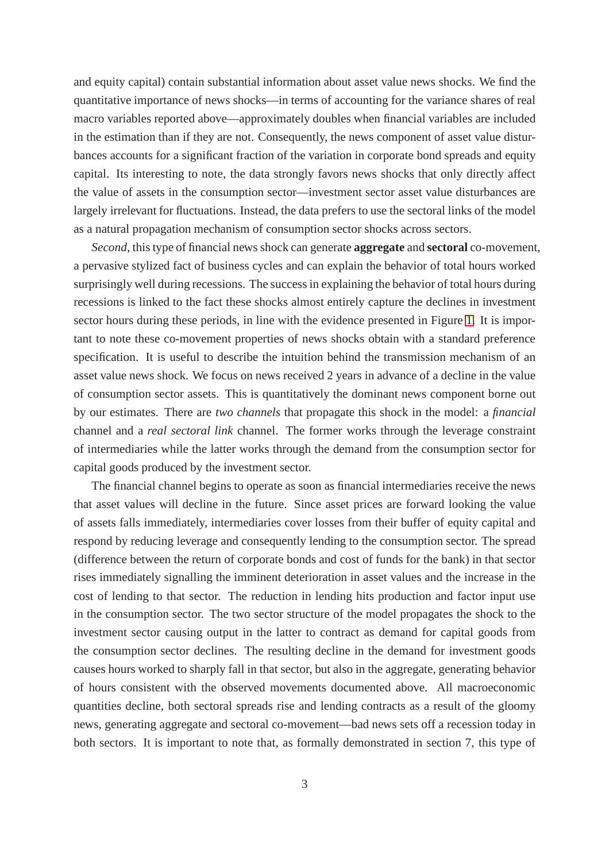and equity capital) contain substantial information about asset value news shocks. We find the quantitative importance of news shocks—in terms of accounting for the variance shares of real macro variables reported above—approximately doubles when financial variables are included in the estimation than if they are not. Consequently, the news component of asset value disturbances accounts for a significant fraction of the variation in corporate bond spreads and equity capital. Its interesting to note, the data strongly favors news shocks that only directly affect the value of assets in the consumption sector—investment sector asset value disturbances are largely irrelevant for fluctuations. Instead, the data prefers to use the sectoral links of the model as a natural propagation mechanism of consumption sector shocks across sectors.

*Second*, this type of financial news shock can generate **aggregate** and **sectoral** co-movement, a pervasive stylized fact of business cycles and can explain the behavior of total hours worked surprisingly well during recessions. The success in explaining the behavior of total hours during recessions is linked to the fact these shocks almost entirely capture the declines in investment sector hours during these periods, in line with the evidence presented in Figure [1.](#page-6-0) It is important to note these co-movement properties of news shocks obtain with a standard preference specification. It is useful to describe the intuition behind the transmission mechanism of an asset value news shock. We focus on news received 2 years in advance of a decline in the value of consumption sector assets. This is quantitatively the dominant news component borne out by our estimates. There are *two channels* that propagate this shock in the model: a *financial* channel and a *real sectoral link* channel. The former works through the leverage constraint of intermediaries while the latter works through the demand from the consumption sector for capital goods produced by the investment sector.

The financial channel begins to operate as soon as financial intermediaries receive the news that asset values will decline in the future. Since asset prices are forward looking the value of assets falls immediately, intermediaries cover losses from their buffer of equity capital and respond by reducing leverage and consequently lending to the consumption sector. The spread (difference between the return of corporate bonds and cost of funds for the bank) in that sector rises immediately signalling the imminent deterioration in asset values and the increase in the cost of lending to that sector. The reduction in lending hits production and factor input use in the consumption sector. The two sector structure of the model propagates the shock to the investment sector causing output in the latter to contract as demand for capital goods from the consumption sector declines. The resulting decline in the demand for investment goods causes hours worked to sharply fall in that sector, but also in the aggregate, generating behavior of hours consistent with the observed movements documented above. All macroeconomic quantities decline, both sectoral spreads rise and lending contracts as a result of the gloomy news, generating aggregate and sectoral co-movement—bad news sets off a recession today in both sectors. It is important to note that, as formally demonstrated in section 7, this type of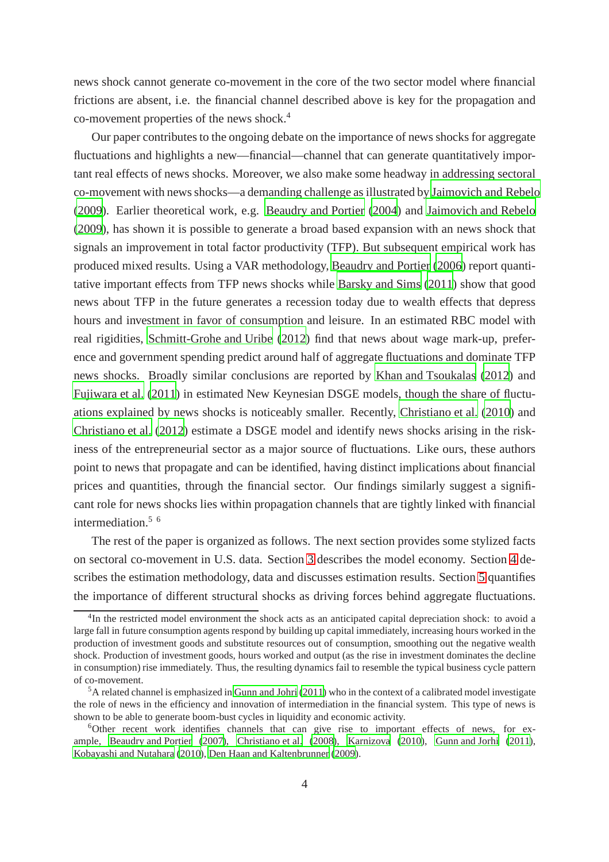news shock cannot generate co-movement in the core of the two sector model where financial frictions are absent, i.e. the financial channel described above is key for the propagation and co-movement properties of the news shock.<sup>4</sup>

Our paper contributes to the ongoing debate on the importance of news shocks for aggregate fluctuations and highlights a new—financial—channel that can generate quantitatively important real effects of news shocks. Moreover, we also make some headway in addressing sectoral co-movement with news shocks—a demanding challenge as illustrated by [Jaimovich and Rebelo](#page-40-4) [\(2009\)](#page-40-4). Earlier theoretical work, e.g. [Beaudry and Portier](#page-37-0) [\(2004](#page-37-0)) and [Jaimovich and Rebelo](#page-40-4) [\(2009\)](#page-40-4), has shown it is possible to generate a broad based expansion with an news shock that signals an improvement in total factor productivity (TFP). But subsequent empirical work has produced mixed results. Using a VAR methodology, [Beaudry and Portier \(2006](#page-37-1)) report quantitative important effects from TFP news shocks while [Barsky and Sims \(2011](#page-37-2)) show that good news about TFP in the future generates a recession today due to wealth effects that depress hours and investment in favor of consumption and leisure. In an estimated RBC model with real rigidities, [Schmitt-Grohe and Uribe](#page-41-5) [\(2012\)](#page-41-5) find that news about wage mark-up, preference and government spending predict around half of aggregate fluctuations and dominate TFP news shocks. Broadly similar conclusions are reported by [Khan and Tsoukalas](#page-41-6) [\(2012\)](#page-41-6) and [Fujiwara et al.](#page-39-6) [\(2011\)](#page-39-6) in estimated New Keynesian DSGE models, though the share of fluctuations explained by news shocks is noticeably smaller. Recently, [Christiano et al. \(2010](#page-38-1)) and [Christiano et al.](#page-38-6) [\(2012\)](#page-38-6) estimate a DSGE model and identify news shocks arising in the riskiness of the entrepreneurial sector as a major source of fluctuations. Like ours, these authors point to news that propagate and can be identified, having distinct implications about financial prices and quantities, through the financial sector. Our findings similarly suggest a significant role for news shocks lies within propagation channels that are tightly linked with financial intermediation. $5\,6$ 

The rest of the paper is organized as follows. The next section provides some stylized facts on sectoral co-movement in U.S. data. Section [3](#page-7-0) describes the model economy. Section [4](#page-20-0) describes the estimation methodology, data and discusses estimation results. Section [5](#page-23-0) quantifies the importance of different structural shocks as driving forces behind aggregate fluctuations.

<sup>&</sup>lt;sup>4</sup>In the restricted model environment the shock acts as an anticipated capital depreciation shock: to avoid a large fall in future consumption agents respond by building up capital immediately, increasing hours worked in the production of investment goods and substitute resources out of consumption, smoothing out the negative wealth shock. Production of investment goods, hours worked and output (as the rise in investment dominates the decline in consumption) rise immediately. Thus, the resulting dynamics fail to resemble the typical business cycle pattern of co-movement.

<sup>5</sup>A related channel is emphasized in [Gunn and Johri](#page-40-5) [\(2011\)](#page-40-5) who in the context of a calibrated model investigate the role of news in the efficiency and innovation of intermediation in the financial system. This type of news is shown to be able to generate boom-bust cycles in liquidity and economic activity.

<sup>6</sup>Other recent work identifies channels that can give rise to important effects of news, for example, [Beaudry and Portier \(2007\)](#page-38-7), [Christiano et al. \(2008\)](#page-38-8), [Karnizova](#page-40-6) [\(2010\)](#page-40-6), [Gunn and Jorhi](#page-40-7) [\(2011\)](#page-40-7), [Kobayashi and Nutahara \(2010\)](#page-41-7), [Den Haan and Kaltenbrunner \(2009\)](#page-38-9).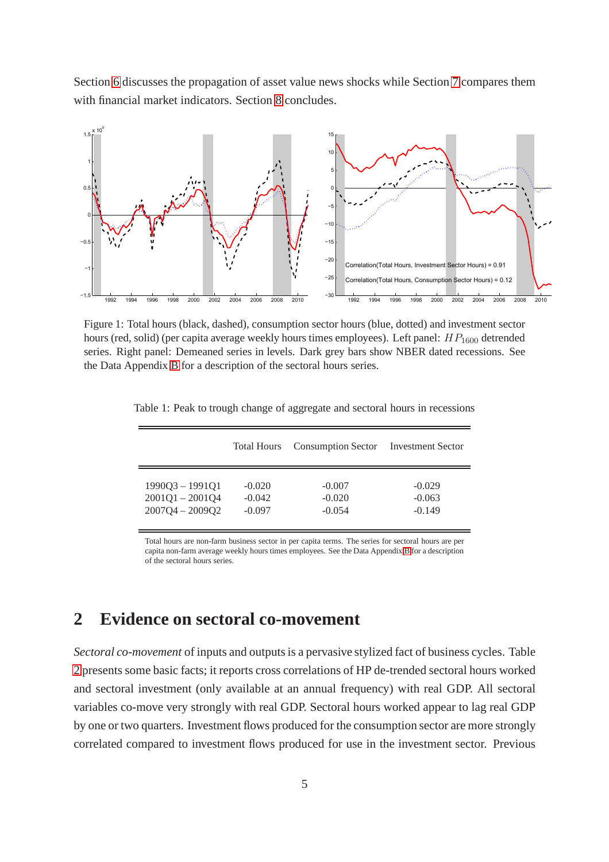Section [6](#page-29-0) discusses the propagation of asset value news shocks while Section [7](#page-32-0) compares them with financial market indicators. Section [8](#page-35-0) concludes.

<span id="page-6-0"></span>

Figure 1: Total hours (black, dashed), consumption sector hours (blue, dotted) and investment sector hours (red, solid) (per capita average weekly hours times employees). Left panel:  $HP_{1600}$  detrended series. Right panel: Demeaned series in levels. Dark grey bars show NBER dated recessions. See the Data Appendix [B](#page-58-0) for a description of the sectoral hours series.

|                   | Total Hours | <b>Consumption Sector</b> | <b>Investment Sector</b> |
|-------------------|-------------|---------------------------|--------------------------|
| $1990Q3 - 1991Q1$ | $-0.020$    | $-0.007$                  | $-0.029$                 |
| $2001Q1 - 2001Q4$ | $-0.042$    | $-0.020$                  | $-0.063$                 |
| $2007Q4 - 2009Q2$ | $-0.097$    | $-0.054$                  | $-0.149$                 |
|                   |             |                           |                          |

<span id="page-6-1"></span>Table 1: Peak to trough change of aggregate and sectoral hours in recessions

Total hours are non-farm business sector in per capita terms. The series for sectoral hours are per capita non-farm average weekly hours times employees. See the Data Appendix [B](#page-58-0) for a description of the sectoral hours series.

# **2 Evidence on sectoral co-movement**

*Sectoral co-movement* of inputs and outputs is a pervasive stylized fact of business cycles. Table [2](#page-7-1) presents some basic facts; it reports cross correlations of HP de-trended sectoral hours worked and sectoral investment (only available at an annual frequency) with real GDP. All sectoral variables co-move very strongly with real GDP. Sectoral hours worked appear to lag real GDP by one or two quarters. Investment flows produced for the consumption sector are more strongly correlated compared to investment flows produced for use in the investment sector. Previous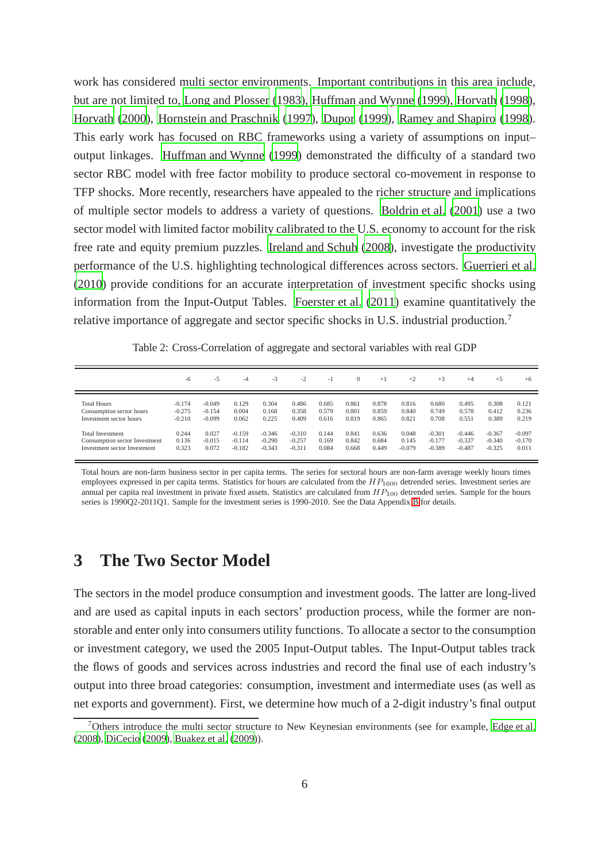work has considered multi sector environments. Important contributions in this area include, but are not limited to, [Long and Plosser \(1983](#page-41-8)), [Huffman and Wynne](#page-40-0) [\(1999\)](#page-40-0), [Horvath \(1998](#page-40-8)), [Horvath \(2000](#page-40-9)), [Hornstein and Praschnik \(1997](#page-40-10)), [Dupor](#page-39-7) [\(1999\)](#page-39-7), [Ramey and Shapiro \(1998](#page-41-9)). This early work has focused on RBC frameworks using a variety of assumptions on input– output linkages. [Huffman and Wynne](#page-40-0) [\(1999\)](#page-40-0) demonstrated the difficulty of a standard two sector RBC model with free factor mobility to produce sectoral co-movement in response to TFP shocks. More recently, researchers have appealed to the richer structure and implications of multiple sector models to address a variety of questions. [Boldrin et al.](#page-38-10) [\(2001\)](#page-38-10) use a two sector model with limited factor mobility calibrated to the U.S. economy to account for the risk free rate and equity premium puzzles. [Ireland and Schuh \(2008](#page-40-11)), investigate the productivity performance of the U.S. highlighting technological differences across sectors. [Guerrieri et al.](#page-40-12) [\(2010\)](#page-40-12) provide conditions for an accurate interpretation of investment specific shocks using information from the Input-Output Tables. [Foerster et al.](#page-39-8) [\(2011\)](#page-39-8) examine quantitatively the relative importance of aggregate and sector specific shocks in U.S. industrial production.<sup>7</sup>

<span id="page-7-1"></span>

|                               | -6       | $-5$     | $-4$     | $-3$     | $-2$     | $-1$  | $\Omega$ | $+1$  | $+2$     | $+3$     | $+4$     | $+5$     | $+6$     |
|-------------------------------|----------|----------|----------|----------|----------|-------|----------|-------|----------|----------|----------|----------|----------|
| <b>Total Hours</b>            | $-0.174$ | $-0.049$ | 0.129    | 0.304    | 0.486    | 0.685 | 0.861    | 0.878 | 0.816    | 0.680    | 0.495    | 0.308    | 0.121    |
| Consumption sector hours      | $-0.275$ | $-0.154$ | 0.004    | 0.168    | 0.358    | 0.579 | 0.801    | 0.859 | 0.840    | 0.749    | 0.578    | 0.412    | 0.236    |
| Investment sector hours       | $-0.210$ | $-0.099$ | 0.062    | 0.225    | 0.409    | 0.616 | 0.819    | 0.865 | 0.821    | 0.708    | 0.551    | 0.389    | 0.219    |
| Total Investment              | 0.244    | 0.027    | $-0.159$ | $-0.346$ | $-0.310$ | 0.144 | 0.841    | 0.636 | 0.048    | $-0.301$ | $-0.446$ | $-0.367$ | $-0.097$ |
| Consumption sector Investment | 0.136    | $-0.015$ | $-0.114$ | $-0.290$ | $-0.257$ | 0.169 | 0.842    | 0.684 | 0.145    | $-0.177$ | $-0.337$ | $-0.340$ | $-0.170$ |
| Investment sector Investment  | 0.323    | 0.072    | $-0.182$ | $-0.343$ | $-0.311$ | 0.084 | 0.668    | 0.449 | $-0.079$ | $-0.389$ | $-0.487$ | $-0.325$ | 0.011    |

Table 2: Cross-Correlation of aggregate and sectoral variables with real GDP

Total hours are non-farm business sector in per capita terms. The series for sectoral hours are non-farm average weekly hours times employees expressed in per capita terms. Statistics for hours are calculated from the  $HP_{1600}$  detrended series. Investment series are annual per capita real investment in private fixed assets. Statistics are calculated from  $HP_{100}$  detrended series. Sample for the hours series is 1990Q2-2011Q1. Sample for the investment series is 1990-2010. See the Data Appendix [B](#page-58-0) for details.

## <span id="page-7-0"></span>**3 The Two Sector Model**

The sectors in the model produce consumption and investment goods. The latter are long-lived and are used as capital inputs in each sectors' production process, while the former are nonstorable and enter only into consumers utility functions. To allocate a sector to the consumption or investment category, we used the 2005 Input-Output tables. The Input-Output tables track the flows of goods and services across industries and record the final use of each industry's output into three broad categories: consumption, investment and intermediate uses (as well as net exports and government). First, we determine how much of a 2-digit industry's final output

<sup>&</sup>lt;sup>7</sup>Others introduce the multi sector structure to New Keynesian environments (see for example, [Edge et al.](#page-39-9) [\(2008\)](#page-39-9), [DiCecio](#page-38-11) [\(2009\)](#page-38-11), [Buakez et al. \(2009](#page-38-12))).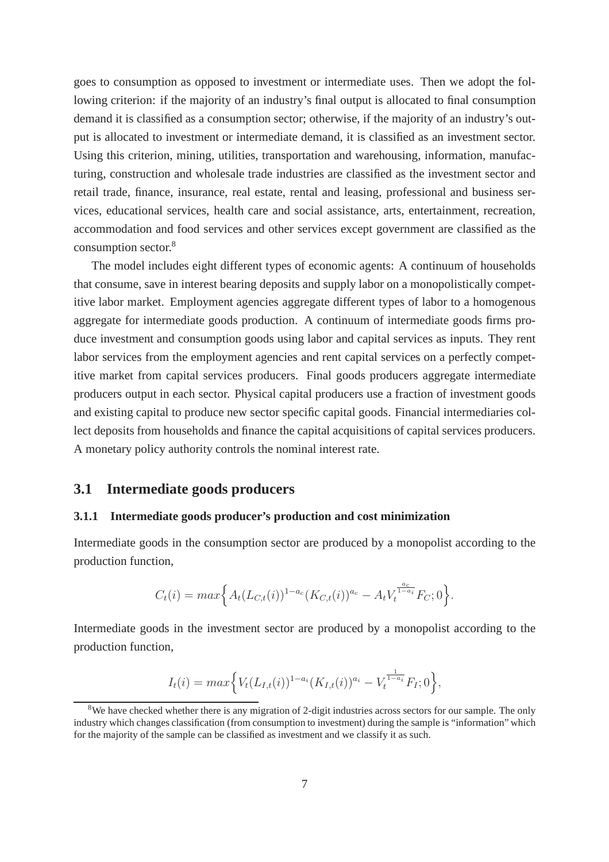goes to consumption as opposed to investment or intermediate uses. Then we adopt the following criterion: if the majority of an industry's final output is allocated to final consumption demand it is classified as a consumption sector; otherwise, if the majority of an industry's output is allocated to investment or intermediate demand, it is classified as an investment sector. Using this criterion, mining, utilities, transportation and warehousing, information, manufacturing, construction and wholesale trade industries are classified as the investment sector and retail trade, finance, insurance, real estate, rental and leasing, professional and business services, educational services, health care and social assistance, arts, entertainment, recreation, accommodation and food services and other services except government are classified as the consumption sector.<sup>8</sup>

The model includes eight different types of economic agents: A continuum of households that consume, save in interest bearing deposits and supply labor on a monopolistically competitive labor market. Employment agencies aggregate different types of labor to a homogenous aggregate for intermediate goods production. A continuum of intermediate goods firms produce investment and consumption goods using labor and capital services as inputs. They rent labor services from the employment agencies and rent capital services on a perfectly competitive market from capital services producers. Final goods producers aggregate intermediate producers output in each sector. Physical capital producers use a fraction of investment goods and existing capital to produce new sector specific capital goods. Financial intermediaries collect deposits from households and finance the capital acquisitions of capital services producers. A monetary policy authority controls the nominal interest rate.

### **3.1 Intermediate goods producers**

#### **3.1.1 Intermediate goods producer's production and cost minimization**

Intermediate goods in the consumption sector are produced by a monopolist according to the production function,

$$
C_t(i) = max \Big\{ A_t(L_{C,t}(i))^{1-a_c} (K_{C,t}(i))^{a_c} - A_t V_t^{\frac{a_c}{1-a_i}} F_C; 0 \Big\}.
$$

Intermediate goods in the investment sector are produced by a monopolist according to the production function,

$$
I_t(i) = max \Big\{ V_t(L_{I,t}(i))^{1-a_i} (K_{I,t}(i))^{a_i} - V_t^{\frac{1}{1-a_i}} F_I; 0 \Big\},\,
$$

<sup>&</sup>lt;sup>8</sup>We have checked whether there is any migration of 2-digit industries across sectors for our sample. The only industry which changes classification (from consumption to investment) during the sample is "information" which for the majority of the sample can be classified as investment and we classify it as such.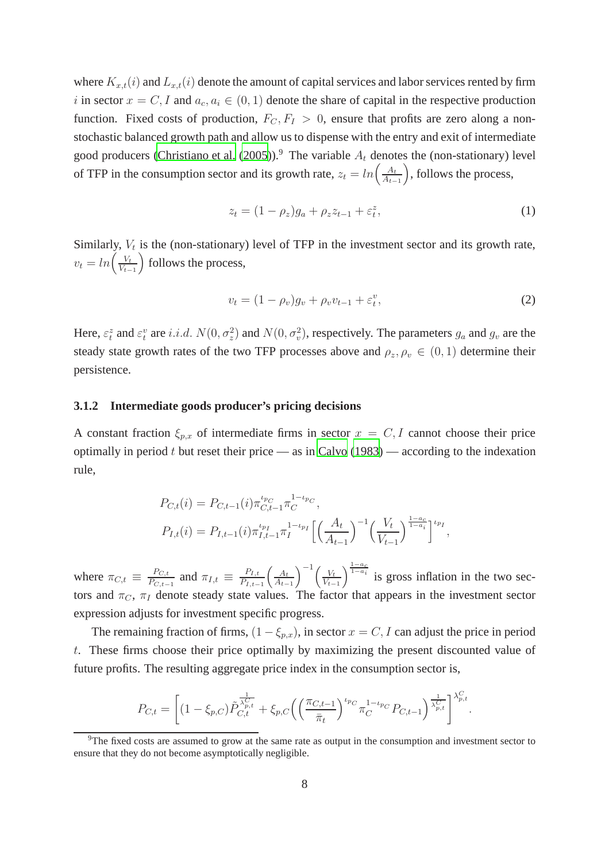where  $K_{x,t}(i)$  and  $L_{x,t}(i)$  denote the amount of capital services and labor services rented by firm i in sector  $x = C, I$  and  $a_c, a_i \in (0, 1)$  denote the share of capital in the respective production function. Fixed costs of production,  $F_C, F_I > 0$ , ensure that profits are zero along a nonstochastic balanced growth path and allow us to dispense with the entry and exit of intermediate good producers [\(Christiano et al.](#page-38-0) [\(2005\)](#page-38-0)).<sup>9</sup> The variable  $A_t$  denotes the (non-stationary) level of TFP in the consumption sector and its growth rate,  $z_t = ln\left(\frac{A_t}{A_t}\right)$  $A_{t-1}$ , follows the process,

$$
z_t = (1 - \rho_z)g_a + \rho_z z_{t-1} + \varepsilon_t^z,\tag{1}
$$

Similarly,  $V_t$  is the (non-stationary) level of TFP in the investment sector and its growth rate,  $v_t = ln\left(\frac{V_t}{V_t}\right)$  $V_{t-1}$ follows the process,

$$
v_t = (1 - \rho_v)g_v + \rho_v v_{t-1} + \varepsilon_t^v,\tag{2}
$$

Here,  $\varepsilon_t^z$  and  $\varepsilon_t^v$  are i.i.d.  $N(0, \sigma_z^2)$  and  $N(0, \sigma_v^2)$ , respectively. The parameters  $g_a$  and  $g_v$  are the steady state growth rates of the two TFP processes above and  $\rho_z, \rho_v \in (0, 1)$  determine their persistence.

#### **3.1.2 Intermediate goods producer's pricing decisions**

A constant fraction  $\xi_{p,x}$  of intermediate firms in sector  $x = C, I$  cannot choose their price optimally in period  $t$  but reset their price — as in [Calvo \(1983](#page-38-13)) — according to the indexation rule,

$$
P_{C,t}(i) = P_{C,t-1}(i)\pi_{C,t-1}^{t_{p_C}}\pi_C^{1-t_{p_C}},
$$
  
\n
$$
P_{I,t}(i) = P_{I,t-1}(i)\pi_{I,t-1}^{t_{p_I}}\pi_I^{1-t_{p_I}}\left[\left(\frac{A_t}{A_{t-1}}\right)^{-1}\left(\frac{V_t}{V_{t-1}}\right)^{\frac{1-a_c}{1-a_i}}\right]^{t_{p_I}},
$$

where  $\pi_{C,t} \equiv \frac{P_{C,t}}{P_{C,t}}$  $\frac{P_{C,t}}{P_{C,t-1}}$  and  $\pi_{I,t} \equiv \frac{P_{I,t}}{P_{I,t-1}}$  $P_{I,t-1}$  $\int A_t$  $A_{t-1}$  $\bigg\{-\frac{1}{t}\bigg\}$  $V_{t-1}$  $\int_{0}^{\frac{1-a_c}{1-a_i}}$  is gross inflation in the two sectors and  $\pi_C$ ,  $\pi_I$  denote steady state values. The factor that appears in the investment sector expression adjusts for investment specific progress.

The remaining fraction of firms,  $(1 - \xi_{p.x})$ , in sector  $x = C$ , I can adjust the price in period t. These firms choose their price optimally by maximizing the present discounted value of future profits. The resulting aggregate price index in the consumption sector is,

$$
P_{C,t} = \left[ (1 - \xi_{p,C}) \tilde{P}_{C,t}^{\frac{1}{\lambda_{p,t}^C}} + \xi_{p,C} \left( \left( \frac{\pi_{C,t-1}}{\bar{\pi}_t} \right)^{\iota_{p,C}} \pi_C^{1 - \iota_{p,C}} P_{C,t-1} \right)^{\frac{1}{\lambda_{p,t}^C}} \right]^{\lambda_{p,t}^C}.
$$

<sup>9</sup>The fixed costs are assumed to grow at the same rate as output in the consumption and investment sector to ensure that they do not become asymptotically negligible.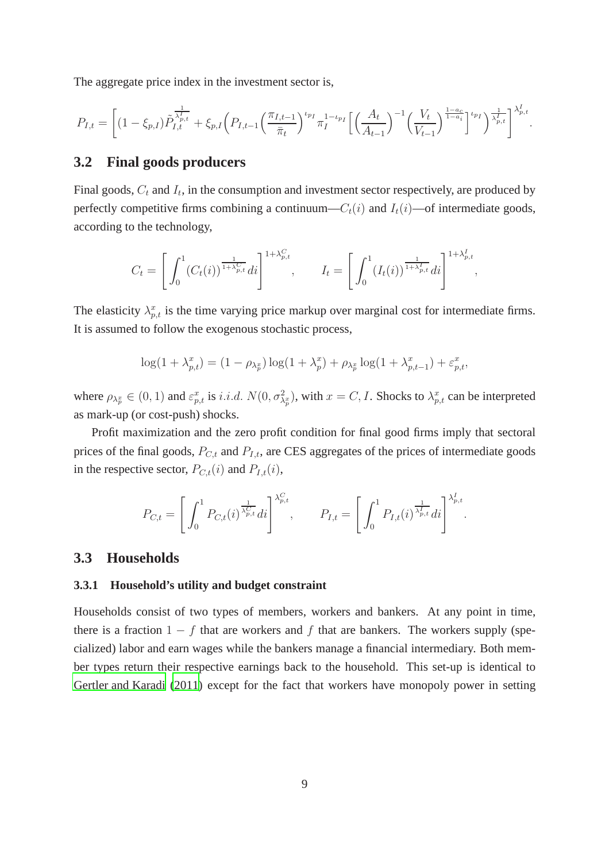The aggregate price index in the investment sector is,

$$
P_{I,t} = \left[ (1 - \xi_{p,I}) \tilde{P}_{I,t}^{\frac{1}{\lambda_{p,t}^t}} + \xi_{p,I} \left( P_{I,t-1} \left( \frac{\pi_{I,t-1}}{\bar{\pi}_t} \right)^{\iota_{p_I}} \pi_I^{1-\iota_{p_I}} \left[ \left( \frac{A_t}{A_{t-1}} \right)^{-1} \left( \frac{V_t}{V_{t-1}} \right)^{\frac{1-\alpha_c}{1-\alpha_i}} \right]^{\iota_{p_I}} \right)^{\frac{1}{\lambda_{p,t}^I}} \right]^{\lambda_{p,t}^I}.
$$

### **3.2 Final goods producers**

Final goods,  $C_t$  and  $I_t$ , in the consumption and investment sector respectively, are produced by perfectly competitive firms combining a continuum— $C_t(i)$  and  $I_t(i)$ —of intermediate goods, according to the technology,

$$
C_t = \left[ \int_0^1 (C_t(i))^{\frac{1}{1+\lambda_{p,t}^C}} di \right]^{1+\lambda_{p,t}^C}, \qquad I_t = \left[ \int_0^1 (I_t(i))^{\frac{1}{1+\lambda_{p,t}^I}} di \right]^{1+\lambda_{p,t}^I}
$$

,

The elasticity  $\lambda_{p,t}^x$  is the time varying price markup over marginal cost for intermediate firms. It is assumed to follow the exogenous stochastic process,

$$
\log(1+\lambda_{p,t}^x) = (1-\rho_{\lambda_p^x})\log(1+\lambda_p^x) + \rho_{\lambda_p^x}\log(1+\lambda_{p,t-1}^x) + \varepsilon_{p,t}^x,
$$

where  $\rho_{\lambda_p^x} \in (0, 1)$  and  $\varepsilon_{p,t}^x$  is *i.i.d.*  $N(0, \sigma_{\lambda_p^x}^2)$ , with  $x = C, I$ . Shocks to  $\lambda_{p,t}^x$  can be interpreted as mark-up (or cost-push) shocks.

Profit maximization and the zero profit condition for final good firms imply that sectoral prices of the final goods,  $P_{C,t}$  and  $P_{I,t}$ , are CES aggregates of the prices of intermediate goods in the respective sector,  $P_{C,t}(i)$  and  $P_{I,t}(i)$ ,

$$
P_{C,t} = \left[ \int_0^1 P_{C,t}(i)^{\frac{1}{\lambda_{p,t}^C}} di \right]^{\lambda_{p,t}^C}, \qquad P_{I,t} = \left[ \int_0^1 P_{I,t}(i)^{\frac{1}{\lambda_{p,t}^I}} di \right]^{\lambda_{p,t}^I}.
$$

### **3.3 Households**

#### **3.3.1 Household's utility and budget constraint**

Households consist of two types of members, workers and bankers. At any point in time, there is a fraction  $1 - f$  that are workers and f that are bankers. The workers supply (specialized) labor and earn wages while the bankers manage a financial intermediary. Both member types return their respective earnings back to the household. This set-up is identical to [Gertler and Karadi \(2011](#page-39-0)) except for the fact that workers have monopoly power in setting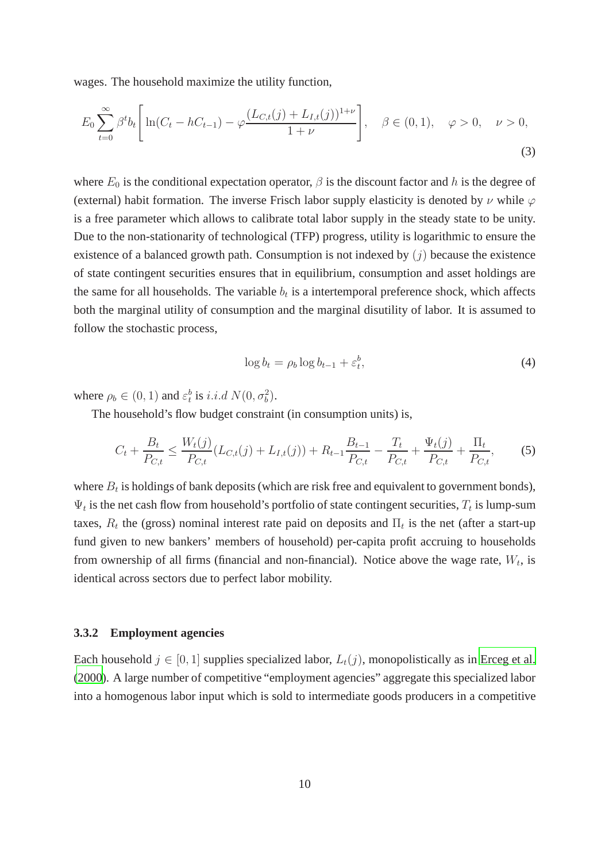wages. The household maximize the utility function,

$$
E_0 \sum_{t=0}^{\infty} \beta^t b_t \left[ \ln(C_t - hC_{t-1}) - \varphi \frac{(L_{C,t}(j) + L_{I,t}(j))^{1+\nu}}{1+\nu} \right], \quad \beta \in (0,1), \quad \varphi > 0, \quad \nu > 0,
$$
\n(3)

where  $E_0$  is the conditional expectation operator,  $\beta$  is the discount factor and h is the degree of (external) habit formation. The inverse Frisch labor supply elasticity is denoted by  $\nu$  while  $\varphi$ is a free parameter which allows to calibrate total labor supply in the steady state to be unity. Due to the non-stationarity of technological (TFP) progress, utility is logarithmic to ensure the existence of a balanced growth path. Consumption is not indexed by  $(i)$  because the existence of state contingent securities ensures that in equilibrium, consumption and asset holdings are the same for all households. The variable  $b_t$  is a intertemporal preference shock, which affects both the marginal utility of consumption and the marginal disutility of labor. It is assumed to follow the stochastic process,

$$
\log b_t = \rho_b \log b_{t-1} + \varepsilon_t^b,\tag{4}
$$

where  $\rho_b \in (0, 1)$  and  $\varepsilon_t^b$  is *i.i.d*  $N(0, \sigma_b^2)$ .

The household's flow budget constraint (in consumption units) is,

$$
C_t + \frac{B_t}{P_{C,t}} \le \frac{W_t(j)}{P_{C,t}} (L_{C,t}(j) + L_{I,t}(j)) + R_{t-1} \frac{B_{t-1}}{P_{C,t}} - \frac{T_t}{P_{C,t}} + \frac{\Psi_t(j)}{P_{C,t}} + \frac{\Pi_t}{P_{C,t}},
$$
(5)

where  $B_t$  is holdings of bank deposits (which are risk free and equivalent to government bonds),  $\Psi_t$  is the net cash flow from household's portfolio of state contingent securities,  $T_t$  is lump-sum taxes,  $R_t$  the (gross) nominal interest rate paid on deposits and  $\Pi_t$  is the net (after a start-up fund given to new bankers' members of household) per-capita profit accruing to households from ownership of all firms (financial and non-financial). Notice above the wage rate,  $W_t$ , is identical across sectors due to perfect labor mobility.

#### **3.3.2 Employment agencies**

Each household  $j \in [0, 1]$  supplies specialized labor,  $L_t(j)$ , monopolistically as in [Erceg et al.](#page-39-10) [\(2000\)](#page-39-10). A large number of competitive "employment agencies" aggregate this specialized labor into a homogenous labor input which is sold to intermediate goods producers in a competitive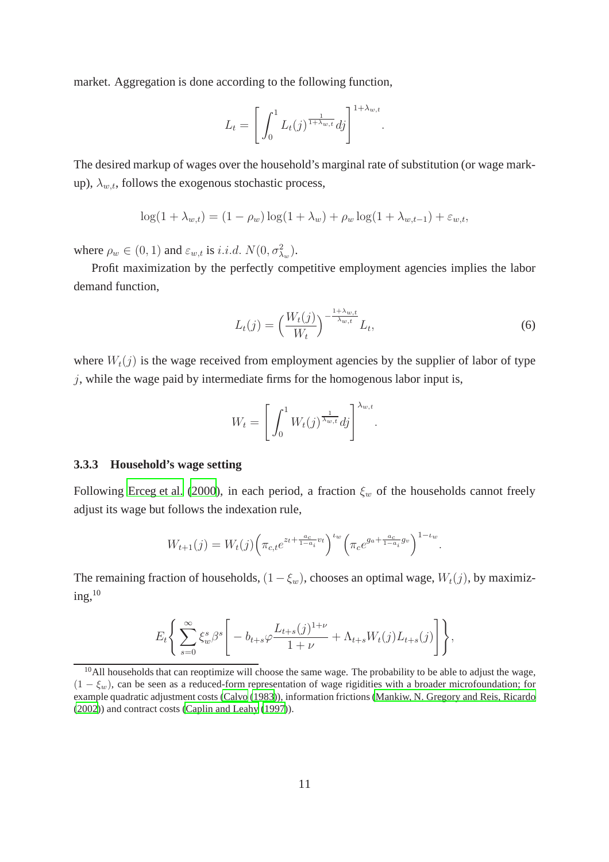market. Aggregation is done according to the following function,

$$
L_t = \left[ \int_0^1 L_t(j)^{\frac{1}{1+\lambda_{w,t}}} dj \right]^{1+\lambda_{w,t}}.
$$

The desired markup of wages over the household's marginal rate of substitution (or wage markup),  $\lambda_{w,t}$ , follows the exogenous stochastic process,

$$
\log(1 + \lambda_{w,t}) = (1 - \rho_w) \log(1 + \lambda_w) + \rho_w \log(1 + \lambda_{w,t-1}) + \varepsilon_{w,t},
$$

where  $\rho_w \in (0, 1)$  and  $\varepsilon_{w,t}$  is *i.i.d.*  $N(0, \sigma_{\lambda_w}^2)$ .

Profit maximization by the perfectly competitive employment agencies implies the labor demand function,

<span id="page-12-0"></span>
$$
L_t(j) = \left(\frac{W_t(j)}{W_t}\right)^{-\frac{1+\lambda_{w,t}}{\lambda_{w,t}}} L_t,
$$
\n
$$
(6)
$$

where  $W_t(j)$  is the wage received from employment agencies by the supplier of labor of type  $j$ , while the wage paid by intermediate firms for the homogenous labor input is,

$$
W_t = \left[ \int_0^1 W_t(j)^{\frac{1}{\lambda_{w,t}}} dj \right]^{\lambda_{w,t}}.
$$

#### **3.3.3 Household's wage setting**

Following [Erceg et al. \(2000](#page-39-10)), in each period, a fraction  $\xi_w$  of the households cannot freely adjust its wage but follows the indexation rule,

$$
W_{t+1}(j) = W_t(j) \left( \pi_{c,t} e^{z_t + \frac{a_c}{1 - a_i} v_t} \right)^{t_w} \left( \pi_c e^{g_a + \frac{a_c}{1 - a_i} g_v} \right)^{1 - t_w}.
$$

The remaining fraction of households,  $(1 - \xi_w)$ , chooses an optimal wage,  $W_t(j)$ , by maximiz $ing, <sup>10</sup>$ 

$$
E_t\Bigg\{\sum_{s=0}^{\infty}\xi_w^s\beta^s\Bigg[-b_{t+s}\varphi\frac{L_{t+s}(j)^{1+\nu}}{1+\nu}+\Lambda_{t+s}W_t(j)L_{t+s}(j)\Bigg]\Bigg\},\,
$$

<sup>&</sup>lt;sup>10</sup>All households that can reoptimize will choose the same wage. The probability to be able to adjust the wage,  $(1 - \xi_w)$ , can be seen as a reduced-form representation of wage rigidities with a broader microfoundation; for example quadratic adjustment costs [\(Calvo](#page-38-13) [\(1983\)](#page-38-13)), information frictions [\(Mankiw, N. Gregory and Reis, Ricardo](#page-41-10) [\(2002\)](#page-41-10)) and contract costs [\(Caplin and Leahy \(1997](#page-38-14))).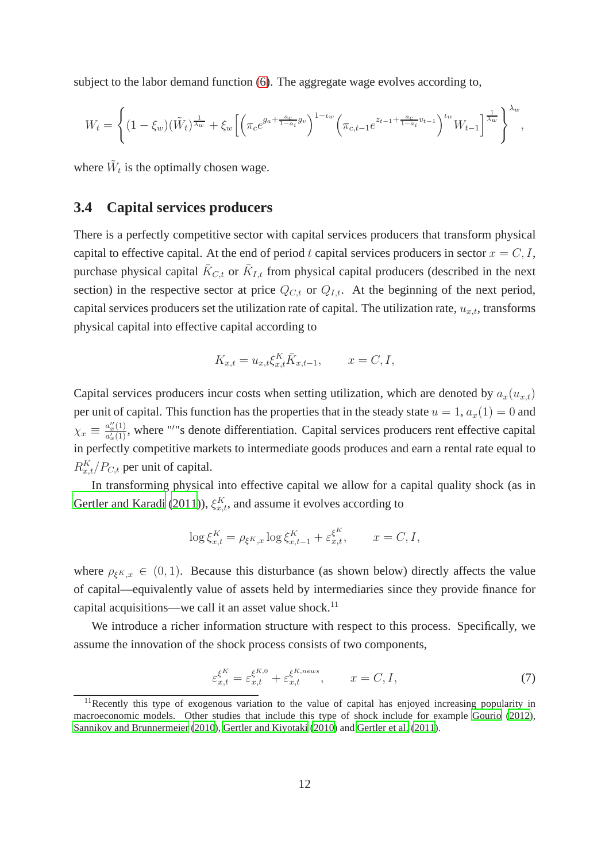subject to the labor demand function [\(6\)](#page-12-0). The aggregate wage evolves according to,

$$
W_t = \left\{ (1 - \xi_w)(\tilde{W}_t)^{\frac{1}{\lambda_w}} + \xi_w \left[ \left( \pi_c e^{g_a + \frac{a_c}{1 - a_i} g_v} \right)^{1 - \iota_w} \left( \pi_{c, t-1} e^{z_{t-1} + \frac{a_c}{1 - a_i} v_{t-1}} \right)^{\iota_w} W_{t-1} \right]^{\frac{1}{\lambda_w}} \right\}^{\lambda_w},
$$

where  $\tilde{W}_t$  is the optimally chosen wage.

## **3.4 Capital services producers**

There is a perfectly competitive sector with capital services producers that transform physical capital to effective capital. At the end of period t capital services producers in sector  $x = C, I$ , purchase physical capital  $\bar{K}_{C,t}$  or  $\bar{K}_{I,t}$  from physical capital producers (described in the next section) in the respective sector at price  $Q_{C,t}$  or  $Q_{I,t}$ . At the beginning of the next period, capital services producers set the utilization rate of capital. The utilization rate,  $u_{x,t}$ , transforms physical capital into effective capital according to

$$
K_{x,t} = u_{x,t} \xi_{x,t}^K \bar{K}_{x,t-1}, \qquad x = C, I,
$$

Capital services producers incur costs when setting utilization, which are denoted by  $a_x(u_{x,t})$ per unit of capital. This function has the properties that in the steady state  $u = 1$ ,  $a_x(1) = 0$  and  $\chi_x \equiv \frac{a_x^{\prime\prime}(1)}{a^{\prime}(1)}$  $\frac{a_x^2(1)}{a_x^2(1)}$ , where "'"s denote differentiation. Capital services producers rent effective capital in perfectly competitive markets to intermediate goods produces and earn a rental rate equal to  $R_{x,t}^K/P_{C,t}$  per unit of capital.

In transforming physical into effective capital we allow for a capital quality shock (as in [Gertler and Karadi](#page-39-0) [\(2011\)](#page-39-0)),  $\xi_{x,t}^K$ , and assume it evolves according to

$$
\log \xi_{x,t}^K = \rho_{\xi^K, x} \log \xi_{x,t-1}^K + \varepsilon_{x,t}^{\xi^K}, \qquad x = C, I,
$$

where  $\rho_{\xi^K,x} \in (0,1)$ . Because this disturbance (as shown below) directly affects the value of capital—equivalently value of assets held by intermediaries since they provide finance for capital acquisitions—we call it an asset value shock.<sup>11</sup>

We introduce a richer information structure with respect to this process. Specifically, we assume the innovation of the shock process consists of two components,

$$
\varepsilon_{x,t}^{\xi^K} = \varepsilon_{x,t}^{\xi^{K,0}} + \varepsilon_{x,t}^{\xi^{K,news}}, \qquad x = C, I,
$$
\n(7)

<sup>&</sup>lt;sup>11</sup>Recently this type of exogenous variation to the value of capital has enjoyed increasing popularity in macroeconomic models. Other studies that include this type of shock include for example [Gourio](#page-40-1) [\(2012\)](#page-40-1), [Sannikov and Brunnermeier \(2010\)](#page-41-11), [Gertler and Kiyotaki \(2010\)](#page-39-1) and [Gertler et al. \(2011\)](#page-39-11).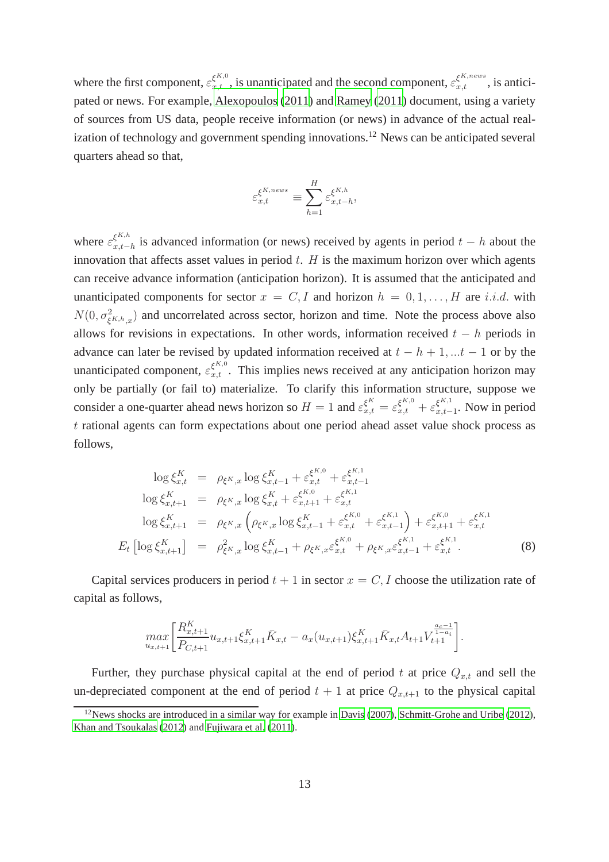where the first component,  $\varepsilon_{x,t}^{\xi^{K,0}}$ , is unanticipated and the second component,  $\varepsilon_{x,t}^{\xi^{K,news}}$ , is anticipated or news. For example, [Alexopoulos](#page-37-3) [\(2011\)](#page-37-3) and [Ramey \(2011](#page-41-12)) document, using a variety of sources from US data, people receive information (or news) in advance of the actual realization of technology and government spending innovations.<sup>12</sup> News can be anticipated several quarters ahead so that,

$$
\varepsilon_{x,t}^{\xi^{K,news}} \equiv \sum_{h=1}^{H} \varepsilon_{x,t-h}^{\xi^{K,h}},
$$

where  $\varepsilon_{x,t-}^{\xi^{K,h}}$  $x_{t-h}^{k+n}$  is advanced information (or news) received by agents in period  $t-h$  about the innovation that affects asset values in period  $t$ .  $H$  is the maximum horizon over which agents can receive advance information (anticipation horizon). It is assumed that the anticipated and unanticipated components for sector  $x = C, I$  and horizon  $h = 0, 1, \ldots, H$  are i.i.d. with  $N(0, \sigma_{\xi^{K,h},x}^2)$  and uncorrelated across sector, horizon and time. Note the process above also allows for revisions in expectations. In other words, information received  $t - h$  periods in advance can later be revised by updated information received at  $t - h + 1, ...t - 1$  or by the unanticipated component,  $\varepsilon_{x,t}^{\xi_{k,0}^{K,0}}$ . This implies news received at any anticipation horizon may only be partially (or fail to) materialize. To clarify this information structure, suppose we consider a one-quarter ahead news horizon so  $H = 1$  and  $\varepsilon_{x,t}^{\xi^K} = \varepsilon_{x,t}^{\xi^{K,0}} + \varepsilon_{x,t-}^{\xi^{K,1}}$  $\zeta_{x,t-1}^{k+1}$ . Now in period t rational agents can form expectations about one period ahead asset value shock process as follows,

$$
\log \xi_{x,t}^{K} = \rho_{\xi^{K},x} \log \xi_{x,t-1}^{K} + \varepsilon_{x,t}^{\xi^{K,0}} + \varepsilon_{x,t-1}^{\xi^{K,1}}
$$
  
\n
$$
\log \xi_{x,t+1}^{K} = \rho_{\xi^{K},x} \log \xi_{x,t}^{K} + \varepsilon_{x,t+1}^{\xi^{K,0}} + \varepsilon_{x,t}^{\xi^{K,1}}
$$
  
\n
$$
\log \xi_{x,t+1}^{K} = \rho_{\xi^{K},x} \left( \rho_{\xi^{K},x} \log \xi_{x,t-1}^{K} + \varepsilon_{x,t}^{\xi^{K,0}} + \varepsilon_{x,t-1}^{\xi^{K,1}} \right) + \varepsilon_{x,t+1}^{\xi^{K,0}} + \varepsilon_{x,t}^{\xi^{K,1}}
$$
  
\n
$$
E_{t} \left[ \log \xi_{x,t+1}^{K} \right] = \rho_{\xi^{K},x}^{2} \log \xi_{x,t-1}^{K} + \rho_{\xi^{K},x} \varepsilon_{x,t}^{\xi^{K,0}} + \rho_{\xi^{K},x} \varepsilon_{x,t-1}^{\xi^{K,1}} + \varepsilon_{x,t}^{\xi^{K,1}}.
$$
 (8)

Capital services producers in period  $t + 1$  in sector  $x = C, I$  choose the utilization rate of capital as follows,

$$
\max_{u_{x,t+1}} \left[ \frac{R_{x,t+1}^K}{P_{C,t+1}} u_{x,t+1} \xi_{x,t+1}^K \bar{K}_{x,t} - a_x(u_{x,t+1}) \xi_{x,t+1}^K \bar{K}_{x,t} A_{t+1} V_{t+1}^{\frac{a_c-1}{1-a_i}} \right].
$$

Further, they purchase physical capital at the end of period t at price  $Q_{x,t}$  and sell the un-depreciated component at the end of period  $t + 1$  at price  $Q_{x,t+1}$  to the physical capital

 $12$ News shocks are introduced in a similar way for example in [Davis \(2007\)](#page-38-5), [Schmitt-Grohe and Uribe](#page-41-5) [\(2012\)](#page-41-5), [Khan and Tsoukalas \(2012](#page-41-6)) and [Fujiwara et al.](#page-39-6) [\(2011\)](#page-39-6).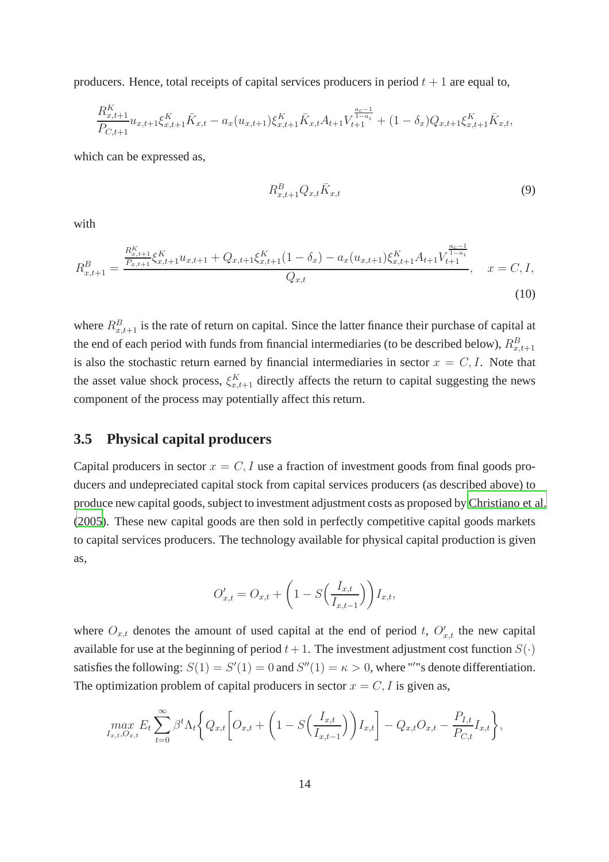producers. Hence, total receipts of capital services producers in period  $t + 1$  are equal to,

$$
\frac{R_{x,t+1}^K}{P_{C,t+1}}u_{x,t+1}\xi_{x,t+1}^K \bar{K}_{x,t} - a_x(u_{x,t+1})\xi_{x,t+1}^K \bar{K}_{x,t}A_{t+1}V_{t+1}^{\frac{a_c-1}{1-a_i}} + (1-\delta_x)Q_{x,t+1}\xi_{x,t+1}^K \bar{K}_{x,t},
$$

which can be expressed as,

<span id="page-15-0"></span>
$$
R_{x,t+1}^B Q_{x,t} \bar{K}_{x,t} \tag{9}
$$

with

$$
R_{x,t+1}^{B} = \frac{\frac{R_{x,t+1}^{K}}{P_{x,t+1}} \xi_{x,t+1}^{K} u_{x,t+1} + Q_{x,t+1} \xi_{x,t+1}^{K}(1 - \delta_x) - a_x(u_{x,t+1}) \xi_{x,t+1}^{K} A_{t+1} V_{t+1}^{\frac{a_c - 1}{1 - a_i}}}{Q_{x,t}}, \quad x = C, I,
$$
\n(10)

where  $R_{x,t+1}^B$  is the rate of return on capital. Since the latter finance their purchase of capital at the end of each period with funds from financial intermediaries (to be described below),  $R_{x,t+1}^B$ is also the stochastic return earned by financial intermediaries in sector  $x = C, I$ . Note that the asset value shock process,  $\xi_{x,t+1}^K$  directly affects the return to capital suggesting the news component of the process may potentially affect this return.

#### **3.5 Physical capital producers**

Capital producers in sector  $x = C, I$  use a fraction of investment goods from final goods producers and undepreciated capital stock from capital services producers (as described above) to produce new capital goods, subject to investment adjustment costs as proposed by [Christiano et al.](#page-38-0) [\(2005\)](#page-38-0). These new capital goods are then sold in perfectly competitive capital goods markets to capital services producers. The technology available for physical capital production is given as,

$$
O'_{x,t} = O_{x,t} + \left(1 - S\left(\frac{I_{x,t}}{I_{x,t-1}}\right)\right)I_{x,t},
$$

where  $O_{x,t}$  denotes the amount of used capital at the end of period t,  $O'_{x,t}$  the new capital available for use at the beginning of period  $t + 1$ . The investment adjustment cost function  $S(\cdot)$ satisfies the following:  $S(1) = S'(1) = 0$  and  $S''(1) = \kappa > 0$ , where "'"s denote differentiation. The optimization problem of capital producers in sector  $x = C, I$  is given as,

$$
\max_{I_{x,t},O_{x,t}} E_t \sum_{t=0}^{\infty} \beta^t \Lambda_t \bigg\{ Q_{x,t} \bigg[ O_{x,t} + \bigg( 1 - S \bigg( \frac{I_{x,t}}{I_{x,t-1}} \bigg) \bigg) I_{x,t} \bigg] - Q_{x,t} O_{x,t} - \frac{P_{I,t}}{P_{C,t}} I_{x,t} \bigg\},\,
$$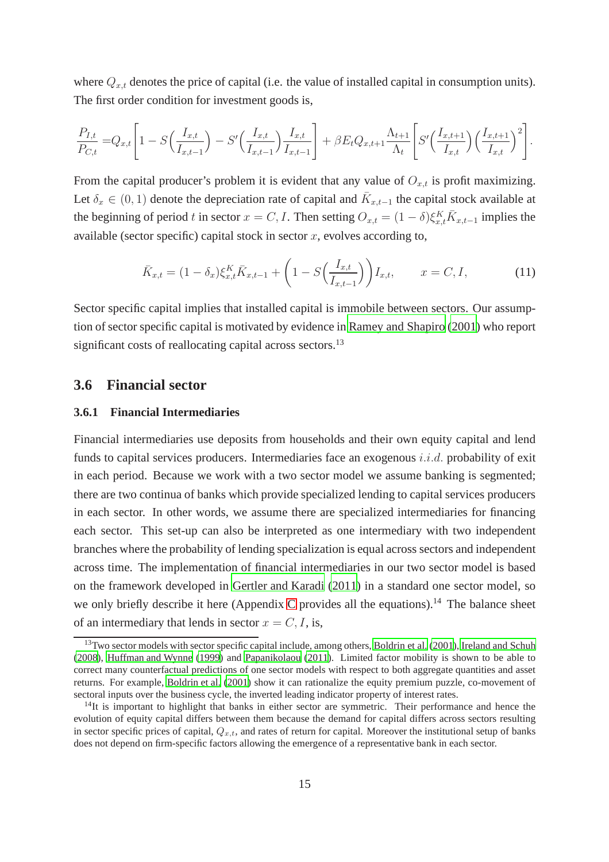where  $Q_{x,t}$  denotes the price of capital (i.e. the value of installed capital in consumption units). The first order condition for investment goods is,

$$
\frac{P_{I,t}}{P_{C,t}} = Q_{x,t} \left[ 1 - S\left(\frac{I_{x,t}}{I_{x,t-1}}\right) - S'\left(\frac{I_{x,t}}{I_{x,t-1}}\right) \frac{I_{x,t}}{I_{x,t-1}} \right] + \beta E_t Q_{x,t+1} \frac{\Lambda_{t+1}}{\Lambda_t} \left[ S'\left(\frac{I_{x,t+1}}{I_{x,t}}\right) \left(\frac{I_{x,t+1}}{I_{x,t}}\right)^2 \right].
$$

From the capital producer's problem it is evident that any value of  $O_{x,t}$  is profit maximizing. Let  $\delta_x \in (0,1)$  denote the depreciation rate of capital and  $\bar{K}_{x,t-1}$  the capital stock available at the beginning of period t in sector  $x = C, I$ . Then setting  $O_{x,t} = (1 - \delta) \xi_{x,t}^K \overline{K}_{x,t-1}$  implies the available (sector specific) capital stock in sector  $x$ , evolves according to,

$$
\bar{K}_{x,t} = (1 - \delta_x) \xi_{x,t}^K \bar{K}_{x,t-1} + \left( 1 - S\left(\frac{I_{x,t}}{I_{x,t-1}}\right) \right) I_{x,t}, \qquad x = C, I,
$$
\n(11)

Sector specific capital implies that installed capital is immobile between sectors. Our assumption of sector specific capital is motivated by evidence in [Ramey and Shapiro \(2001](#page-41-13)) who report significant costs of reallocating capital across sectors.<sup>13</sup>

### **3.6 Financial sector**

#### **3.6.1 Financial Intermediaries**

Financial intermediaries use deposits from households and their own equity capital and lend funds to capital services producers. Intermediaries face an exogenous  $i.i.d.$  probability of exit in each period. Because we work with a two sector model we assume banking is segmented; there are two continua of banks which provide specialized lending to capital services producers in each sector. In other words, we assume there are specialized intermediaries for financing each sector. This set-up can also be interpreted as one intermediary with two independent branches where the probability of lending specialization is equal across sectors and independent across time. The implementation of financial intermediaries in our two sector model is based on the framework developed in [Gertler and Karadi](#page-39-0) [\(2011\)](#page-39-0) in a standard one sector model, so we only briefly describe it here (Appendix [C](#page-62-0) provides all the equations).<sup>14</sup> The balance sheet of an intermediary that lends in sector  $x = C, I$ , is,

 $13$ Two sector models with sector specific capital include, among others, [Boldrin et al. \(2001\)](#page-38-10), [Ireland and Schuh](#page-40-11) [\(2008\)](#page-40-11), [Huffman and Wynne \(1999\)](#page-40-0) and [Papanikolaou \(2011\)](#page-41-14). Limited factor mobility is shown to be able to correct many counterfactual predictions of one sector models with respect to both aggregate quantities and asset returns. For example, [Boldrin et al. \(2001](#page-38-10)) show it can rationalize the equity premium puzzle, co-movement of sectoral inputs over the business cycle, the inverted leading indicator property of interest rates.

 $14$ It is important to highlight that banks in either sector are symmetric. Their performance and hence the evolution of equity capital differs between them because the demand for capital differs across sectors resulting in sector specific prices of capital,  $Q_{x,t}$ , and rates of return for capital. Moreover the institutional setup of banks does not depend on firm-specific factors allowing the emergence of a representative bank in each sector.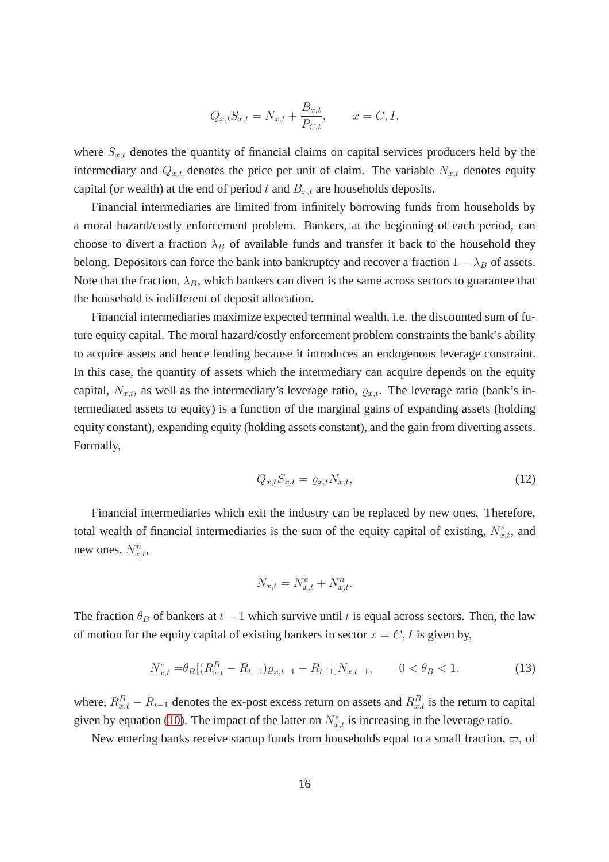$$
Q_{x,t}S_{x,t} = N_{x,t} + \frac{B_{x,t}}{P_{C,t}},
$$
  $x = C, I,$ 

where  $S_{x,t}$  denotes the quantity of financial claims on capital services producers held by the intermediary and  $Q_{x,t}$  denotes the price per unit of claim. The variable  $N_{x,t}$  denotes equity capital (or wealth) at the end of period t and  $B_{x,t}$  are households deposits.

Financial intermediaries are limited from infinitely borrowing funds from households by a moral hazard/costly enforcement problem. Bankers, at the beginning of each period, can choose to divert a fraction  $\lambda_B$  of available funds and transfer it back to the household they belong. Depositors can force the bank into bankruptcy and recover a fraction  $1 - \lambda_B$  of assets. Note that the fraction,  $\lambda_B$ , which bankers can divert is the same across sectors to guarantee that the household is indifferent of deposit allocation.

Financial intermediaries maximize expected terminal wealth, i.e. the discounted sum of future equity capital. The moral hazard/costly enforcement problem constraints the bank's ability to acquire assets and hence lending because it introduces an endogenous leverage constraint. In this case, the quantity of assets which the intermediary can acquire depends on the equity capital,  $N_{x,t}$ , as well as the intermediary's leverage ratio,  $\varrho_{x,t}$ . The leverage ratio (bank's intermediated assets to equity) is a function of the marginal gains of expanding assets (holding equity constant), expanding equity (holding assets constant), and the gain from diverting assets. Formally,

$$
Q_{x,t}S_{x,t} = \varrho_{x,t}N_{x,t},\tag{12}
$$

Financial intermediaries which exit the industry can be replaced by new ones. Therefore, total wealth of financial intermediaries is the sum of the equity capital of existing,  $N_{x,t}^e$ , and new ones,  $N_{x,t}^n$ ,

<span id="page-17-0"></span>
$$
N_{x,t} = N_{x,t}^e + N_{x,t}^n.
$$

The fraction  $\theta_B$  of bankers at  $t - 1$  which survive until t is equal across sectors. Then, the law of motion for the equity capital of existing bankers in sector  $x = C, I$  is given by,

$$
N_{x,t}^{e} = \theta_B \left[ (R_{x,t}^{B} - R_{t-1}) \varrho_{x,t-1} + R_{t-1} \right] N_{x,t-1}, \qquad 0 < \theta_B < 1. \tag{13}
$$

where,  $R_{x,t}^B - R_{t-1}$  denotes the ex-post excess return on assets and  $R_{x,t}^B$  is the return to capital given by equation [\(10\)](#page-15-0). The impact of the latter on  $N_{x,t}^e$  is increasing in the leverage ratio.

New entering banks receive startup funds from households equal to a small fraction,  $\varpi$ , of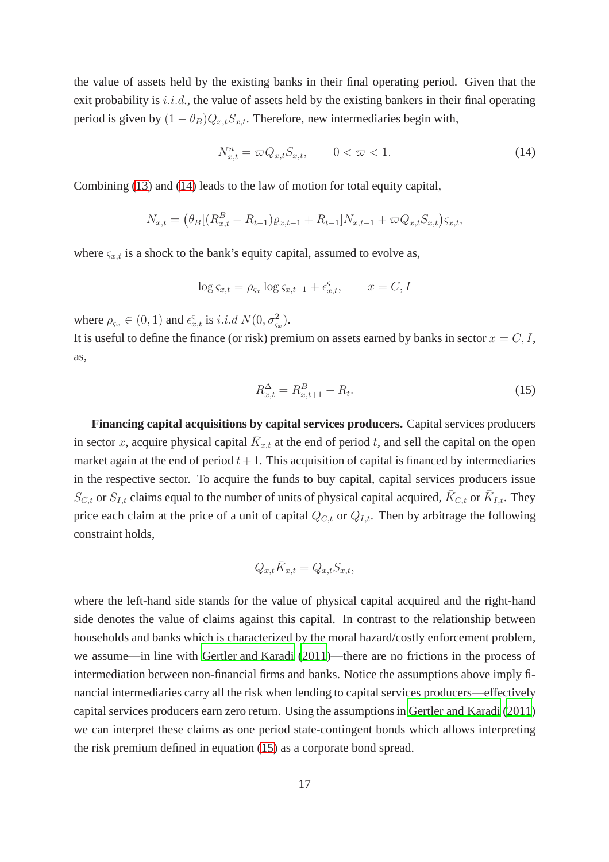the value of assets held by the existing banks in their final operating period. Given that the exit probability is  $i.i.d.,$  the value of assets held by the existing bankers in their final operating period is given by  $(1 - \theta_B)Q_{x,t}S_{x,t}$ . Therefore, new intermediaries begin with,

<span id="page-18-0"></span>
$$
N_{x,t}^n = \varpi Q_{x,t} S_{x,t}, \qquad 0 < \varpi < 1. \tag{14}
$$

Combining [\(13\)](#page-17-0) and [\(14\)](#page-18-0) leads to the law of motion for total equity capital,

$$
N_{x,t} = (\theta_B[(R_{x,t}^B - R_{t-1})\varrho_{x,t-1} + R_{t-1}]N_{x,t-1} + \varpi Q_{x,t}S_{x,t})\varsigma_{x,t},
$$

where  $\varsigma_{x,t}$  is a shock to the bank's equity capital, assumed to evolve as,

$$
\log \varsigma_{x,t} = \rho_{\varsigma_x} \log \varsigma_{x,t-1} + \epsilon_{x,t}^{\varsigma}, \qquad x = C, I
$$

where  $\rho_{\varsigma_x} \in (0, 1)$  and  $\epsilon_{x,t}^{\varsigma}$  is *i.i.d*  $N(0, \sigma_{\varsigma_x}^2)$ .

It is useful to define the finance (or risk) premium on assets earned by banks in sector  $x = C, I$ , as,

<span id="page-18-1"></span>
$$
R_{x,t}^{\Delta} = R_{x,t+1}^B - R_t.
$$
\n(15)

**Financing capital acquisitions by capital services producers.** Capital services producers in sector x, acquire physical capital  $\bar{K}_{x,t}$  at the end of period t, and sell the capital on the open market again at the end of period  $t + 1$ . This acquisition of capital is financed by intermediaries in the respective sector. To acquire the funds to buy capital, capital services producers issue  $S_{C,t}$  or  $S_{I,t}$  claims equal to the number of units of physical capital acquired,  $\bar{K}_{C,t}$  or  $\bar{K}_{I,t}$ . They price each claim at the price of a unit of capital  $Q_{C,t}$  or  $Q_{I,t}$ . Then by arbitrage the following constraint holds,

$$
Q_{x,t}\bar{K}_{x,t} = Q_{x,t}S_{x,t},
$$

where the left-hand side stands for the value of physical capital acquired and the right-hand side denotes the value of claims against this capital. In contrast to the relationship between households and banks which is characterized by the moral hazard/costly enforcement problem, we assume—in line with [Gertler and Karadi \(2011](#page-39-0))—there are no frictions in the process of intermediation between non-financial firms and banks. Notice the assumptions above imply financial intermediaries carry all the risk when lending to capital services producers—effectively capital services producers earn zero return. Using the assumptions in [Gertler and Karadi \(2011](#page-39-0)) we can interpret these claims as one period state-contingent bonds which allows interpreting the risk premium defined in equation [\(15\)](#page-18-1) as a corporate bond spread.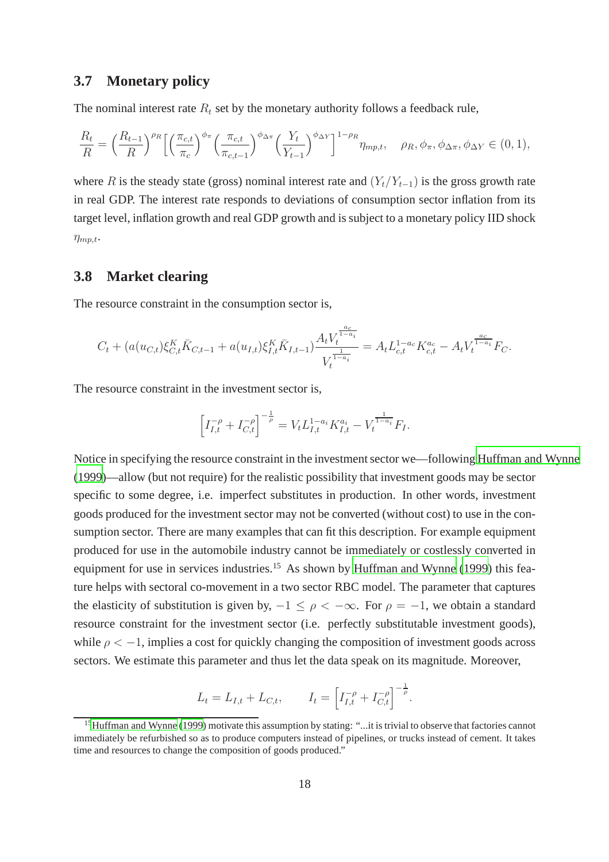### **3.7 Monetary policy**

The nominal interest rate  $R_t$  set by the monetary authority follows a feedback rule,

$$
\frac{R_t}{R} = \left(\frac{R_{t-1}}{R}\right)^{\rho_R} \left[ \left(\frac{\pi_{c,t}}{\pi_c}\right)^{\phi_\pi} \left(\frac{\pi_{c,t}}{\pi_{c,t-1}}\right)^{\phi_{\Delta\pi}} \left(\frac{Y_t}{Y_{t-1}}\right)^{\phi_{\Delta Y}} \right]^{1-\rho_R} \eta_{mp,t}, \quad \rho_R, \phi_\pi, \phi_{\Delta\pi}, \phi_{\Delta Y} \in (0,1),
$$

where R is the steady state (gross) nominal interest rate and  $(Y_t/Y_{t-1})$  is the gross growth rate in real GDP. The interest rate responds to deviations of consumption sector inflation from its target level, inflation growth and real GDP growth and is subject to a monetary policy IID shock  $\eta_{mp,t}$ .

## **3.8 Market clearing**

The resource constraint in the consumption sector is,

$$
C_t + (a(u_{C,t})\xi_{C,t}^K \bar{K}_{C,t-1} + a(u_{I,t})\xi_{I,t}^K \bar{K}_{I,t-1})\frac{A_t V_t^{\frac{ac}{1-a_i}}}{V_t^{\frac{1}{1-a_i}}} = A_t L_{c,t}^{1-a_c} K_{c,t}^{a_c} - A_t V_t^{\frac{ac}{1-a_i}} F_C.
$$

The resource constraint in the investment sector is,

$$
\left[I_{I,t}^{-\rho} + I_{C,t}^{-\rho}\right]^{-\frac{1}{\rho}} = V_t L_{I,t}^{1-a_i} K_{I,t}^{a_i} - V_t^{\frac{1}{1-a_i}} F_I.
$$

Notice in specifying the resource constraint in the investment sector we—following [Huffman and Wynne](#page-40-0) [\(1999\)](#page-40-0)—allow (but not require) for the realistic possibility that investment goods may be sector specific to some degree, i.e. imperfect substitutes in production. In other words, investment goods produced for the investment sector may not be converted (without cost) to use in the consumption sector. There are many examples that can fit this description. For example equipment produced for use in the automobile industry cannot be immediately or costlessly converted in equipment for use in services industries.<sup>15</sup> As shown by [Huffman and Wynne](#page-40-0) [\(1999\)](#page-40-0) this feature helps with sectoral co-movement in a two sector RBC model. The parameter that captures the elasticity of substitution is given by,  $-1 \leq \rho < -\infty$ . For  $\rho = -1$ , we obtain a standard resource constraint for the investment sector (i.e. perfectly substitutable investment goods), while  $\rho < -1$ , implies a cost for quickly changing the composition of investment goods across sectors. We estimate this parameter and thus let the data speak on its magnitude. Moreover,

$$
L_t = L_{I,t} + L_{C,t}, \qquad I_t = \left[ I_{I,t}^{-\rho} + I_{C,t}^{-\rho} \right]^{-\frac{1}{\rho}}.
$$

<sup>&</sup>lt;sup>15</sup>[Huffman and Wynne \(1999](#page-40-0)) motivate this assumption by stating: "...it is trivial to observe that factories cannot immediately be refurbished so as to produce computers instead of pipelines, or trucks instead of cement. It takes time and resources to change the composition of goods produced."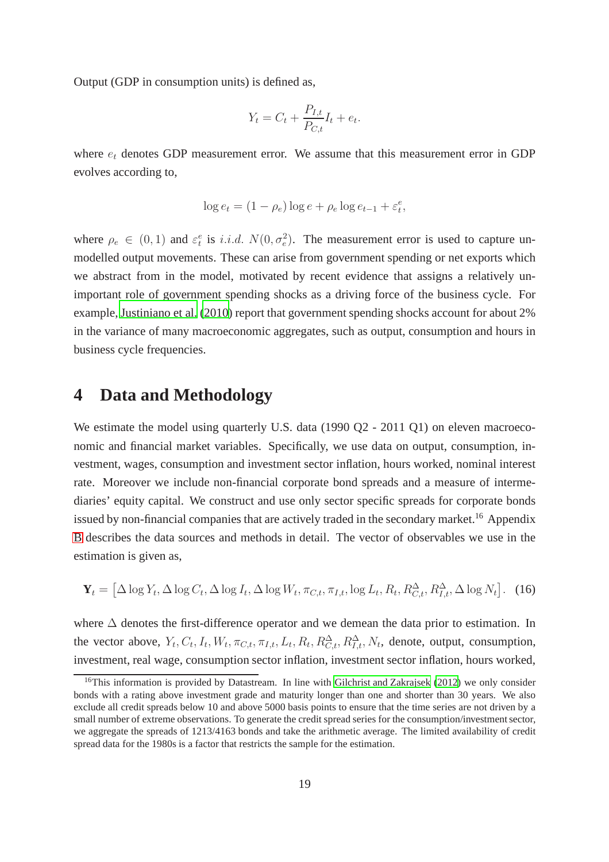Output (GDP in consumption units) is defined as,

$$
Y_t = C_t + \frac{P_{I,t}}{P_{C,t}} I_t + e_t.
$$

where  $e_t$  denotes GDP measurement error. We assume that this measurement error in GDP evolves according to,

$$
\log e_t = (1 - \rho_e) \log e + \rho_e \log e_{t-1} + \varepsilon_t^e,
$$

where  $\rho_e \in (0,1)$  and  $\varepsilon_t^e$  is *i.i.d.*  $N(0, \sigma_e^2)$ . The measurement error is used to capture unmodelled output movements. These can arise from government spending or net exports which we abstract from in the model, motivated by recent evidence that assigns a relatively unimportant role of government spending shocks as a driving force of the business cycle. For example, [Justiniano et al. \(2010](#page-40-13)) report that government spending shocks account for about 2% in the variance of many macroeconomic aggregates, such as output, consumption and hours in business cycle frequencies.

## <span id="page-20-0"></span>**4 Data and Methodology**

We estimate the model using quarterly U.S. data (1990 Q2 - 2011 Q1) on eleven macroeconomic and financial market variables. Specifically, we use data on output, consumption, investment, wages, consumption and investment sector inflation, hours worked, nominal interest rate. Moreover we include non-financial corporate bond spreads and a measure of intermediaries' equity capital. We construct and use only sector specific spreads for corporate bonds issued by non-financial companies that are actively traded in the secondary market.<sup>16</sup> Appendix [B](#page-58-0) describes the data sources and methods in detail. The vector of observables we use in the estimation is given as,

$$
\mathbf{Y}_t = \left[ \Delta \log Y_t, \Delta \log C_t, \Delta \log I_t, \Delta \log W_t, \pi_{C,t}, \pi_{I,t}, \log L_t, R_t, R_{C,t}^{\Delta}, R_{I,t}^{\Delta}, \Delta \log N_t \right].
$$
 (16)

where ∆ denotes the first-difference operator and we demean the data prior to estimation. In the vector above,  $Y_t$ ,  $C_t$ ,  $I_t$ ,  $W_t$ ,  $\pi_{C,t}$ ,  $\pi_{I,t}$ ,  $L_t$ ,  $R_t$ ,  $R_{C,t}^{\Delta}$ ,  $R_{I,t}^{\Delta}$ ,  $N_t$ , denote, output, consumption, investment, real wage, consumption sector inflation, investment sector inflation, hours worked,

<sup>&</sup>lt;sup>16</sup>This information is provided by Datastream. In line with [Gilchrist and Zakrajsek \(2012](#page-39-3)) we only consider bonds with a rating above investment grade and maturity longer than one and shorter than 30 years. We also exclude all credit spreads below 10 and above 5000 basis points to ensure that the time series are not driven by a small number of extreme observations. To generate the credit spread series for the consumption/investment sector, we aggregate the spreads of 1213/4163 bonds and take the arithmetic average. The limited availability of credit spread data for the 1980s is a factor that restricts the sample for the estimation.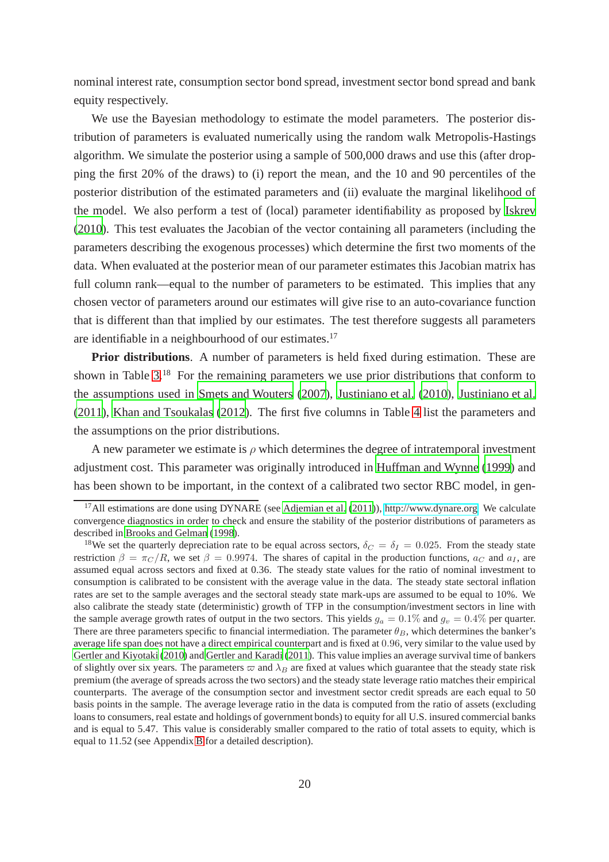nominal interest rate, consumption sector bond spread, investment sector bond spread and bank equity respectively.

We use the Bayesian methodology to estimate the model parameters. The posterior distribution of parameters is evaluated numerically using the random walk Metropolis-Hastings algorithm. We simulate the posterior using a sample of 500,000 draws and use this (after dropping the first 20% of the draws) to (i) report the mean, and the 10 and 90 percentiles of the posterior distribution of the estimated parameters and (ii) evaluate the marginal likelihood of the model. We also perform a test of (local) parameter identifiability as proposed by [Iskrev](#page-40-14) [\(2010\)](#page-40-14). This test evaluates the Jacobian of the vector containing all parameters (including the parameters describing the exogenous processes) which determine the first two moments of the data. When evaluated at the posterior mean of our parameter estimates this Jacobian matrix has full column rank—equal to the number of parameters to be estimated. This implies that any chosen vector of parameters around our estimates will give rise to an auto-covariance function that is different than that implied by our estimates. The test therefore suggests all parameters are identifiable in a neighbourhood of our estimates.<sup>17</sup>

**Prior distributions**. A number of parameters is held fixed during estimation. These are shown in Table [3.](#page-23-1)<sup>18</sup> For the remaining parameters we use prior distributions that conform to the assumptions used in [Smets and Wouters \(2007](#page-41-3)), [Justiniano et al. \(2010\)](#page-40-13), [Justiniano et al.](#page-40-15) [\(2011\)](#page-40-15), [Khan and Tsoukalas](#page-41-6) [\(2012\)](#page-41-6). The first five columns in Table [4](#page-24-0) list the parameters and the assumptions on the prior distributions.

A new parameter we estimate is  $\rho$  which determines the degree of intratemporal investment adjustment cost. This parameter was originally introduced in [Huffman and Wynne](#page-40-0) [\(1999\)](#page-40-0) and has been shown to be important, in the context of a calibrated two sector RBC model, in gen-

<sup>&</sup>lt;sup>17</sup>All estimations are done using DYNARE (see [Adjemian et al. \(2011\)](#page-37-4)), [http://www.dynare.org.](http://www.dynare.org) We calculate convergence diagnostics in order to check and ensure the stability of the posterior distributions of parameters as described in [Brooks and Gelman \(1998\)](#page-38-15).

<sup>&</sup>lt;sup>18</sup>We set the quarterly depreciation rate to be equal across sectors,  $\delta_C = \delta_I = 0.025$ . From the steady state restriction  $\beta = \pi_C/R$ , we set  $\beta = 0.9974$ . The shares of capital in the production functions,  $a_C$  and  $a_I$ , are assumed equal across sectors and fixed at 0.36. The steady state values for the ratio of nominal investment to consumption is calibrated to be consistent with the average value in the data. The steady state sectoral inflation rates are set to the sample averages and the sectoral steady state mark-ups are assumed to be equal to 10%. We also calibrate the steady state (deterministic) growth of TFP in the consumption/investment sectors in line with the sample average growth rates of output in the two sectors. This yields  $g_a = 0.1\%$  and  $g_v = 0.4\%$  per quarter. There are three parameters specific to financial intermediation. The parameter  $\theta_B$ , which determines the banker's average life span does not have a direct empirical counterpart and is fixed at 0.96, very similar to the value used by [Gertler and Kiyotaki](#page-39-1) [\(2010\)](#page-39-1) and [Gertler and Karadi](#page-39-0) [\(2011\)](#page-39-0). This value implies an average survival time of bankers of slightly over six years. The parameters  $\varpi$  and  $\lambda_B$  are fixed at values which guarantee that the steady state risk premium (the average of spreads across the two sectors) and the steady state leverage ratio matches their empirical counterparts. The average of the consumption sector and investment sector credit spreads are each equal to 50 basis points in the sample. The average leverage ratio in the data is computed from the ratio of assets (excluding loans to consumers, real estate and holdings of government bonds) to equity for all U.S. insured commercial banks and is equal to 5.47. This value is considerably smaller compared to the ratio of total assets to equity, which is equal to 11.52 (see Appendix [B](#page-58-0) for a detailed description).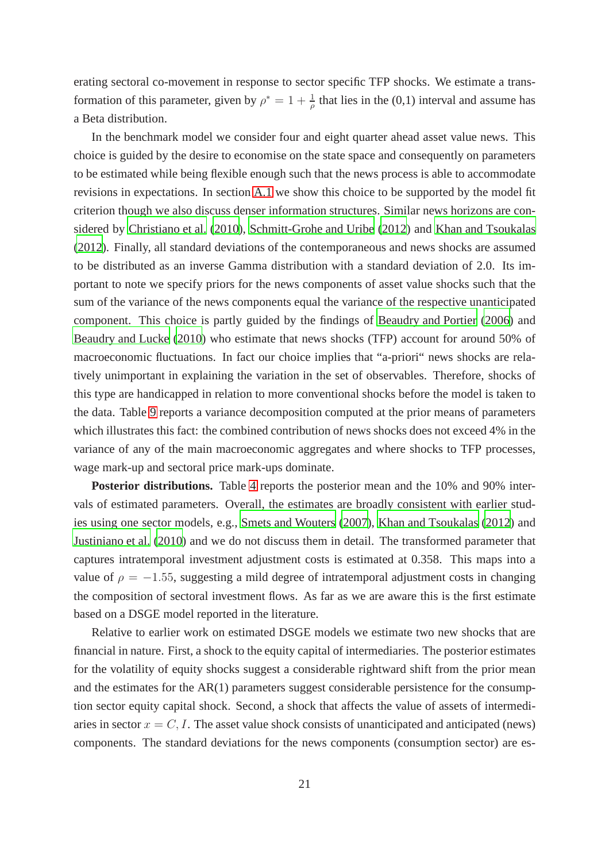erating sectoral co-movement in response to sector specific TFP shocks. We estimate a transformation of this parameter, given by  $\rho^* = 1 + \frac{1}{\rho}$  that lies in the (0,1) interval and assume has a Beta distribution.

In the benchmark model we consider four and eight quarter ahead asset value news. This choice is guided by the desire to economise on the state space and consequently on parameters to be estimated while being flexible enough such that the news process is able to accommodate revisions in expectations. In section [A.1](#page-43-0) we show this choice to be supported by the model fit criterion though we also discuss denser information structures. Similar news horizons are considered by [Christiano et al. \(2010](#page-38-1)), [Schmitt-Grohe and Uribe \(2012](#page-41-5)) and [Khan and Tsoukalas](#page-41-6) [\(2012\)](#page-41-6). Finally, all standard deviations of the contemporaneous and news shocks are assumed to be distributed as an inverse Gamma distribution with a standard deviation of 2.0. Its important to note we specify priors for the news components of asset value shocks such that the sum of the variance of the news components equal the variance of the respective unanticipated component. This choice is partly guided by the findings of [Beaudry and Portier](#page-37-1) [\(2006\)](#page-37-1) and [Beaudry and Lucke \(2010](#page-37-5)) who estimate that news shocks (TFP) account for around 50% of macroeconomic fluctuations. In fact our choice implies that "a-priori" news shocks are relatively unimportant in explaining the variation in the set of observables. Therefore, shocks of this type are handicapped in relation to more conventional shocks before the model is taken to the data. Table [9](#page-55-0) reports a variance decomposition computed at the prior means of parameters which illustrates this fact: the combined contribution of news shocks does not exceed 4% in the variance of any of the main macroeconomic aggregates and where shocks to TFP processes, wage mark-up and sectoral price mark-ups dominate.

**Posterior distributions.** Table [4](#page-24-0) reports the posterior mean and the 10% and 90% intervals of estimated parameters. Overall, the estimates are broadly consistent with earlier studies using one sector models, e.g., [Smets and Wouters \(2007](#page-41-3)), [Khan and Tsoukalas](#page-41-6) [\(2012\)](#page-41-6) and [Justiniano et al. \(2010](#page-40-13)) and we do not discuss them in detail. The transformed parameter that captures intratemporal investment adjustment costs is estimated at 0.358. This maps into a value of  $\rho = -1.55$ , suggesting a mild degree of intratemporal adjustment costs in changing the composition of sectoral investment flows. As far as we are aware this is the first estimate based on a DSGE model reported in the literature.

Relative to earlier work on estimated DSGE models we estimate two new shocks that are financial in nature. First, a shock to the equity capital of intermediaries. The posterior estimates for the volatility of equity shocks suggest a considerable rightward shift from the prior mean and the estimates for the AR(1) parameters suggest considerable persistence for the consumption sector equity capital shock. Second, a shock that affects the value of assets of intermediaries in sector  $x = C, I$ . The asset value shock consists of unanticipated and anticipated (news) components. The standard deviations for the news components (consumption sector) are es-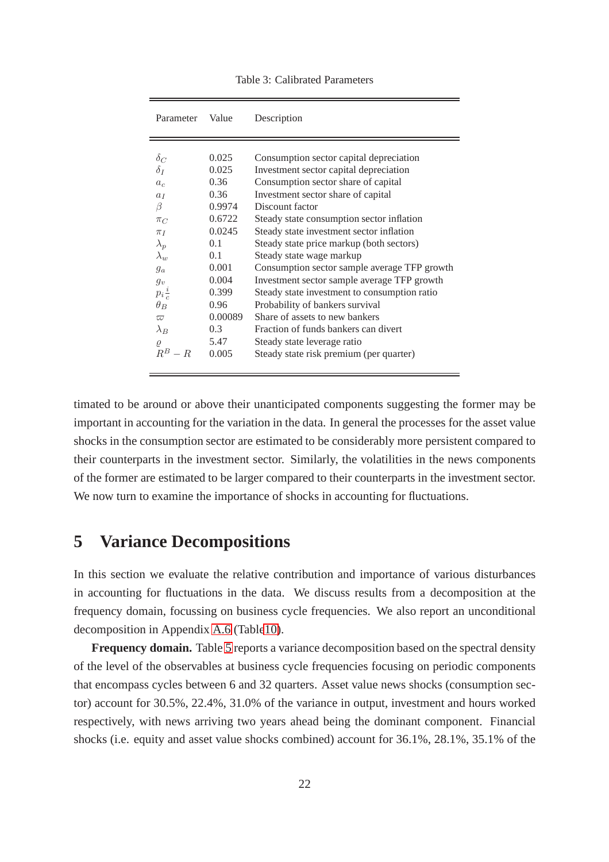<span id="page-23-1"></span>

| Parameter            | Value   | Description                                  |
|----------------------|---------|----------------------------------------------|
|                      |         |                                              |
| $\delta_C$           | 0.025   | Consumption sector capital depreciation      |
| $\delta_I$           | 0.025   | Investment sector capital depreciation       |
| $a_c$                | 0.36    | Consumption sector share of capital          |
| a <sub>I</sub>       | 0.36    | Investment sector share of capital           |
| β                    | 0.9974  | Discount factor                              |
| $\pi_C$              | 0.6722  | Steady state consumption sector inflation    |
| $\pi_I$              | 0.0245  | Steady state investment sector inflation     |
| $\lambda_p$          | 0.1     | Steady state price markup (both sectors)     |
| $\lambda_{w}$        | 0.1     | Steady state wage markup                     |
| $g_a$                | 0.001   | Consumption sector sample average TFP growth |
| $g_{\boldsymbol{v}}$ | 0.004   | Investment sector sample average TFP growth  |
| $p_i\frac{i}{c}$     | 0.399   | Steady state investment to consumption ratio |
| $\theta_B$           | 0.96    | Probability of bankers survival              |
| $\varpi$             | 0.00089 | Share of assets to new bankers               |
| $\lambda_B$          | 0.3     | Fraction of funds bankers can divert         |
| $\varrho$            | 5.47    | Steady state leverage ratio                  |
| $R^B$<br>$- R$       | 0.005   | Steady state risk premium (per quarter)      |

timated to be around or above their unanticipated components suggesting the former may be important in accounting for the variation in the data. In general the processes for the asset value shocks in the consumption sector are estimated to be considerably more persistent compared to their counterparts in the investment sector. Similarly, the volatilities in the news components of the former are estimated to be larger compared to their counterparts in the investment sector. We now turn to examine the importance of shocks in accounting for fluctuations.

## <span id="page-23-0"></span>**5 Variance Decompositions**

In this section we evaluate the relative contribution and importance of various disturbances in accounting for fluctuations in the data. We discuss results from a decomposition at the frequency domain, focussing on business cycle frequencies. We also report an unconditional decomposition in Appendix [A.6](#page-53-0) (Tabl[e10\)](#page-56-0).

**Frequency domain.** Table [5](#page-27-0) reports a variance decomposition based on the spectral density of the level of the observables at business cycle frequencies focusing on periodic components that encompass cycles between 6 and 32 quarters. Asset value news shocks (consumption sector) account for 30.5%, 22.4%, 31.0% of the variance in output, investment and hours worked respectively, with news arriving two years ahead being the dominant component. Financial shocks (i.e. equity and asset value shocks combined) account for 36.1%, 28.1%, 35.1% of the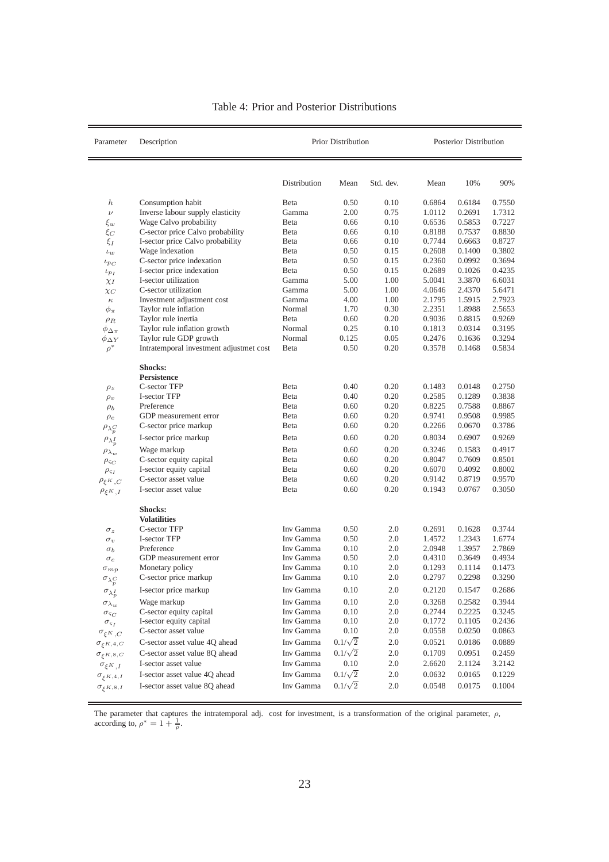<span id="page-24-0"></span>

| Parameter                      | Description                                            | <b>Prior Distribution</b> | Posterior Distribution |              |                  |                  |                  |
|--------------------------------|--------------------------------------------------------|---------------------------|------------------------|--------------|------------------|------------------|------------------|
|                                |                                                        | Distribution              | Mean                   | Std. dev.    | Mean             | 10%              | 90%              |
|                                |                                                        |                           |                        |              |                  |                  |                  |
| $\boldsymbol{h}$               | Consumption habit                                      | Beta                      | 0.50                   | 0.10         | 0.6864           | 0.6184           | 0.7550           |
| $\nu$                          | Inverse labour supply elasticity                       | Gamma                     | 2.00                   | 0.75         | 1.0112           | 0.2691           | 1.7312           |
| $\xi_w$                        | Wage Calvo probability                                 | Beta                      | 0.66                   | 0.10         | 0.6536           | 0.5853           | 0.7227           |
| $\xi_C$                        | C-sector price Calvo probability                       | Beta                      | 0.66                   | 0.10         | 0.8188           | 0.7537           | 0.8830           |
| $\xi_I$                        | I-sector price Calvo probability                       | Beta                      | 0.66                   | 0.10         | 0.7744           | 0.6663           | 0.8727           |
| $\iota_w$                      | Wage indexation                                        | Beta                      | 0.50                   | 0.15         | 0.2608           | 0.1400           | 0.3802           |
| $\iota_{p_C}$                  | C-sector price indexation<br>I-sector price indexation | Beta<br>Beta              | 0.50<br>0.50           | 0.15<br>0.15 | 0.2360<br>0.2689 | 0.0992<br>0.1026 | 0.3694<br>0.4235 |
| $\iota_{p_I}$                  | I-sector utilization                                   | Gamma                     | 5.00                   | 1.00         | 5.0041           | 3.3870           | 6.6031           |
| $\chi_I$                       | C-sector utilization                                   | Gamma                     | 5.00                   | 1.00         | 4.0646           | 2.4370           | 5.6471           |
| $\chi_C$<br>$\kappa$           | Investment adjustment cost                             | Gamma                     | 4.00                   | 1.00         | 2.1795           | 1.5915           | 2.7923           |
| $\phi_\pi$                     | Taylor rule inflation                                  | Normal                    | 1.70                   | 0.30         | 2.2351           | 1.8988           | 2.5653           |
| $\rho_R$                       | Taylor rule inertia                                    | Beta                      | 0.60                   | 0.20         | 0.9036           | 0.8815           | 0.9269           |
| $\phi_{\Delta \pi}$            | Taylor rule inflation growth                           | Normal                    | 0.25                   | 0.10         | 0.1813           | 0.0314           | 0.3195           |
| $\phi_{\Delta Y}$              | Taylor rule GDP growth                                 | Normal                    | 0.125                  | 0.05         | 0.2476           | 0.1636           | 0.3294           |
| $\rho^*$                       | Intratemporal investment adjustmet cost                | Beta                      | 0.50                   | 0.20         | 0.3578           | 0.1468           | 0.5834           |
|                                | Shocks:                                                |                           |                        |              |                  |                  |                  |
|                                | Persistence                                            |                           |                        |              |                  |                  |                  |
| $\rho_z$                       | C-sector TFP                                           | Beta                      | 0.40                   | 0.20         | 0.1483           | 0.0148           | 0.2750           |
| $\rho_v$                       | I-sector TFP                                           | Beta                      | 0.40                   | 0.20         | 0.2585           | 0.1289           | 0.3838           |
| $\rho_b$                       | Preference                                             | Beta                      | 0.60                   | 0.20         | 0.8225           | 0.7588           | 0.8867           |
| $\rho_e$                       | GDP measurement error                                  | Beta                      | 0.60                   | 0.20         | 0.9741           | 0.9508           | 0.9985           |
| $\rho_{\lambda_p^C}$           | C-sector price markup                                  | Beta                      | 0.60                   | 0.20         | 0.2266           | 0.0670           | 0.3786           |
| $\rho_{\lambda_p^I}$           | I-sector price markup                                  | Beta                      | 0.60                   | 0.20         | 0.8034           | 0.6907           | 0.9269           |
| $\rho_{\lambda_w}$             | Wage markup                                            | Beta                      | 0.60                   | 0.20         | 0.3246           | 0.1583           | 0.4917           |
| $\rho_{\varsigma_C}$           | C-sector equity capital                                | Beta                      | 0.60                   | 0.20         | 0.8047           | 0.7609           | 0.8501           |
| $\rho_{\varsigma_I}$           | I-sector equity capital                                | Beta                      | 0.60                   | 0.20         | 0.6070           | 0.4092           | 0.8002           |
| $\rho_{\xi^K,C}$               | C-sector asset value                                   | Beta                      | 0.60                   | 0.20         | 0.9142           | 0.8719           | 0.9570           |
| $\rho_{\xi^K,I}$               | I-sector asset value                                   | Beta                      | 0.60                   | 0.20         | 0.1943           | 0.0767           | 0.3050           |
|                                | <b>Shocks:</b>                                         |                           |                        |              |                  |                  |                  |
|                                | <b>Volatilities</b>                                    |                           |                        |              |                  |                  |                  |
| $\sigma_z$                     | C-sector TFP                                           | Inv Gamma                 | 0.50                   | 2.0          | 0.2691           | 0.1628           | 0.3744           |
| $\sigma_v$                     | I-sector TFP                                           | Inv Gamma                 | 0.50                   | 2.0          | 1.4572           | 1.2343           | 1.6774           |
| $\sigma_b$                     | Preference                                             | Inv Gamma                 | 0.10                   | 2.0          | 2.0948           | 1.3957           | 2.7869           |
| $\sigma_e$                     | GDP measurement error                                  | Inv Gamma                 | 0.50                   | 2.0          | 0.4310           | 0.3649           | 0.4934           |
| $\sigma_{mp}$                  | Monetary policy                                        | Inv Gamma                 | 0.10                   | 2.0          | 0.1293           | 0.1114           | 0.1473           |
| $\sigma_{\lambda}C$            | C-sector price markup                                  | Inv Gamma                 | 0.10                   | 2.0          | 0.2797           | 0.2298           | 0.3290           |
| $\sigma_{\lambda_p^I}$         | I-sector price markup                                  | Inv Gamma                 | 0.10                   | 2.0          | 0.2120           | 0.1547           | 0.2686           |
| $\sigma_{\lambda_w}$           | Wage markup                                            | Inv Gamma                 | 0.10                   | 2.0          | 0.3268           | 0.2582           | 0.3944           |
| $\sigma_{\varsigma_C}$         | C-sector equity capital                                | Inv Gamma                 | 0.10                   | $2.0\,$      | 0.2744           | 0.2225           | 0.3245           |
| $\sigma_{\varsigma_I}$         | I-sector equity capital                                | Inv Gamma                 | 0.10                   | 2.0          | 0.1772           | 0.1105           | 0.2436           |
| $\sigma_{\xi^K,C}$             | C-sector asset value                                   | Inv Gamma                 | 0.10                   | 2.0          | 0.0558           | 0.0250           | 0.0863           |
| $\sigma_{\xi^{K,4,C}}$         | C-sector asset value 4Q ahead                          | Inv Gamma                 | $0.1/\sqrt{2}$         | 2.0          | 0.0521           | 0.0186           | 0.0889           |
| $\sigma_{\varepsilon^{K,8,C}}$ | C-sector asset value 8Q ahead                          | Inv Gamma                 | $0.1/\sqrt{2}$         | 2.0          | 0.1709           | 0.0951           | 0.2459           |
| $\sigma_{\xi^K,I}$             | I-sector asset value                                   | Inv Gamma                 | $0.10\,$               | 2.0          | 2.6620           | 2.1124           | 3.2142           |
| $\sigma_{\xi^{K,4,I}}$         | I-sector asset value 4Q ahead                          | Inv Gamma                 | $0.1/\sqrt{2}$         | $2.0\,$      | 0.0632           | 0.0165           | 0.1229           |
| $\sigma_{\xi^{K,8,I}}$         | I-sector asset value 8Q ahead                          | Inv Gamma                 | $0.1/\sqrt{2}$         | 2.0          | 0.0548           | 0.0175           | 0.1004           |

#### Table 4: Prior and Posterior Distributions

The parameter that captures the intratemporal adj. cost for investment, is a transformation of the original parameter,  $\rho$ , according to,  $\rho^* = 1 + \frac{1}{\rho}$ .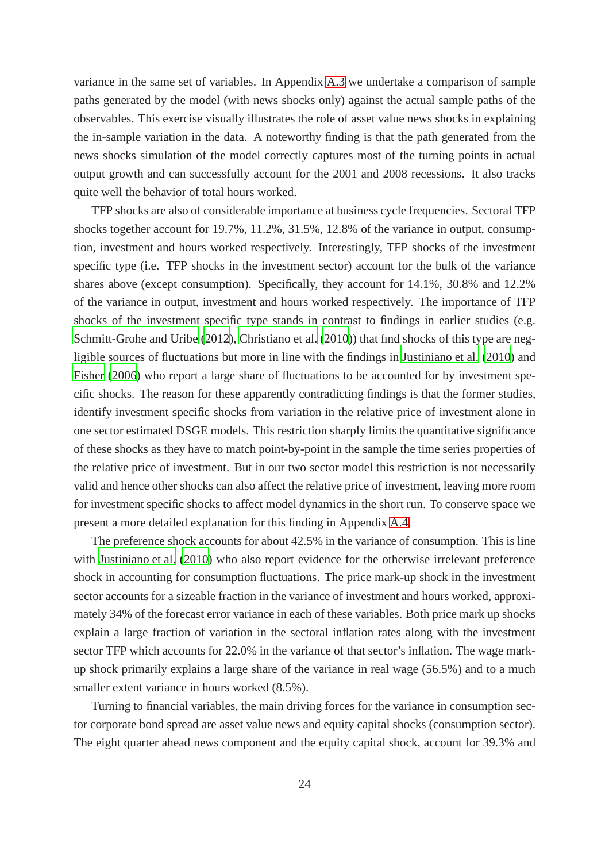variance in the same set of variables. In Appendix [A.3](#page-48-0) we undertake a comparison of sample paths generated by the model (with news shocks only) against the actual sample paths of the observables. This exercise visually illustrates the role of asset value news shocks in explaining the in-sample variation in the data. A noteworthy finding is that the path generated from the news shocks simulation of the model correctly captures most of the turning points in actual output growth and can successfully account for the 2001 and 2008 recessions. It also tracks quite well the behavior of total hours worked.

TFP shocks are also of considerable importance at business cycle frequencies. Sectoral TFP shocks together account for 19.7%, 11.2%, 31.5%, 12.8% of the variance in output, consumption, investment and hours worked respectively. Interestingly, TFP shocks of the investment specific type (i.e. TFP shocks in the investment sector) account for the bulk of the variance shares above (except consumption). Specifically, they account for 14.1%, 30.8% and 12.2% of the variance in output, investment and hours worked respectively. The importance of TFP shocks of the investment specific type stands in contrast to findings in earlier studies (e.g. [Schmitt-Grohe and Uribe \(2012](#page-41-5)), [Christiano et al.](#page-38-1) [\(2010\)](#page-38-1)) that find shocks of this type are negligible sources of fluctuations but more in line with the findings in [Justiniano et al.](#page-40-13) [\(2010\)](#page-40-13) and [Fisher \(2006](#page-39-12)) who report a large share of fluctuations to be accounted for by investment specific shocks. The reason for these apparently contradicting findings is that the former studies, identify investment specific shocks from variation in the relative price of investment alone in one sector estimated DSGE models. This restriction sharply limits the quantitative significance of these shocks as they have to match point-by-point in the sample the time series properties of the relative price of investment. But in our two sector model this restriction is not necessarily valid and hence other shocks can also affect the relative price of investment, leaving more room for investment specific shocks to affect model dynamics in the short run. To conserve space we present a more detailed explanation for this finding in Appendix [A.4.](#page-50-0)

The preference shock accounts for about 42.5% in the variance of consumption. This is line with [Justiniano et al.](#page-40-13) [\(2010\)](#page-40-13) who also report evidence for the otherwise irrelevant preference shock in accounting for consumption fluctuations. The price mark-up shock in the investment sector accounts for a sizeable fraction in the variance of investment and hours worked, approximately 34% of the forecast error variance in each of these variables. Both price mark up shocks explain a large fraction of variation in the sectoral inflation rates along with the investment sector TFP which accounts for 22.0% in the variance of that sector's inflation. The wage markup shock primarily explains a large share of the variance in real wage (56.5%) and to a much smaller extent variance in hours worked (8.5%).

Turning to financial variables, the main driving forces for the variance in consumption sector corporate bond spread are asset value news and equity capital shocks (consumption sector). The eight quarter ahead news component and the equity capital shock, account for 39.3% and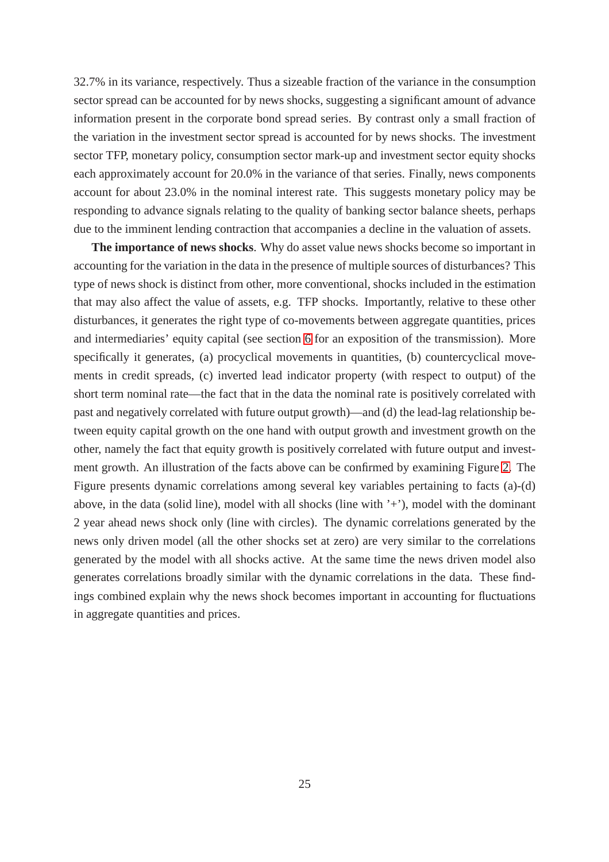32.7% in its variance, respectively. Thus a sizeable fraction of the variance in the consumption sector spread can be accounted for by news shocks, suggesting a significant amount of advance information present in the corporate bond spread series. By contrast only a small fraction of the variation in the investment sector spread is accounted for by news shocks. The investment sector TFP, monetary policy, consumption sector mark-up and investment sector equity shocks each approximately account for 20.0% in the variance of that series. Finally, news components account for about 23.0% in the nominal interest rate. This suggests monetary policy may be responding to advance signals relating to the quality of banking sector balance sheets, perhaps due to the imminent lending contraction that accompanies a decline in the valuation of assets.

**The importance of news shocks**. Why do asset value news shocks become so important in accounting for the variation in the data in the presence of multiple sources of disturbances? This type of news shock is distinct from other, more conventional, shocks included in the estimation that may also affect the value of assets, e.g. TFP shocks. Importantly, relative to these other disturbances, it generates the right type of co-movements between aggregate quantities, prices and intermediaries' equity capital (see section [6](#page-29-0) for an exposition of the transmission). More specifically it generates, (a) procyclical movements in quantities, (b) countercyclical movements in credit spreads, (c) inverted lead indicator property (with respect to output) of the short term nominal rate—the fact that in the data the nominal rate is positively correlated with past and negatively correlated with future output growth)—and (d) the lead-lag relationship between equity capital growth on the one hand with output growth and investment growth on the other, namely the fact that equity growth is positively correlated with future output and investment growth. An illustration of the facts above can be confirmed by examining Figure [2.](#page-28-0) The Figure presents dynamic correlations among several key variables pertaining to facts (a)-(d) above, in the data (solid line), model with all shocks (line with  $'$ +'), model with the dominant 2 year ahead news shock only (line with circles). The dynamic correlations generated by the news only driven model (all the other shocks set at zero) are very similar to the correlations generated by the model with all shocks active. At the same time the news driven model also generates correlations broadly similar with the dynamic correlations in the data. These findings combined explain why the news shock becomes important in accounting for fluctuations in aggregate quantities and prices.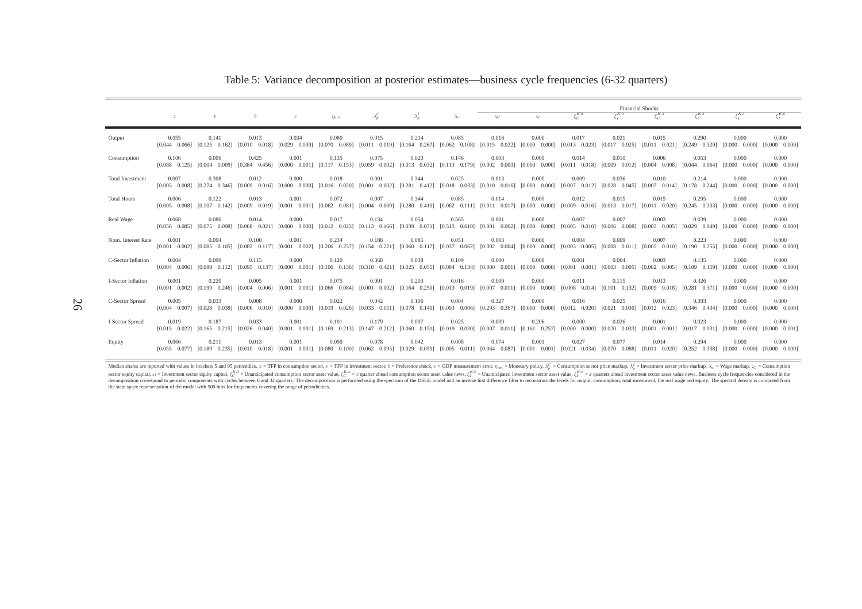| $\xi_I^{K,0}$<br>$\xi_I^{R,4}$<br>$\xi_C^{K,0}$<br>$\xi_{\alpha}^{K,4}$<br>$\xi_c^{K,8}$<br>$\lambda_p^I$<br>$\lambda_n^C$<br>$\lambda_{w}$<br>$\varsigma_I$<br>b<br>$-5c$<br>$\boldsymbol{z}$<br>$\boldsymbol{v}$<br>$\boldsymbol{e}$<br>$\eta_{em}$<br>0.080<br>0.214<br>0.085<br>0.018<br>0.017<br>0.290<br>0.000<br>0.055<br>0.141<br>0.013<br>0.034<br>0.015<br>0.000<br>0.021<br>0.015<br>Output<br>$[0.029 \quad 0.039]$ $[0.070 \quad 0.089]$ $[0.011 \quad 0.019]$ $[0.164 \quad 0.267]$ $[0.062 \quad 0.108]$ $[0.015 \quad 0.022]$ $[0.000 \quad 0.000]$<br>$[0.013 \quad 0.023]$<br>$[0.017 \quad 0.025] \quad [0.011 \quad 0.021] \quad [0.249 \quad 0.329] \quad [0.000 \quad 0.000]$<br>$[0.125 \quad 0.162]$<br>$[0.010 \quad 0.018]$<br>$[0.044 \quad 0.066]$<br>0.006<br>0.425<br>0.135<br>0.053<br>0.106<br>0.075<br>0.020<br>0.146<br>0.003<br>0.000<br>0.014<br>0.010<br>0.006<br>0.000<br>0.001<br>Consumption<br>$[0.000 \quad 0.001]$ $[0.117 \quad 0.153]$ $[0.059 \quad 0.092]$ $[0.013 \quad 0.032]$ $[0.113 \quad 0.179]$ $[0.002 \quad 0.003]$ $[0.000 \quad 0.000]$<br>$[0.011 \quad 0.018]$ $[0.009 \quad 0.012]$ $[0.004 \quad 0.008]$ $[0.044 \quad 0.064]$ $[0.000 \quad 0.000]$<br>[0.088 0.125] [0.004 0.009] [0.384 0.456]<br><b>Total Investment</b><br>0.007<br>0.308<br>0.012<br>0.000<br>0.018<br>0.001<br>0.344<br>0.025<br>0.013<br>0.000<br>0.009<br>0.036<br>0.010<br>0.214<br>0.000<br>$[0.016 \quad 0.020] \quad [0.001 \quad 0.002] \quad [0.281 \quad 0.412] \quad [0.018 \quad 0.033]$<br>$[0.010 \quad 0.016] \quad [0.000 \quad 0.000]$<br>$[0.007 \quad 0.012] \quad [0.028 \quad 0.045] \quad [0.007 \quad 0.014] \quad [0.178 \quad 0.244] \quad [0.000 \quad 0.000]$<br>$[0.274 \quad 0.346]$<br>$[0.009 \quad 0.016]$<br>$[0.000 \quad 0.000]$<br>$[0.005 \quad 0.008]$<br>0.122<br>0.072<br>0.013<br>0.001<br>0.007<br>0.344<br>0.085<br>0.014<br>0.012<br>0.015<br>0.015<br>0.295<br>0.000<br><b>Total Hours</b><br>0.006<br>0.000<br>$[0.009 \quad 0.019]$<br>[0.001 0.001] [0.062 0.0811 [0.004 0.0091 [0.280 0.4101 [0.062 0.1111 [0.011 0.017] [0.000 0.0001<br>$[0.009 \quad 0.016] \quad [0.013 \quad 0.017]$<br>$[0.107 \quad 0.142]$<br>[0.011 0.020] [0.245 0.333]<br>[0.000 0.000]<br>$[0.005 \quad 0.008]$<br>0.086<br>0.017<br>0.134<br>0.565<br>0.007<br>0.007<br>0.003<br>0.039<br>0.000<br>Real Wage<br>0.068<br>0.014<br>0.000<br>0.054<br>0.001<br>0.000<br>$[0.008 \quad 0.021]$<br>$[0.000 \quad 0.000]$ $[0.012 \quad 0.023]$ $[0.113 \quad 0.166]$ $[0.039 \quad 0.071]$ $[0.513 \quad 0.610]$ $[0.001 \quad 0.002]$ $[0.000 \quad 0.000]$<br>$[0.005 \quad 0.010] \quad [0.006 \quad 0.008] \quad [0.003 \quad 0.005] \quad [0.029 \quad 0.049] \quad [0.000 \quad 0.000]$<br>$[0.075 \quad 0.098]$<br>$[0.056 \quad 0.085]$<br>0.223<br>0.000<br>0.001<br>0.094<br>0.100<br>0.001<br>0.234<br>0.188<br>0.085<br>0.051<br>0.003<br>0.000<br>0.004<br>0.009<br>0.007<br>Nom. Interest Rate<br>$[0.082 \quad 0.117]$<br>$[0.001 \quad 0.002]$ $[0.206 \quad 0.257]$ $[0.154 \quad 0.221]$ $[0.060 \quad 0.117]$ $[0.037 \quad 0.062]$ $[0.002 \quad 0.004]$ $[0.000 \quad 0.000]$<br>$[0.003 \quad 0.005]$<br>$[0.008 \quad 0.011] \quad [0.005 \quad 0.010] \quad [0.190 \quad 0.255] \quad [0.000 \quad 0.000]$<br>$[0.001 \quad 0.002]$<br>$[0.085 \quad 0.105]$<br>0.004<br>0.099<br>0.115<br>0.120<br>0.368<br>0.038<br>0.109<br>0.004<br>0.003<br>0.135<br>0.000<br>0.000<br>0.000<br>0.000<br>0.001<br>C-Sector Inflation |                                |
|-----------------------------------------------------------------------------------------------------------------------------------------------------------------------------------------------------------------------------------------------------------------------------------------------------------------------------------------------------------------------------------------------------------------------------------------------------------------------------------------------------------------------------------------------------------------------------------------------------------------------------------------------------------------------------------------------------------------------------------------------------------------------------------------------------------------------------------------------------------------------------------------------------------------------------------------------------------------------------------------------------------------------------------------------------------------------------------------------------------------------------------------------------------------------------------------------------------------------------------------------------------------------------------------------------------------------------------------------------------------------------------------------------------------------------------------------------------------------------------------------------------------------------------------------------------------------------------------------------------------------------------------------------------------------------------------------------------------------------------------------------------------------------------------------------------------------------------------------------------------------------------------------------------------------------------------------------------------------------------------------------------------------------------------------------------------------------------------------------------------------------------------------------------------------------------------------------------------------------------------------------------------------------------------------------------------------------------------------------------------------------------------------------------------------------------------------------------------------------------------------------------------------------------------------------------------------------------------------------------------------------------------------------------------------------------------------------------------------------------------------------------------------------------------------------------------------------------------------------------------------------------------------------------------------------------------------------------------------------------------------------------------------------------------------------------------------------------------------------------------------------------------------------------------------------------------------------------------------------------------------------------------------------------------------------------------------------------------------------------------------------------------------------------------------------------------------------------------------------------------------------------------|--------------------------------|
|                                                                                                                                                                                                                                                                                                                                                                                                                                                                                                                                                                                                                                                                                                                                                                                                                                                                                                                                                                                                                                                                                                                                                                                                                                                                                                                                                                                                                                                                                                                                                                                                                                                                                                                                                                                                                                                                                                                                                                                                                                                                                                                                                                                                                                                                                                                                                                                                                                                                                                                                                                                                                                                                                                                                                                                                                                                                                                                                                                                                                                                                                                                                                                                                                                                                                                                                                                                                                                                                                                                 |                                |
|                                                                                                                                                                                                                                                                                                                                                                                                                                                                                                                                                                                                                                                                                                                                                                                                                                                                                                                                                                                                                                                                                                                                                                                                                                                                                                                                                                                                                                                                                                                                                                                                                                                                                                                                                                                                                                                                                                                                                                                                                                                                                                                                                                                                                                                                                                                                                                                                                                                                                                                                                                                                                                                                                                                                                                                                                                                                                                                                                                                                                                                                                                                                                                                                                                                                                                                                                                                                                                                                                                                 | 0.000<br>$[0.000 \quad 0.000]$ |
|                                                                                                                                                                                                                                                                                                                                                                                                                                                                                                                                                                                                                                                                                                                                                                                                                                                                                                                                                                                                                                                                                                                                                                                                                                                                                                                                                                                                                                                                                                                                                                                                                                                                                                                                                                                                                                                                                                                                                                                                                                                                                                                                                                                                                                                                                                                                                                                                                                                                                                                                                                                                                                                                                                                                                                                                                                                                                                                                                                                                                                                                                                                                                                                                                                                                                                                                                                                                                                                                                                                 | 0.000<br>$[0.000 \quad 0.000]$ |
|                                                                                                                                                                                                                                                                                                                                                                                                                                                                                                                                                                                                                                                                                                                                                                                                                                                                                                                                                                                                                                                                                                                                                                                                                                                                                                                                                                                                                                                                                                                                                                                                                                                                                                                                                                                                                                                                                                                                                                                                                                                                                                                                                                                                                                                                                                                                                                                                                                                                                                                                                                                                                                                                                                                                                                                                                                                                                                                                                                                                                                                                                                                                                                                                                                                                                                                                                                                                                                                                                                                 | 0.000<br>$[0.000 \quad 0.000]$ |
|                                                                                                                                                                                                                                                                                                                                                                                                                                                                                                                                                                                                                                                                                                                                                                                                                                                                                                                                                                                                                                                                                                                                                                                                                                                                                                                                                                                                                                                                                                                                                                                                                                                                                                                                                                                                                                                                                                                                                                                                                                                                                                                                                                                                                                                                                                                                                                                                                                                                                                                                                                                                                                                                                                                                                                                                                                                                                                                                                                                                                                                                                                                                                                                                                                                                                                                                                                                                                                                                                                                 | 0.000<br>$[0.000 \quad 0.000]$ |
|                                                                                                                                                                                                                                                                                                                                                                                                                                                                                                                                                                                                                                                                                                                                                                                                                                                                                                                                                                                                                                                                                                                                                                                                                                                                                                                                                                                                                                                                                                                                                                                                                                                                                                                                                                                                                                                                                                                                                                                                                                                                                                                                                                                                                                                                                                                                                                                                                                                                                                                                                                                                                                                                                                                                                                                                                                                                                                                                                                                                                                                                                                                                                                                                                                                                                                                                                                                                                                                                                                                 | 0.000<br>$[0.000 \quad 0.000]$ |
|                                                                                                                                                                                                                                                                                                                                                                                                                                                                                                                                                                                                                                                                                                                                                                                                                                                                                                                                                                                                                                                                                                                                                                                                                                                                                                                                                                                                                                                                                                                                                                                                                                                                                                                                                                                                                                                                                                                                                                                                                                                                                                                                                                                                                                                                                                                                                                                                                                                                                                                                                                                                                                                                                                                                                                                                                                                                                                                                                                                                                                                                                                                                                                                                                                                                                                                                                                                                                                                                                                                 | 0.000<br>$[0.000 \quad 0.000]$ |
| $[0.089 \quad 0.112] \quad [0.095 \quad 0.137]$<br>$[0.000 \quad 0.001]$ $[0.106 \quad 0.136]$ $[0.310 \quad 0.421]$ $[0.025 \quad 0.055]$ $[0.084 \quad 0.134]$ $[0.000 \quad 0.001]$ $[0.000 \quad 0.000]$<br>$[0.001 \quad 0.001]$<br>$[0.003 \quad 0.005]$<br>$[0.002 \quad 0.005] \quad [0.109 \quad 0.159] \quad [0.000 \quad 0.000]$<br>$[0.004 \quad 0.006]$                                                                                                                                                                                                                                                                                                                                                                                                                                                                                                                                                                                                                                                                                                                                                                                                                                                                                                                                                                                                                                                                                                                                                                                                                                                                                                                                                                                                                                                                                                                                                                                                                                                                                                                                                                                                                                                                                                                                                                                                                                                                                                                                                                                                                                                                                                                                                                                                                                                                                                                                                                                                                                                                                                                                                                                                                                                                                                                                                                                                                                                                                                                                            | 0.000<br>$[0.000 \quad 0.000]$ |
| 0.220<br>0.075<br>0.203<br>0.016<br>0.115<br>0.326<br>0.000<br>0.001<br>0.005<br>0.001<br>0.001<br>0.009<br>0.000<br>0.011<br>0.013<br>I-Sector Inflation<br>$[0.001 \quad 0.001]$ $[0.066 \quad 0.084]$ $[0.001 \quad 0.002]$ $[0.164 \quad 0.250]$ $[0.013 \quad 0.019]$ $[0.007 \quad 0.011]$ $[0.000 \quad 0.000]$<br>$[0.008 \quad 0.014] \quad [0.101 \quad 0.132] \quad [0.009 \quad 0.018] \quad [0.281 \quad 0.371] \quad [0.000 \quad 0.000]$<br>$[0.199 \quad 0.246] \quad [0.004 \quad 0.006]$<br>$[0.001 \quad 0.002]$                                                                                                                                                                                                                                                                                                                                                                                                                                                                                                                                                                                                                                                                                                                                                                                                                                                                                                                                                                                                                                                                                                                                                                                                                                                                                                                                                                                                                                                                                                                                                                                                                                                                                                                                                                                                                                                                                                                                                                                                                                                                                                                                                                                                                                                                                                                                                                                                                                                                                                                                                                                                                                                                                                                                                                                                                                                                                                                                                                             | 0.000<br>$[0.000 \quad 0.000]$ |
| 0.005<br>0.033<br>0.000<br>0.022<br>0.042<br>0.106<br>0.004<br>0.327<br>0.000<br>0.016<br>0.025<br>0.016<br>0.393<br>0.000<br>0.008<br>C-Sector Spread<br>$[0.006 \quad 0.010]$<br>$[0.000 \quad 0.000]$<br>$[0.019 \quad 0.026] \quad [0.033 \quad 0.051] \quad [0.078 \quad 0.141] \quad [0.003 \quad 0.006] \quad [0.293 \quad 0.367] \quad [0.000 \quad 0.000]$<br>$[0.012 \quad 0.020]$ $[0.021 \quad 0.030]$ $[0.012 \quad 0.023]$ $[0.346 \quad 0.434]$ $[0.000 \quad 0.000]$<br>$[0.004 \quad 0.007]$<br>$[0.028 \quad 0.038]$                                                                                                                                                                                                                                                                                                                                                                                                                                                                                                                                                                                                                                                                                                                                                                                                                                                                                                                                                                                                                                                                                                                                                                                                                                                                                                                                                                                                                                                                                                                                                                                                                                                                                                                                                                                                                                                                                                                                                                                                                                                                                                                                                                                                                                                                                                                                                                                                                                                                                                                                                                                                                                                                                                                                                                                                                                                                                                                                                                          | 0.000<br>$[0.000 \quad 0.000]$ |
| 0.187<br>0.191<br>0.179<br>0.097<br>0.025<br>0.206<br>0.000<br>0.026<br>0.001<br>0.023<br>0.000<br>0.019<br>0.033<br>0.001<br>0.009<br><b>I-Sector Spread</b><br>$[0.165 \t 0.215] \t [0.026 \t 0.040]$<br>$[0.001 \quad 0.001]$ $[0.169 \quad 0.213]$ $[0.147 \quad 0.212]$ $[0.060 \quad 0.151]$ $[0.019 \quad 0.030]$ $[0.007 \quad 0.011]$ $[0.161 \quad 0.257]$<br>$[0.000 \quad 0.000]$<br>$[0.020 \quad 0.033]$ $[0.001 \quad 0.001]$ $[0.017 \quad 0.031]$ $[0.000 \quad 0.000]$<br>$[0.015 \quad 0.022]$                                                                                                                                                                                                                                                                                                                                                                                                                                                                                                                                                                                                                                                                                                                                                                                                                                                                                                                                                                                                                                                                                                                                                                                                                                                                                                                                                                                                                                                                                                                                                                                                                                                                                                                                                                                                                                                                                                                                                                                                                                                                                                                                                                                                                                                                                                                                                                                                                                                                                                                                                                                                                                                                                                                                                                                                                                                                                                                                                                                               | 0.000<br>$[0.000 \quad 0.001]$ |
| 0.211<br>0.001<br>0.090<br>0.078<br>0.042<br>0.008<br>0.027<br>0.077<br>0.014<br>0.294<br>0.000<br>0.013<br>0.074<br>0.001<br>Equity<br>0.066<br>$[0.055 \quad 0.077]$ $[0.189 \quad 0.235]$ $[0.010 \quad 0.018]$ $[0.001 \quad 0.001]$ $[0.080 \quad 0.100]$ $[0.062 \quad 0.095]$ $[0.029 \quad 0.059]$ $[0.005 \quad 0.011]$ $[0.064 \quad 0.087]$ $[0.001 \quad 0.001]$ $[0.021 \quad 0.034]$ $[0.070 \quad 0.088]$ $[0.0$                                                                                                                                                                                                                                                                                                                                                                                                                                                                                                                                                                                                                                                                                                                                                                                                                                                                                                                                                                                                                                                                                                                                                                                                                                                                                                                                                                                                                                                                                                                                                                                                                                                                                                                                                                                                                                                                                                                                                                                                                                                                                                                                                                                                                                                                                                                                                                                                                                                                                                                                                                                                                                                                                                                                                                                                                                                                                                                                                                                                                                                                                 | 0.000                          |

<span id="page-27-0"></span>Table 5: Variance decomposition at posterior estimates—business cycle frequencies (6-32 quarters)

Median shares are reported with values in brackets 5 and 95 percentiles. z = TFP in consumption sector,  $v =$  TFP in consumption sector,  $v =$  TFP in westment sector,  $b =$  Preference shock,  $e =$  GDP measurement error,  $\eta_{em$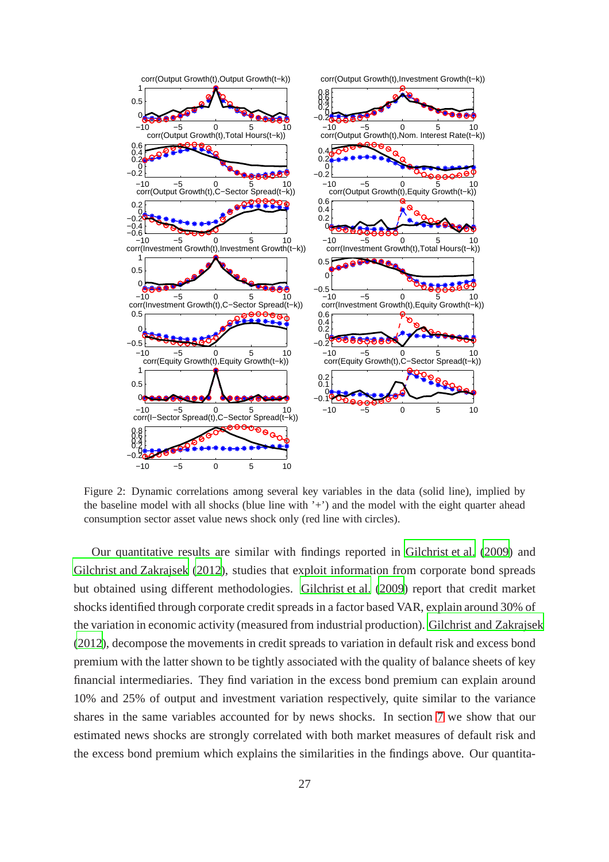<span id="page-28-0"></span>

Figure 2: Dynamic correlations among several key variables in the data (solid line), implied by the baseline model with all shocks (blue line with '+') and the model with the eight quarter ahead consumption sector asset value news shock only (red line with circles).

Our quantitative results are similar with findings reported in [Gilchrist et al. \(2009](#page-39-2)) and [Gilchrist and Zakrajsek \(2012\)](#page-39-3), studies that exploit information from corporate bond spreads but obtained using different methodologies. [Gilchrist et al.](#page-39-2) [\(2009\)](#page-39-2) report that credit market shocks identified through corporate credit spreads in a factor based VAR, explain around 30% of the variation in economic activity (measured from industrial production). [Gilchrist and Zakrajsek](#page-39-3) [\(2012\)](#page-39-3), decompose the movements in credit spreads to variation in default risk and excess bond premium with the latter shown to be tightly associated with the quality of balance sheets of key financial intermediaries. They find variation in the excess bond premium can explain around 10% and 25% of output and investment variation respectively, quite similar to the variance shares in the same variables accounted for by news shocks. In section [7](#page-32-0) we show that our estimated news shocks are strongly correlated with both market measures of default risk and the excess bond premium which explains the similarities in the findings above. Our quantita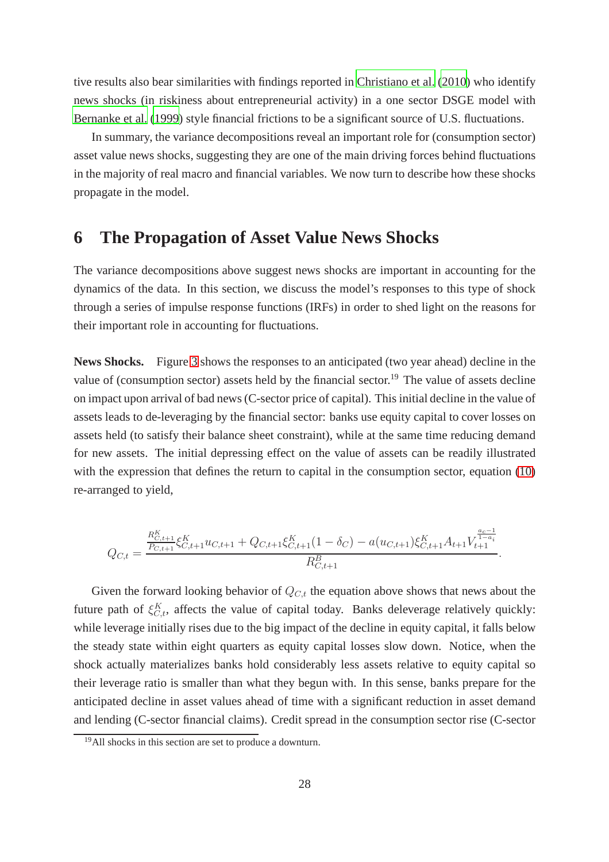tive results also bear similarities with findings reported in [Christiano et al.](#page-38-1) [\(2010\)](#page-38-1) who identify news shocks (in riskiness about entrepreneurial activity) in a one sector DSGE model with [Bernanke et al.](#page-38-3) [\(1999\)](#page-38-3) style financial frictions to be a significant source of U.S. fluctuations.

In summary, the variance decompositions reveal an important role for (consumption sector) asset value news shocks, suggesting they are one of the main driving forces behind fluctuations in the majority of real macro and financial variables. We now turn to describe how these shocks propagate in the model.

# <span id="page-29-0"></span>**6 The Propagation of Asset Value News Shocks**

The variance decompositions above suggest news shocks are important in accounting for the dynamics of the data. In this section, we discuss the model's responses to this type of shock through a series of impulse response functions (IRFs) in order to shed light on the reasons for their important role in accounting for fluctuations.

**News Shocks.** Figure [3](#page-31-0) shows the responses to an anticipated (two year ahead) decline in the value of (consumption sector) assets held by the financial sector.<sup>19</sup> The value of assets decline on impact upon arrival of bad news (C-sector price of capital). This initial decline in the value of assets leads to de-leveraging by the financial sector: banks use equity capital to cover losses on assets held (to satisfy their balance sheet constraint), while at the same time reducing demand for new assets. The initial depressing effect on the value of assets can be readily illustrated with the expression that defines the return to capital in the consumption sector, equation [\(10\)](#page-15-0) re-arranged to yield,

$$
Q_{C,t} = \frac{\frac{R_{C,t+1}^K}{P_{C,t+1}} \xi_{C,t+1}^K u_{C,t+1} + Q_{C,t+1} \xi_{C,t+1}^K (1 - \delta_C) - a(u_{C,t+1}) \xi_{C,t+1}^K A_{t+1} V_{t+1}^{\frac{a_c - 1}{1 - a_i}}}{R_{C,t+1}^B}.
$$

Given the forward looking behavior of  $Q_{C,t}$  the equation above shows that news about the future path of  $\xi_{C,t}^{K}$ , affects the value of capital today. Banks deleverage relatively quickly: while leverage initially rises due to the big impact of the decline in equity capital, it falls below the steady state within eight quarters as equity capital losses slow down. Notice, when the shock actually materializes banks hold considerably less assets relative to equity capital so their leverage ratio is smaller than what they begun with. In this sense, banks prepare for the anticipated decline in asset values ahead of time with a significant reduction in asset demand and lending (C-sector financial claims). Credit spread in the consumption sector rise (C-sector

<sup>&</sup>lt;sup>19</sup>All shocks in this section are set to produce a downturn.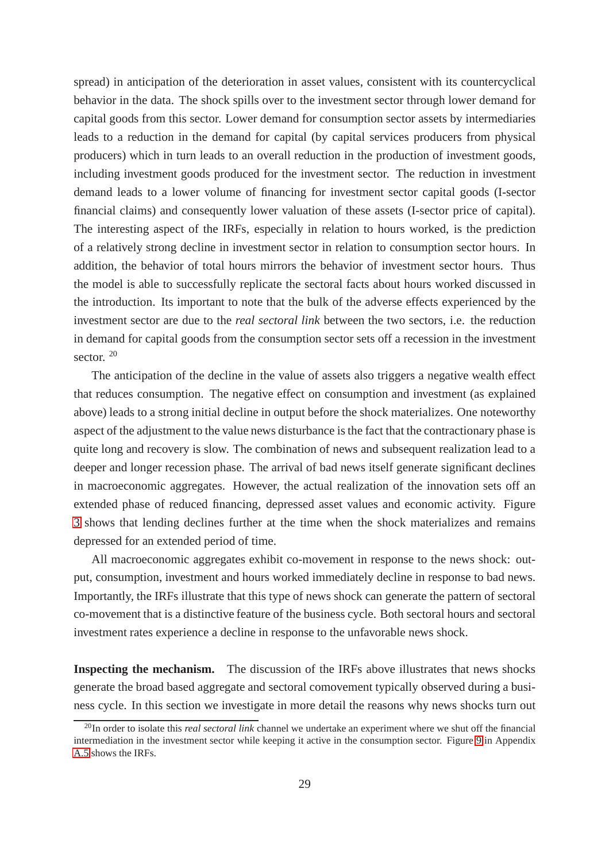spread) in anticipation of the deterioration in asset values, consistent with its countercyclical behavior in the data. The shock spills over to the investment sector through lower demand for capital goods from this sector. Lower demand for consumption sector assets by intermediaries leads to a reduction in the demand for capital (by capital services producers from physical producers) which in turn leads to an overall reduction in the production of investment goods, including investment goods produced for the investment sector. The reduction in investment demand leads to a lower volume of financing for investment sector capital goods (I-sector financial claims) and consequently lower valuation of these assets (I-sector price of capital). The interesting aspect of the IRFs, especially in relation to hours worked, is the prediction of a relatively strong decline in investment sector in relation to consumption sector hours. In addition, the behavior of total hours mirrors the behavior of investment sector hours. Thus the model is able to successfully replicate the sectoral facts about hours worked discussed in the introduction. Its important to note that the bulk of the adverse effects experienced by the investment sector are due to the *real sectoral link* between the two sectors, i.e. the reduction in demand for capital goods from the consumption sector sets off a recession in the investment sector.<sup>20</sup>

The anticipation of the decline in the value of assets also triggers a negative wealth effect that reduces consumption. The negative effect on consumption and investment (as explained above) leads to a strong initial decline in output before the shock materializes. One noteworthy aspect of the adjustment to the value news disturbance is the fact that the contractionary phase is quite long and recovery is slow. The combination of news and subsequent realization lead to a deeper and longer recession phase. The arrival of bad news itself generate significant declines in macroeconomic aggregates. However, the actual realization of the innovation sets off an extended phase of reduced financing, depressed asset values and economic activity. Figure [3](#page-31-0) shows that lending declines further at the time when the shock materializes and remains depressed for an extended period of time.

All macroeconomic aggregates exhibit co-movement in response to the news shock: output, consumption, investment and hours worked immediately decline in response to bad news. Importantly, the IRFs illustrate that this type of news shock can generate the pattern of sectoral co-movement that is a distinctive feature of the business cycle. Both sectoral hours and sectoral investment rates experience a decline in response to the unfavorable news shock.

**Inspecting the mechanism.** The discussion of the IRFs above illustrates that news shocks generate the broad based aggregate and sectoral comovement typically observed during a business cycle. In this section we investigate in more detail the reasons why news shocks turn out

<sup>20</sup>In order to isolate this *real sectoral link* channel we undertake an experiment where we shut off the financial intermediation in the investment sector while keeping it active in the consumption sector. Figure [9](#page-52-0) in Appendix [A.5](#page-52-1) shows the IRFs.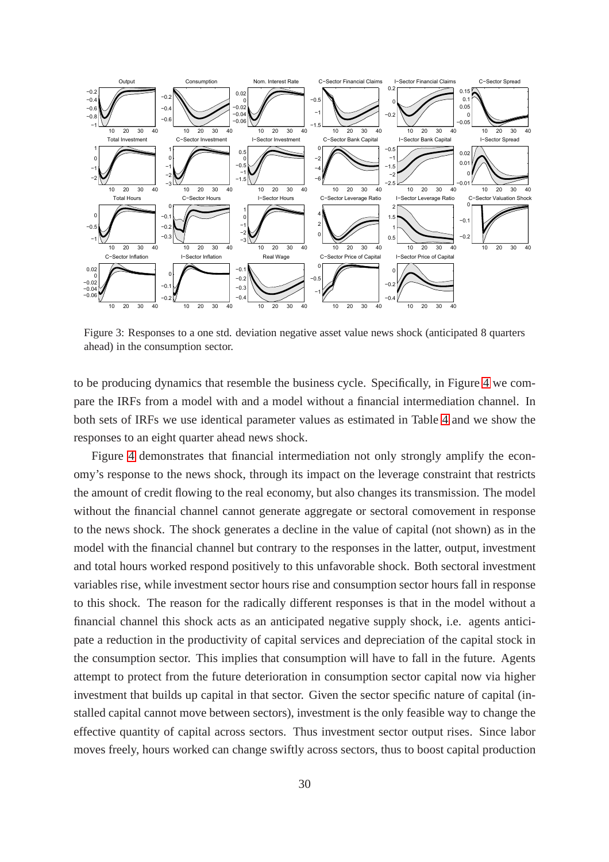<span id="page-31-0"></span>

Figure 3: Responses to a one std. deviation negative asset value news shock (anticipated 8 quarters ahead) in the consumption sector.

to be producing dynamics that resemble the business cycle. Specifically, in Figure [4](#page-32-1) we compare the IRFs from a model with and a model without a financial intermediation channel. In both sets of IRFs we use identical parameter values as estimated in Table [4](#page-24-0) and we show the responses to an eight quarter ahead news shock.

Figure [4](#page-32-1) demonstrates that financial intermediation not only strongly amplify the economy's response to the news shock, through its impact on the leverage constraint that restricts the amount of credit flowing to the real economy, but also changes its transmission. The model without the financial channel cannot generate aggregate or sectoral comovement in response to the news shock. The shock generates a decline in the value of capital (not shown) as in the model with the financial channel but contrary to the responses in the latter, output, investment and total hours worked respond positively to this unfavorable shock. Both sectoral investment variables rise, while investment sector hours rise and consumption sector hours fall in response to this shock. The reason for the radically different responses is that in the model without a financial channel this shock acts as an anticipated negative supply shock, i.e. agents anticipate a reduction in the productivity of capital services and depreciation of the capital stock in the consumption sector. This implies that consumption will have to fall in the future. Agents attempt to protect from the future deterioration in consumption sector capital now via higher investment that builds up capital in that sector. Given the sector specific nature of capital (installed capital cannot move between sectors), investment is the only feasible way to change the effective quantity of capital across sectors. Thus investment sector output rises. Since labor moves freely, hours worked can change swiftly across sectors, thus to boost capital production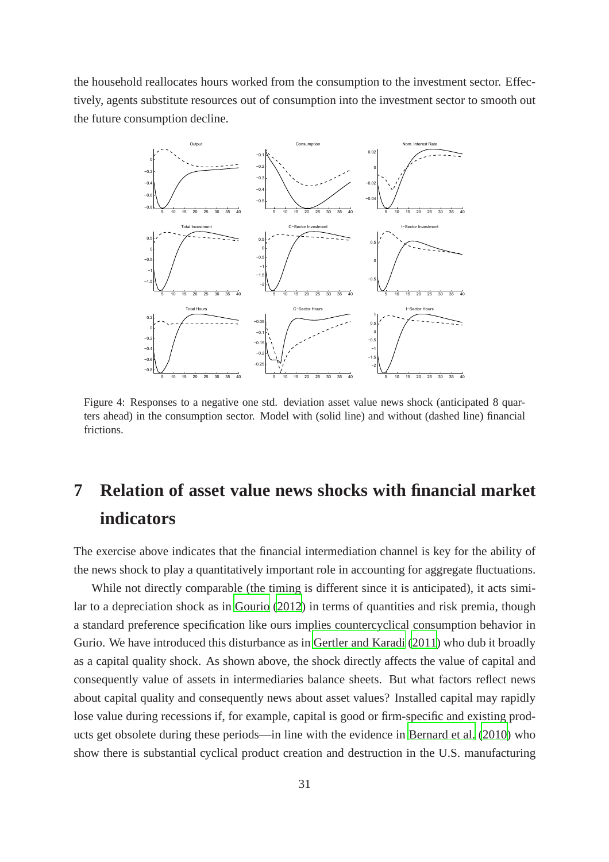<span id="page-32-1"></span>the household reallocates hours worked from the consumption to the investment sector. Effectively, agents substitute resources out of consumption into the investment sector to smooth out the future consumption decline.



Figure 4: Responses to a negative one std. deviation asset value news shock (anticipated 8 quarters ahead) in the consumption sector. Model with (solid line) and without (dashed line) financial frictions.

# <span id="page-32-0"></span>**7 Relation of asset value news shocks with financial market indicators**

The exercise above indicates that the financial intermediation channel is key for the ability of the news shock to play a quantitatively important role in accounting for aggregate fluctuations.

While not directly comparable (the timing is different since it is anticipated), it acts similar to a depreciation shock as in [Gourio](#page-40-1) [\(2012\)](#page-40-1) in terms of quantities and risk premia, though a standard preference specification like ours implies countercyclical consumption behavior in Gurio. We have introduced this disturbance as in [Gertler and](#page-39-0) Karadi [\(2011\)](#page-39-0) who dub it broadly as a capital quality shock. As shown above, the shock directly affects the value of capital and consequently value of assets in intermediaries balance sheets. But what factors reflect news about capital quality and consequently news about asset values? Installed capital may rapidly lose value during recessions if, for example, capital is good or firm-specific and existing products get obsolete during these periods—in line with the evidence in [Bernard et al. \(2010](#page-38-16)) who show there is substantial cyclical product creation and destruction in the U.S. manufacturing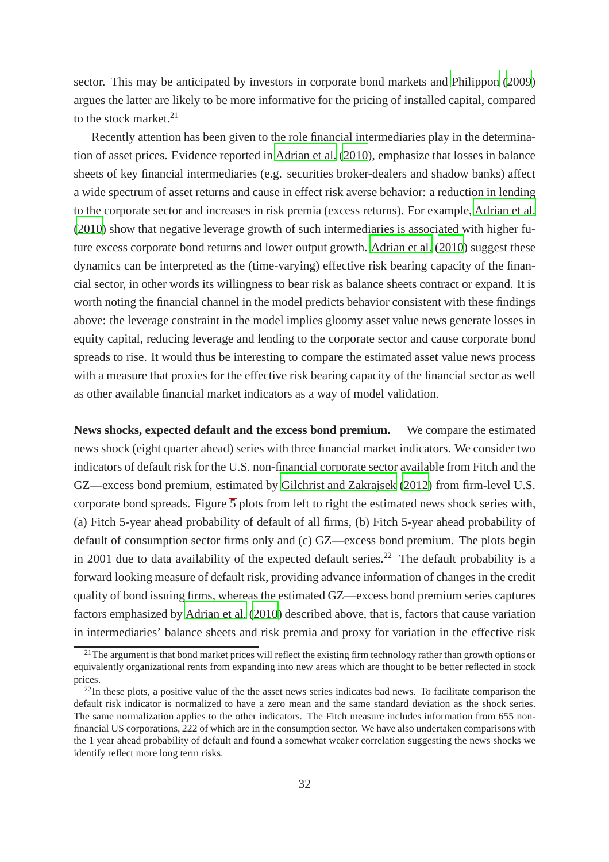sector. This may be anticipated by investors in corporate bond markets and [Philippon \(2009](#page-41-2)) argues the latter are likely to be more informative for the pricing of installed capital, compared to the stock market. $21$ 

Recently attention has been given to the role financial intermediaries play in the determination of asset prices. Evidence reported in [Adrian et al.](#page-37-6) [\(2010\)](#page-37-6), emphasize that losses in balance sheets of key financial intermediaries (e.g. securities broker-dealers and shadow banks) affect a wide spectrum of asset returns and cause in effect risk averse behavior: a reduction in lending to the corporate sector and increases in risk premia (excess returns). For example, [Adrian et al.](#page-37-6) [\(2010\)](#page-37-6) show that negative leverage growth of such intermediaries is associated with higher future excess corporate bond returns and lower output growth. [Adrian et al. \(2010\)](#page-37-6) suggest these dynamics can be interpreted as the (time-varying) effective risk bearing capacity of the financial sector, in other words its willingness to bear risk as balance sheets contract or expand. It is worth noting the financial channel in the model predicts behavior consistent with these findings above: the leverage constraint in the model implies gloomy asset value news generate losses in equity capital, reducing leverage and lending to the corporate sector and cause corporate bond spreads to rise. It would thus be interesting to compare the estimated asset value news process with a measure that proxies for the effective risk bearing capacity of the financial sector as well as other available financial market indicators as a way of model validation.

**News shocks, expected default and the excess bond premium.** We compare the estimated news shock (eight quarter ahead) series with three financial market indicators. We consider two indicators of default risk for the U.S. non-financial corporate sector available from Fitch and the GZ—excess bond premium, estimated by [Gilchrist and Zakrajsek \(2012](#page-39-3)) from firm-level U.S. corporate bond spreads. Figure [5](#page-34-0) plots from left to right the estimated news shock series with, (a) Fitch 5-year ahead probability of default of all firms, (b) Fitch 5-year ahead probability of default of consumption sector firms only and (c) GZ—excess bond premium. The plots begin in 2001 due to data availability of the expected default series.<sup>22</sup> The default probability is a forward looking measure of default risk, providing advance information of changes in the credit quality of bond issuing firms, whereas the estimated GZ—excess bond premium series captures factors emphasized by [Adrian et al.](#page-37-6) [\(2010\)](#page-37-6) described above, that is, factors that cause variation in intermediaries' balance sheets and risk premia and proxy for variation in the effective risk

 $^{21}$ The argument is that bond market prices will reflect the existing firm technology rather than growth options or equivalently organizational rents from expanding into new areas which are thought to be better reflected in stock prices.

 $^{22}$ In these plots, a positive value of the the asset news series indicates bad news. To facilitate comparison the default risk indicator is normalized to have a zero mean and the same standard deviation as the shock series. The same normalization applies to the other indicators. The Fitch measure includes information from 655 nonfinancial US corporations, 222 of which are in the consumption sector. We have also undertaken comparisons with the 1 year ahead probability of default and found a somewhat weaker correlation suggesting the news shocks we identify reflect more long term risks.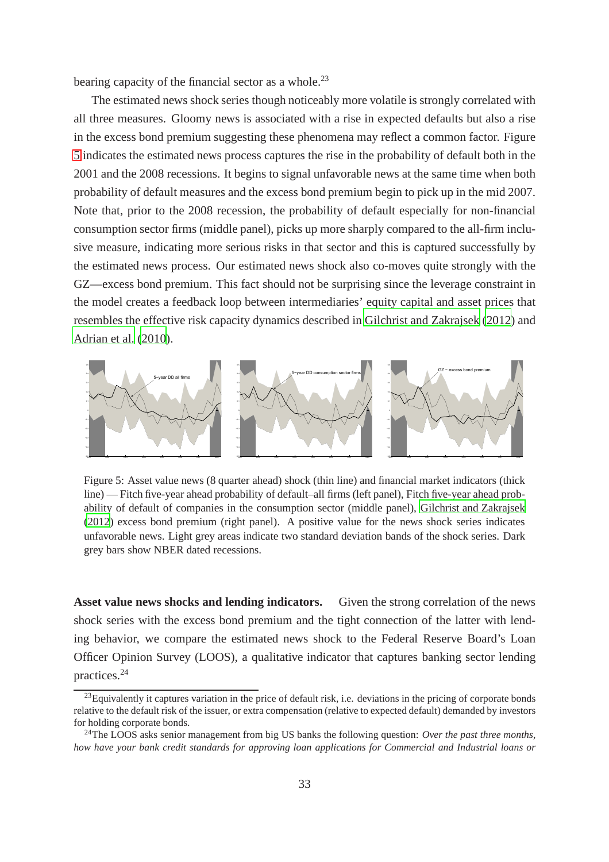bearing capacity of the financial sector as a whole.<sup>23</sup>

The estimated news shock series though noticeably more volatile is strongly correlated with all three measures. Gloomy news is associated with a rise in expected defaults but also a rise in the excess bond premium suggesting these phenomena may reflect a common factor. Figure [5](#page-34-0) indicates the estimated news process captures the rise in the probability of default both in the 2001 and the 2008 recessions. It begins to signal unfavorable news at the same time when both probability of default measures and the excess bond premium begin to pick up in the mid 2007. Note that, prior to the 2008 recession, the probability of default especially for non-financial consumption sector firms (middle panel), picks up more sharply compared to the all-firm inclusive measure, indicating more serious risks in that sector and this is captured successfully by the estimated news process. Our estimated news shock also co-moves quite strongly with the GZ—excess bond premium. This fact should not be surprising since the leverage constraint in the model creates a feedback loop between intermediaries' equity capital and asset prices that resembles the effective risk capacity dynamics described in [Gilchrist and Zakrajsek \(2012](#page-39-3)) and [Adrian et al. \(2010](#page-37-6)).

<span id="page-34-0"></span>

Figure 5: Asset value news (8 quarter ahead) shock (thin line) and financial market indicators (thick line) — Fitch five-year ahead probability of default–all firms (left panel), Fitch five-year ahead probability of default of companies in the consumption sector (middle panel), [Gilchrist and Zakrajsek](#page-39-3) [\(2012](#page-39-3)) excess bond premium (right panel). A positive value for the news shock series indicates unfavorable news. Light grey areas indicate two standard deviation bands of the shock series. Dark grey bars show NBER dated recessions.

**Asset value news shocks and lending indicators.** Given the strong correlation of the news shock series with the excess bond premium and the tight connection of the latter with lending behavior, we compare the estimated news shock to the Federal Reserve Board's Loan Officer Opinion Survey (LOOS), a qualitative indicator that captures banking sector lending practices.<sup>24</sup>

 $^{23}$ Equivalently it captures variation in the price of default risk, i.e. deviations in the pricing of corporate bonds relative to the default risk of the issuer, or extra compensation (relative to expected default) demanded by investors for holding corporate bonds.

<sup>24</sup>The LOOS asks senior management from big US banks the following question: *Over the past three months, how have your bank credit standards for approving loan applications for Commercial and Industrial loans or*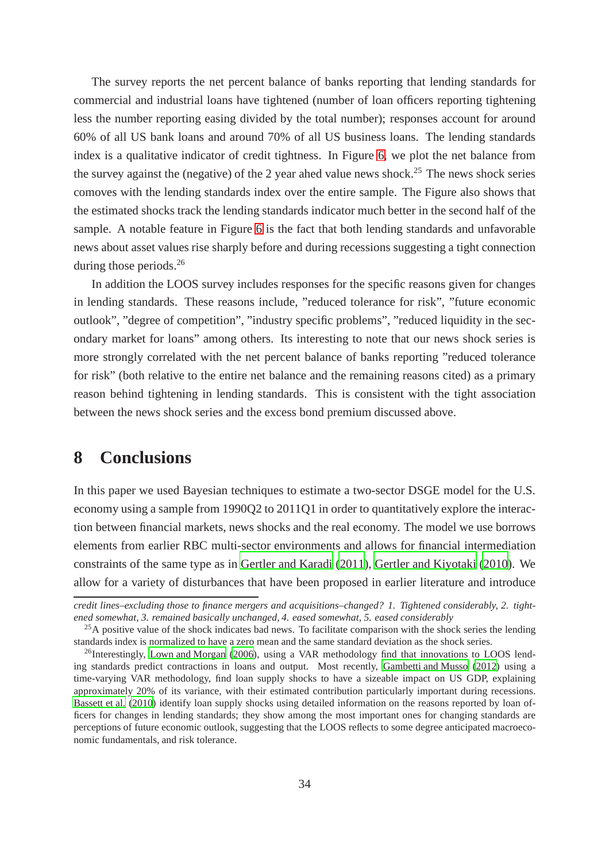The survey reports the net percent balance of banks reporting that lending standards for commercial and industrial loans have tightened (number of loan officers reporting tightening less the number reporting easing divided by the total number); responses account for around 60% of all US bank loans and around 70% of all US business loans. The lending standards index is a qualitative indicator of credit tightness. In Figure [6,](#page-36-0) we plot the net balance from the survey against the (negative) of the 2 year ahed value news shock.<sup>25</sup> The news shock series comoves with the lending standards index over the entire sample. The Figure also shows that the estimated shocks track the lending standards indicator much better in the second half of the sample. A notable feature in Figure [6](#page-36-0) is the fact that both lending standards and unfavorable news about asset values rise sharply before and during recessions suggesting a tight connection during those periods.<sup>26</sup>

In addition the LOOS survey includes responses for the specific reasons given for changes in lending standards. These reasons include, "reduced tolerance for risk", "future economic outlook", "degree of competition", "industry specific problems", "reduced liquidity in the secondary market for loans" among others. Its interesting to note that our news shock series is more strongly correlated with the net percent balance of banks reporting "reduced tolerance for risk" (both relative to the entire net balance and the remaining reasons cited) as a primary reason behind tightening in lending standards. This is consistent with the tight association between the news shock series and the excess bond premium discussed above.

## <span id="page-35-0"></span>**8 Conclusions**

In this paper we used Bayesian techniques to estimate a two-sector DSGE model for the U.S. economy using a sample from 1990Q2 to 2011Q1 in order to quantitatively explore the interaction between financial markets, news shocks and the real economy. The model we use borrows elements from earlier RBC multi-sector environments and allows for financial intermediation constraints of the same type as in [Gertler and Karadi \(2011](#page-39-0)), [Gertler and Kiyotaki \(2010](#page-39-1)). We allow for a variety of disturbances that have been proposed in earlier literature and introduce

*credit lines–excluding those to finance mergers and acquisitions–changed? 1. Tightened considerably, 2. tightened somewhat, 3. remained basically unchanged, 4. eased somewhat, 5. eased considerably*

 $25A$  positive value of the shock indicates bad news. To facilitate comparison with the shock series the lending standards index is normalized to have a zero mean and the same standard deviation as the shock series.

<sup>&</sup>lt;sup>26</sup>Interestingly, [Lown and Morgan](#page-41-15) [\(2006\)](#page-41-15), using a VAR methodology find that innovations to LOOS lending standards predict contractions in loans and output. Most recently, [Gambetti and Musso \(2012\)](#page-39-13) using a time-varying VAR methodology, find loan supply shocks to have a sizeable impact on US GDP, explaining approximately 20% of its variance, with their estimated contribution particularly important during recessions. [Bassett et al. \(2010](#page-37-7)) identify loan supply shocks using detailed information on the reasons reported by loan officers for changes in lending standards; they show among the most important ones for changing standards are perceptions of future economic outlook, suggesting that the LOOS reflects to some degree anticipated macroeconomic fundamentals, and risk tolerance.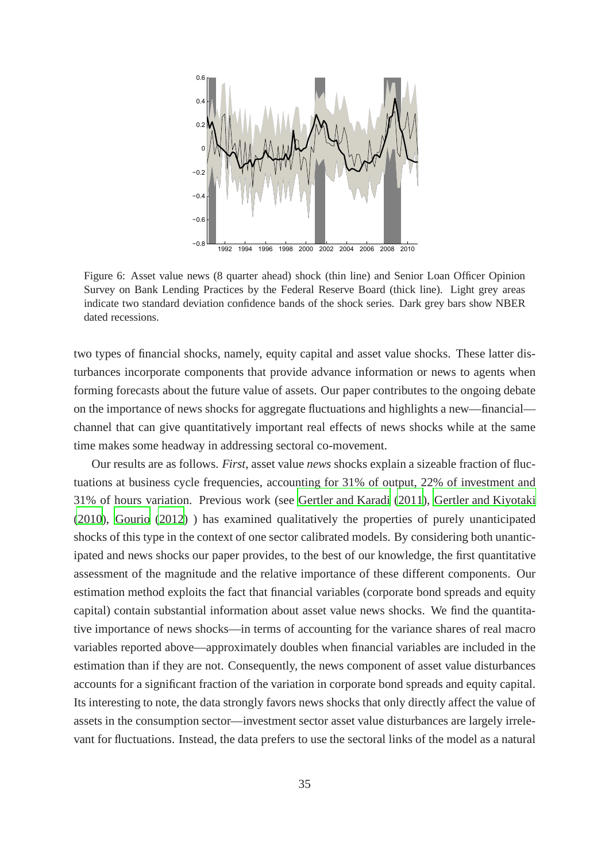

Figure 6: Asset value news (8 quarter ahead) shock (thin line) and Senior Loan Officer Opinion Survey on Bank Lending Practices by the Federal Reserve Board (thick line). Light grey areas indicate two standard deviation confidence bands of the shock series. Dark grey bars show NBER dated recessions.

two types of financial shocks, namely, equity capital and asset value shocks. These latter disturbances incorporate components that provide advance information or news to agents when forming forecasts about the future value of assets. Our paper contributes to the ongoing debate on the importance of news shocks for aggregate fluctuations and highlights a new—financial channel that can give quantitatively important real effects of news shocks while at the same time makes some headway in addressing sectoral co-movement.

Our results are as follows. *First*, asset value *news* shocks explain a sizeable fraction of fluctuations at business cycle frequencies, accounting for 31% of output, 22% of investment and 31% of hours variation. Previous work (see [Gertler and Karadi \(2011](#page-39-0)), [Gertler and Kiyotaki](#page-39-1) [\(2010\)](#page-39-1), [Gourio](#page-40-0) [\(2012\)](#page-40-0) ) has examined qualitatively the properties of purely unanticipated shocks of this type in the context of one sector calibrated models. By considering both unanticipated and news shocks our paper provides, to the best of our knowledge, the first quantitative assessment of the magnitude and the relative importance of these different components. Our estimation method exploits the fact that financial variables (corporate bond spreads and equity capital) contain substantial information about asset value news shocks. We find the quantitative importance of news shocks—in terms of accounting for the variance shares of real macro variables reported above—approximately doubles when financial variables are included in the estimation than if they are not. Consequently, the news component of asset value disturbances accounts for a significant fraction of the variation in corporate bond spreads and equity capital. Its interesting to note, the data strongly favors news shocks that only directly affect the value of assets in the consumption sector—investment sector asset value disturbances are largely irrelevant for fluctuations. Instead, the data prefers to use the sectoral links of the model as a natural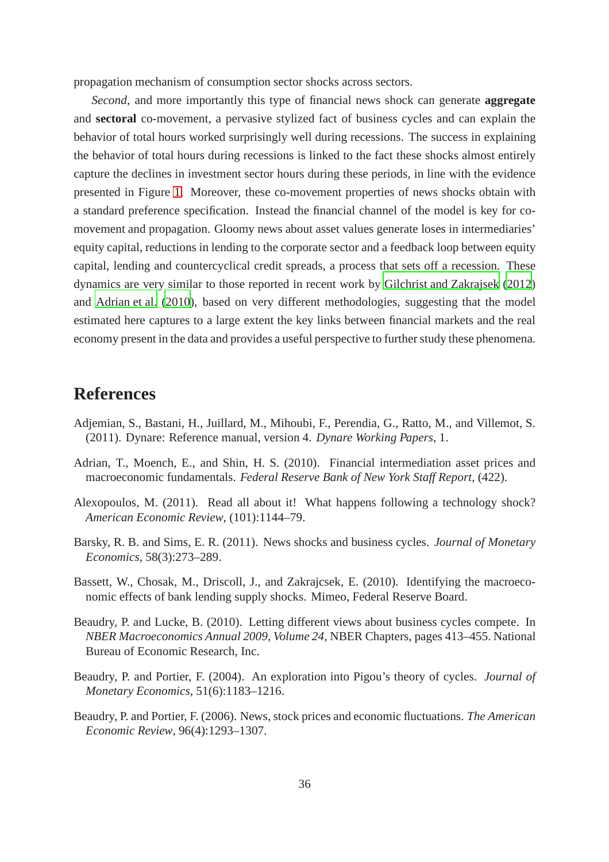propagation mechanism of consumption sector shocks across sectors.

*Second*, and more importantly this type of financial news shock can generate **aggregate** and **sectoral** co-movement, a pervasive stylized fact of business cycles and can explain the behavior of total hours worked surprisingly well during recessions. The success in explaining the behavior of total hours during recessions is linked to the fact these shocks almost entirely capture the declines in investment sector hours during these periods, in line with the evidence presented in Figure [1.](#page-6-0) Moreover, these co-movement properties of news shocks obtain with a standard preference specification. Instead the financial channel of the model is key for comovement and propagation. Gloomy news about asset values generate loses in intermediaries' equity capital, reductions in lending to the corporate sector and a feedback loop between equity capital, lending and countercyclical credit spreads, a process that sets off a recession. These dynamics are very similar to those reported in recent work by [Gilchrist and Zakrajsek \(2012](#page-39-2)) and [Adrian et al.](#page-37-0) [\(2010\)](#page-37-0), based on very different methodologies, suggesting that the model estimated here captures to a large extent the key links between financial markets and the real economy present in the data and provides a useful perspective to further study these phenomena.

# **References**

- Adjemian, S., Bastani, H., Juillard, M., Mihoubi, F., Perendia, G., Ratto, M., and Villemot, S. (2011). Dynare: Reference manual, version 4. *Dynare Working Papers*, 1.
- <span id="page-37-0"></span>Adrian, T., Moench, E., and Shin, H. S. (2010). Financial intermediation asset prices and macroeconomic fundamentals. *Federal Reserve Bank of New York Staff Report*, (422).
- Alexopoulos, M. (2011). Read all about it! What happens following a technology shock? *American Economic Review*, (101):1144–79.
- Barsky, R. B. and Sims, E. R. (2011). News shocks and business cycles. *Journal of Monetary Economics*, 58(3):273–289.
- Bassett, W., Chosak, M., Driscoll, J., and Zakrajcsek, E. (2010). Identifying the macroeconomic effects of bank lending supply shocks. Mimeo, Federal Reserve Board.
- Beaudry, P. and Lucke, B. (2010). Letting different views about business cycles compete. In *NBER Macroeconomics Annual 2009, Volume 24*, NBER Chapters, pages 413–455. National Bureau of Economic Research, Inc.
- Beaudry, P. and Portier, F. (2004). An exploration into Pigou's theory of cycles. *Journal of Monetary Economics*, 51(6):1183–1216.
- Beaudry, P. and Portier, F. (2006). News, stock prices and economic fluctuations. *The American Economic Review*, 96(4):1293–1307.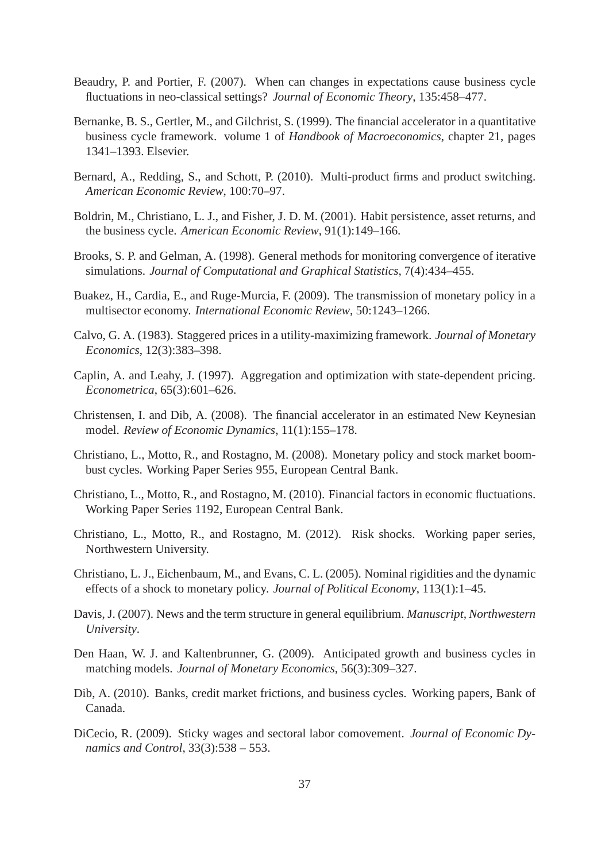- Beaudry, P. and Portier, F. (2007). When can changes in expectations cause business cycle fluctuations in neo-classical settings? *Journal of Economic Theory*, 135:458–477.
- Bernanke, B. S., Gertler, M., and Gilchrist, S. (1999). The financial accelerator in a quantitative business cycle framework. volume 1 of *Handbook of Macroeconomics*, chapter 21, pages 1341–1393. Elsevier.
- Bernard, A., Redding, S., and Schott, P. (2010). Multi-product firms and product switching. *American Economic Review*, 100:70–97.
- Boldrin, M., Christiano, L. J., and Fisher, J. D. M. (2001). Habit persistence, asset returns, and the business cycle. *American Economic Review*, 91(1):149–166.
- Brooks, S. P. and Gelman, A. (1998). General methods for monitoring convergence of iterative simulations. *Journal of Computational and Graphical Statistics*, 7(4):434–455.
- Buakez, H., Cardia, E., and Ruge-Murcia, F. (2009). The transmission of monetary policy in a multisector economy. *International Economic Review*, 50:1243–1266.
- Calvo, G. A. (1983). Staggered prices in a utility-maximizing framework. *Journal of Monetary Economics*, 12(3):383–398.
- Caplin, A. and Leahy, J. (1997). Aggregation and optimization with state-dependent pricing. *Econometrica*, 65(3):601–626.
- Christensen, I. and Dib, A. (2008). The financial accelerator in an estimated New Keynesian model. *Review of Economic Dynamics*, 11(1):155–178.
- Christiano, L., Motto, R., and Rostagno, M. (2008). Monetary policy and stock market boombust cycles. Working Paper Series 955, European Central Bank.
- <span id="page-38-0"></span>Christiano, L., Motto, R., and Rostagno, M. (2010). Financial factors in economic fluctuations. Working Paper Series 1192, European Central Bank.
- Christiano, L., Motto, R., and Rostagno, M. (2012). Risk shocks. Working paper series, Northwestern University.
- Christiano, L. J., Eichenbaum, M., and Evans, C. L. (2005). Nominal rigidities and the dynamic effects of a shock to monetary policy. *Journal of Political Economy*, 113(1):1–45.
- Davis, J. (2007). News and the term structure in general equilibrium. *Manuscript, Northwestern University*.
- Den Haan, W. J. and Kaltenbrunner, G. (2009). Anticipated growth and business cycles in matching models. *Journal of Monetary Economics*, 56(3):309–327.
- Dib, A. (2010). Banks, credit market frictions, and business cycles. Working papers, Bank of Canada.
- DiCecio, R. (2009). Sticky wages and sectoral labor comovement. *Journal of Economic Dynamics and Control*, 33(3):538 – 553.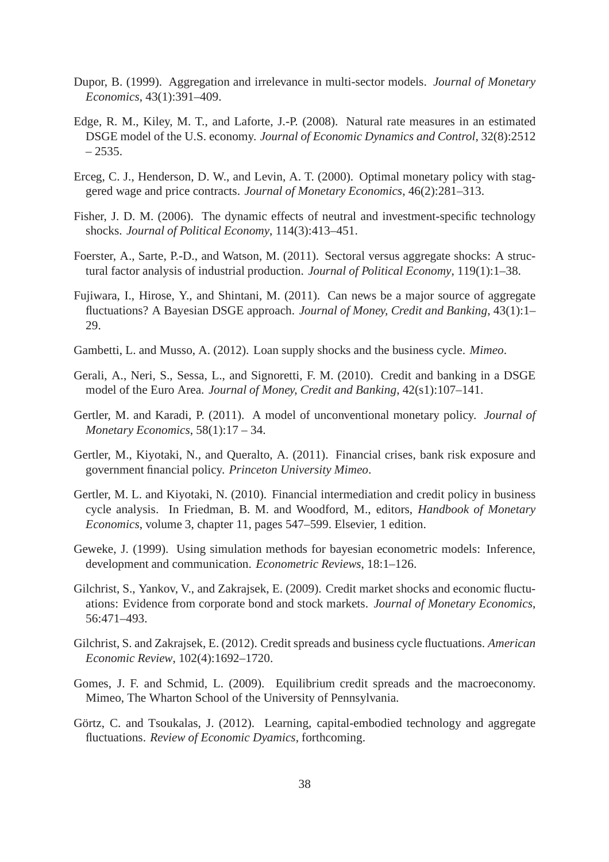- Dupor, B. (1999). Aggregation and irrelevance in multi-sector models. *Journal of Monetary Economics*, 43(1):391–409.
- Edge, R. M., Kiley, M. T., and Laforte, J.-P. (2008). Natural rate measures in an estimated DSGE model of the U.S. economy. *Journal of Economic Dynamics and Control*, 32(8):2512  $-2535.$
- Erceg, C. J., Henderson, D. W., and Levin, A. T. (2000). Optimal monetary policy with staggered wage and price contracts. *Journal of Monetary Economics*, 46(2):281–313.
- <span id="page-39-6"></span>Fisher, J. D. M. (2006). The dynamic effects of neutral and investment-specific technology shocks. *Journal of Political Economy*, 114(3):413–451.
- <span id="page-39-5"></span>Foerster, A., Sarte, P.-D., and Watson, M. (2011). Sectoral versus aggregate shocks: A structural factor analysis of industrial production. *Journal of Political Economy*, 119(1):1–38.
- <span id="page-39-3"></span>Fujiwara, I., Hirose, Y., and Shintani, M. (2011). Can news be a major source of aggregate fluctuations? A Bayesian DSGE approach. *Journal of Money, Credit and Banking*, 43(1):1– 29.
- Gambetti, L. and Musso, A. (2012). Loan supply shocks and the business cycle. *Mimeo*.
- Gerali, A., Neri, S., Sessa, L., and Signoretti, F. M. (2010). Credit and banking in a DSGE model of the Euro Area. *Journal of Money, Credit and Banking*, 42(s1):107–141.
- <span id="page-39-0"></span>Gertler, M. and Karadi, P. (2011). A model of unconventional monetary policy. *Journal of Monetary Economics*, 58(1):17 – 34.
- Gertler, M., Kiyotaki, N., and Queralto, A. (2011). Financial crises, bank risk exposure and government financial policy. *Princeton University Mimeo*.
- <span id="page-39-1"></span>Gertler, M. L. and Kiyotaki, N. (2010). Financial intermediation and credit policy in business cycle analysis. In Friedman, B. M. and Woodford, M., editors, *Handbook of Monetary Economics*, volume 3, chapter 11, pages 547–599. Elsevier, 1 edition.
- <span id="page-39-4"></span>Geweke, J. (1999). Using simulation methods for bayesian econometric models: Inference, development and communication. *Econometric Reviews*, 18:1–126.
- Gilchrist, S., Yankov, V., and Zakrajsek, E. (2009). Credit market shocks and economic fluctuations: Evidence from corporate bond and stock markets. *Journal of Monetary Economics*, 56:471–493.
- <span id="page-39-2"></span>Gilchrist, S. and Zakrajsek, E. (2012). Credit spreads and business cycle fluctuations. *American Economic Review*, 102(4):1692–1720.
- Gomes, J. F. and Schmid, L. (2009). Equilibrium credit spreads and the macroeconomy. Mimeo, The Wharton School of the University of Pennsylvania.
- <span id="page-39-7"></span>Görtz, C. and Tsoukalas, J. (2012). Learning, capital-embodied technology and aggregate fluctuations. *Review of Economic Dyamics*, forthcoming.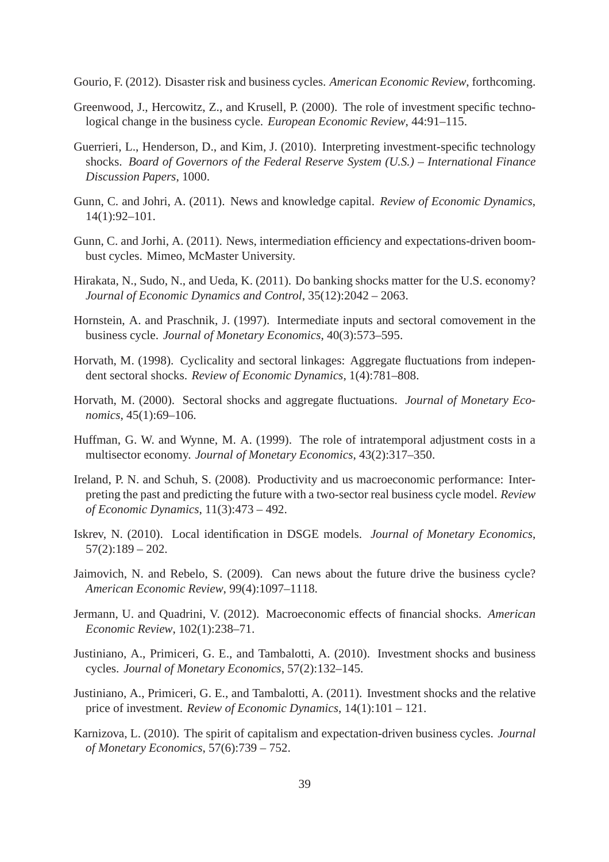<span id="page-40-0"></span>Gourio, F. (2012). Disaster risk and business cycles. *American Economic Review*, forthcoming.

- <span id="page-40-3"></span>Greenwood, J., Hercowitz, Z., and Krusell, P. (2000). The role of investment specific technological change in the business cycle. *European Economic Review*, 44:91–115.
- Guerrieri, L., Henderson, D., and Kim, J. (2010). Interpreting investment-specific technology shocks. *Board of Governors of the Federal Reserve System (U.S.) – International Finance Discussion Papers*, 1000.
- Gunn, C. and Johri, A. (2011). News and knowledge capital. *Review of Economic Dynamics*, 14(1):92–101.
- Gunn, C. and Jorhi, A. (2011). News, intermediation efficiency and expectations-driven boombust cycles. Mimeo, McMaster University.
- Hirakata, N., Sudo, N., and Ueda, K. (2011). Do banking shocks matter for the U.S. economy? *Journal of Economic Dynamics and Control*, 35(12):2042 – 2063.
- Hornstein, A. and Praschnik, J. (1997). Intermediate inputs and sectoral comovement in the business cycle. *Journal of Monetary Economics*, 40(3):573–595.
- Horvath, M. (1998). Cyclicality and sectoral linkages: Aggregate fluctuations from independent sectoral shocks. *Review of Economic Dynamics*, 1(4):781–808.
- Horvath, M. (2000). Sectoral shocks and aggregate fluctuations. *Journal of Monetary Economics*, 45(1):69–106.
- Huffman, G. W. and Wynne, M. A. (1999). The role of intratemporal adjustment costs in a multisector economy. *Journal of Monetary Economics*, 43(2):317–350.
- Ireland, P. N. and Schuh, S. (2008). Productivity and us macroeconomic performance: Interpreting the past and predicting the future with a two-sector real business cycle model. *Review of Economic Dynamics*, 11(3):473 – 492.
- Iskrev, N. (2010). Local identification in DSGE models. *Journal of Monetary Economics*,  $57(2):189 - 202.$
- Jaimovich, N. and Rebelo, S. (2009). Can news about the future drive the business cycle? *American Economic Review*, 99(4):1097–1118.
- Jermann, U. and Quadrini, V. (2012). Macroeconomic effects of financial shocks. *American Economic Review*, 102(1):238–71.
- <span id="page-40-1"></span>Justiniano, A., Primiceri, G. E., and Tambalotti, A. (2010). Investment shocks and business cycles. *Journal of Monetary Economics*, 57(2):132–145.
- <span id="page-40-2"></span>Justiniano, A., Primiceri, G. E., and Tambalotti, A. (2011). Investment shocks and the relative price of investment. *Review of Economic Dynamics*, 14(1):101 – 121.
- Karnizova, L. (2010). The spirit of capitalism and expectation-driven business cycles. *Journal of Monetary Economics*, 57(6):739 – 752.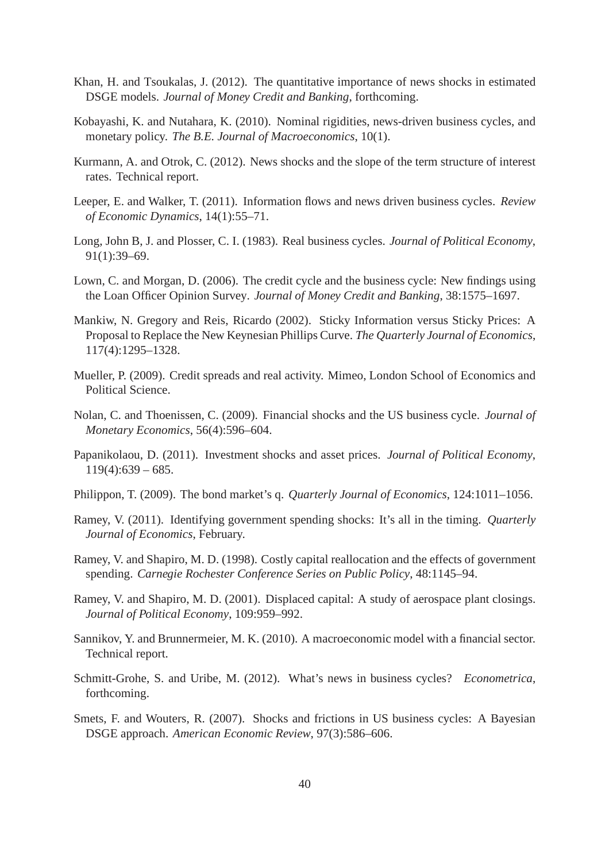- <span id="page-41-0"></span>Khan, H. and Tsoukalas, J. (2012). The quantitative importance of news shocks in estimated DSGE models. *Journal of Money Credit and Banking*, forthcoming.
- Kobayashi, K. and Nutahara, K. (2010). Nominal rigidities, news-driven business cycles, and monetary policy. *The B.E. Journal of Macroeconomics*, 10(1).
- Kurmann, A. and Otrok, C. (2012). News shocks and the slope of the term structure of interest rates. Technical report.
- <span id="page-41-2"></span>Leeper, E. and Walker, T. (2011). Information flows and news driven business cycles. *Review of Economic Dynamics*, 14(1):55–71.
- Long, John B, J. and Plosser, C. I. (1983). Real business cycles. *Journal of Political Economy*, 91(1):39–69.
- Lown, C. and Morgan, D. (2006). The credit cycle and the business cycle: New findings using the Loan Officer Opinion Survey. *Journal of Money Credit and Banking*, 38:1575–1697.
- Mankiw, N. Gregory and Reis, Ricardo (2002). Sticky Information versus Sticky Prices: A Proposal to Replace the New Keynesian Phillips Curve. *The Quarterly Journal of Economics*, 117(4):1295–1328.
- Mueller, P. (2009). Credit spreads and real activity. Mimeo, London School of Economics and Political Science.
- Nolan, C. and Thoenissen, C. (2009). Financial shocks and the US business cycle. *Journal of Monetary Economics*, 56(4):596–604.
- Papanikolaou, D. (2011). Investment shocks and asset prices. *Journal of Political Economy*,  $119(4):639-685.$
- Philippon, T. (2009). The bond market's q. *Quarterly Journal of Economics*, 124:1011–1056.
- Ramey, V. (2011). Identifying government spending shocks: It's all in the timing. *Quarterly Journal of Economics*, February.
- Ramey, V. and Shapiro, M. D. (1998). Costly capital reallocation and the effects of government spending. *Carnegie Rochester Conference Series on Public Policy*, 48:1145–94.
- Ramey, V. and Shapiro, M. D. (2001). Displaced capital: A study of aerospace plant closings. *Journal of Political Economy*, 109:959–992.
- Sannikov, Y. and Brunnermeier, M. K. (2010). A macroeconomic model with a financial sector. Technical report.
- <span id="page-41-1"></span>Schmitt-Grohe, S. and Uribe, M. (2012). What's news in business cycles? *Econometrica*, forthcoming.
- Smets, F. and Wouters, R. (2007). Shocks and frictions in US business cycles: A Bayesian DSGE approach. *American Economic Review*, 97(3):586–606.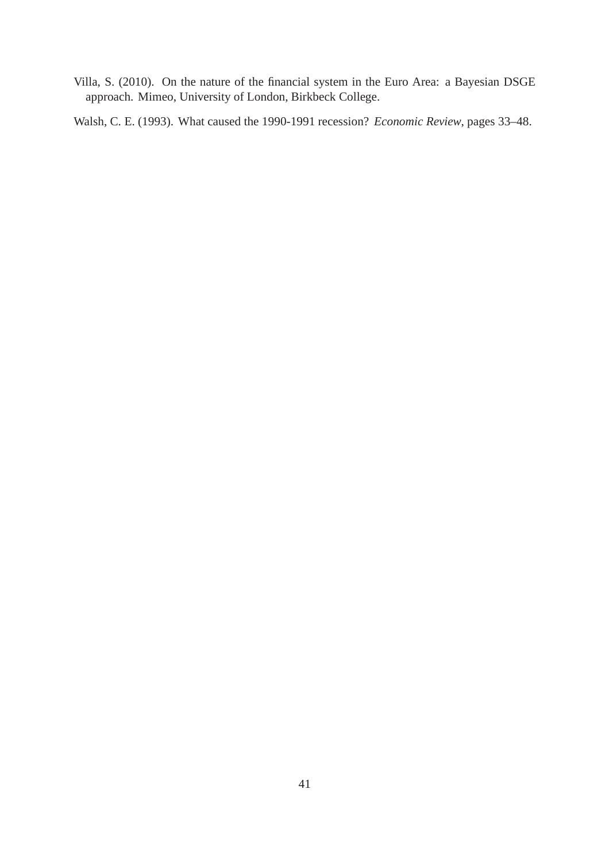Villa, S. (2010). On the nature of the financial system in the Euro Area: a Bayesian DSGE approach. Mimeo, University of London, Birkbeck College.

<span id="page-42-0"></span>Walsh, C. E. (1993). What caused the 1990-1991 recession? *Economic Review*, pages 33–48.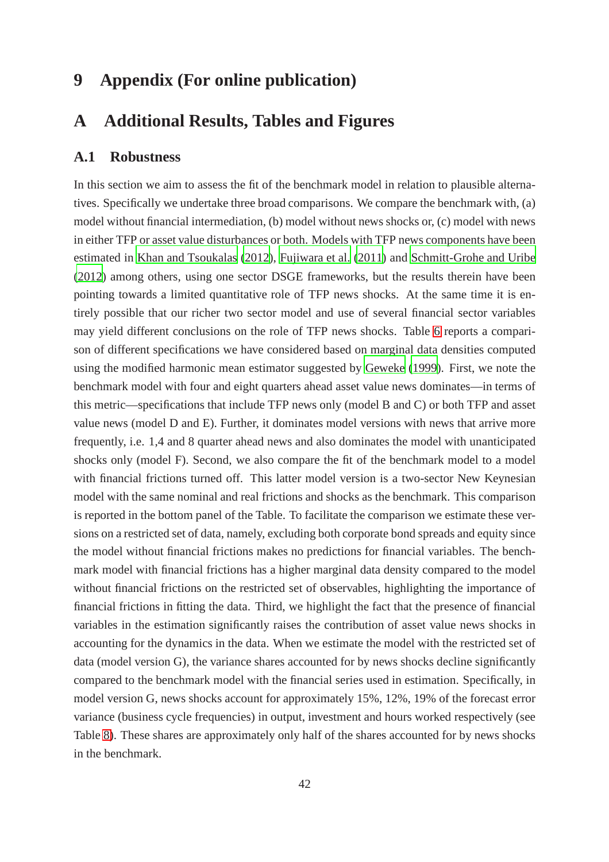# **9 Appendix (For online publication)**

# **A Additional Results, Tables and Figures**

### **A.1 Robustness**

In this section we aim to assess the fit of the benchmark model in relation to plausible alternatives. Specifically we undertake three broad comparisons. We compare the benchmark with, (a) model without financial intermediation, (b) model without news shocks or, (c) model with news in either TFP or asset value disturbances or both. Models with TFP news components have been estimated in [Khan and Tsoukalas \(2012](#page-41-0)), [Fujiwara et al.](#page-39-3) [\(2011\)](#page-39-3) and [Schmitt-Grohe and Uribe](#page-41-1) [\(2012\)](#page-41-1) among others, using one sector DSGE frameworks, but the results therein have been pointing towards a limited quantitative role of TFP news shocks. At the same time it is entirely possible that our richer two sector model and use of several financial sector variables may yield different conclusions on the role of TFP news shocks. Table [6](#page-45-0) reports a comparison of different specifications we have considered based on marginal data densities computed using the modified harmonic mean estimator suggested by [Geweke \(1999\)](#page-39-4). First, we note the benchmark model with four and eight quarters ahead asset value news dominates—in terms of this metric—specifications that include TFP news only (model B and C) or both TFP and asset value news (model D and E). Further, it dominates model versions with news that arrive more frequently, i.e. 1,4 and 8 quarter ahead news and also dominates the model with unanticipated shocks only (model F). Second, we also compare the fit of the benchmark model to a model with financial frictions turned off. This latter model version is a two-sector New Keynesian model with the same nominal and real frictions and shocks as the benchmark. This comparison is reported in the bottom panel of the Table. To facilitate the comparison we estimate these versions on a restricted set of data, namely, excluding both corporate bond spreads and equity since the model without financial frictions makes no predictions for financial variables. The benchmark model with financial frictions has a higher marginal data density compared to the model without financial frictions on the restricted set of observables, highlighting the importance of financial frictions in fitting the data. Third, we highlight the fact that the presence of financial variables in the estimation significantly raises the contribution of asset value news shocks in accounting for the dynamics in the data. When we estimate the model with the restricted set of data (model version G), the variance shares accounted for by news shocks decline significantly compared to the benchmark model with the financial series used in estimation. Specifically, in model version G, news shocks account for approximately 15%, 12%, 19% of the forecast error variance (business cycle frequencies) in output, investment and hours worked respectively (see Table [8\)](#page-54-0). These shares are approximately only half of the shares accounted for by news shocks in the benchmark.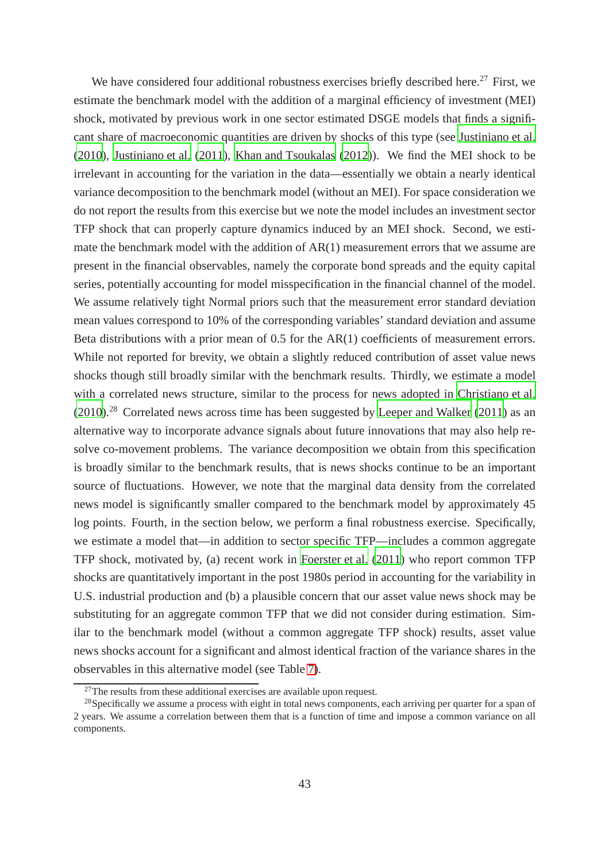We have considered four additional robustness exercises briefly described here.<sup>27</sup> First, we estimate the benchmark model with the addition of a marginal efficiency of investment (MEI) shock, motivated by previous work in one sector estimated DSGE models that finds a significant share of macroeconomic quantities are driven by shocks of this type (see [Justiniano et al.](#page-40-1) [\(2010\)](#page-40-1), [Justiniano et al. \(2011](#page-40-2)), [Khan and Tsoukalas](#page-41-0) [\(2012\)](#page-41-0)). We find the MEI shock to be irrelevant in accounting for the variation in the data—essentially we obtain a nearly identical variance decomposition to the benchmark model (without an MEI). For space consideration we do not report the results from this exercise but we note the model includes an investment sector TFP shock that can properly capture dynamics induced by an MEI shock. Second, we estimate the benchmark model with the addition of AR(1) measurement errors that we assume are present in the financial observables, namely the corporate bond spreads and the equity capital series, potentially accounting for model misspecification in the financial channel of the model. We assume relatively tight Normal priors such that the measurement error standard deviation mean values correspond to 10% of the corresponding variables' standard deviation and assume Beta distributions with a prior mean of 0.5 for the AR(1) coefficients of measurement errors. While not reported for brevity, we obtain a slightly reduced contribution of asset value news shocks though still broadly similar with the benchmark results. Thirdly, we estimate a model with a correlated news structure, similar to the process for news adopted in [Christiano et al.](#page-38-0) [\(2010\)](#page-38-0).<sup>28</sup> Correlated news across time has been suggested by [Leeper and](#page-41-2) Walker [\(2011\)](#page-41-2) as an alternative way to incorporate advance signals about future innovations that may also help resolve co-movement problems. The variance decomposition we obtain from this specification is broadly similar to the benchmark results, that is news shocks continue to be an important source of fluctuations. However, we note that the marginal data density from the correlated news model is significantly smaller compared to the benchmark model by approximately 45 log points. Fourth, in the section below, we perform a final robustness exercise. Specifically, we estimate a model that—in addition to sector specific TFP—includes a common aggregate TFP shock, motivated by, (a) recent work in [Foerster et al. \(2011](#page-39-5)) who report common TFP shocks are quantitatively important in the post 1980s period in accounting for the variability in U.S. industrial production and (b) a plausible concern that our asset value news shock may be substituting for an aggregate common TFP that we did not consider during estimation. Similar to the benchmark model (without a common aggregate TFP shock) results, asset value news shocks account for a significant and almost identical fraction of the variance shares in the observables in this alternative model (see Table [7\)](#page-47-0).

 $27$ The results from these additional exercises are available upon request.

<sup>&</sup>lt;sup>28</sup>Specifically we assume a process with eight in total news components, each arriving per quarter for a span of 2 years. We assume a correlation between them that is a function of time and impose a common variance on all components.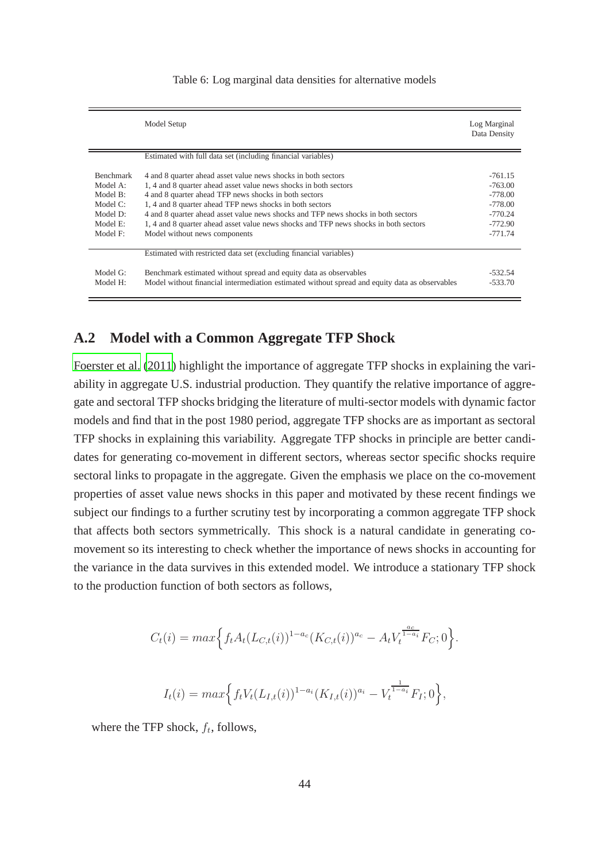<span id="page-45-0"></span>

|                                                                                                | Model Setup                                                                                                                                                                                                                                                                                                                                                                                                                                                          | Log Marginal<br>Data Density                                                            |
|------------------------------------------------------------------------------------------------|----------------------------------------------------------------------------------------------------------------------------------------------------------------------------------------------------------------------------------------------------------------------------------------------------------------------------------------------------------------------------------------------------------------------------------------------------------------------|-----------------------------------------------------------------------------------------|
|                                                                                                | Estimated with full data set (including financial variables)                                                                                                                                                                                                                                                                                                                                                                                                         |                                                                                         |
| <b>Benchmark</b><br>Model A:<br>Model B:<br>Model $C$ :<br>Model D:<br>Model $E$ :<br>Model F: | 4 and 8 quarter ahead asset value news shocks in both sectors<br>1, 4 and 8 quarter ahead asset value news shocks in both sectors<br>4 and 8 quarter ahead TFP news shocks in both sectors<br>1, 4 and 8 quarter ahead TFP news shocks in both sectors<br>4 and 8 quarter ahead asset value news shocks and TFP news shocks in both sectors<br>1, 4 and 8 quarter ahead asset value news shocks and TFP news shocks in both sectors<br>Model without news components | $-761.15$<br>$-763.00$<br>$-778.00$<br>$-778.00$<br>$-770.24$<br>$-772.90$<br>$-771.74$ |
|                                                                                                | Estimated with restricted data set (excluding financial variables)                                                                                                                                                                                                                                                                                                                                                                                                   |                                                                                         |
| Model G:<br>Model H:                                                                           | Benchmark estimated without spread and equity data as observables<br>Model without financial intermediation estimated without spread and equity data as observables                                                                                                                                                                                                                                                                                                  | $-532.54$<br>$-533.70$                                                                  |

#### Table 6: Log marginal data densities for alternative models

## **A.2 Model with a Common Aggregate TFP Shock**

[Foerster et al. \(2011](#page-39-5)) highlight the importance of aggregate TFP shocks in explaining the variability in aggregate U.S. industrial production. They quantify the relative importance of aggregate and sectoral TFP shocks bridging the literature of multi-sector models with dynamic factor models and find that in the post 1980 period, aggregate TFP shocks are as important as sectoral TFP shocks in explaining this variability. Aggregate TFP shocks in principle are better candidates for generating co-movement in different sectors, whereas sector specific shocks require sectoral links to propagate in the aggregate. Given the emphasis we place on the co-movement properties of asset value news shocks in this paper and motivated by these recent findings we subject our findings to a further scrutiny test by incorporating a common aggregate TFP shock that affects both sectors symmetrically. This shock is a natural candidate in generating comovement so its interesting to check whether the importance of news shocks in accounting for the variance in the data survives in this extended model. We introduce a stationary TFP shock to the production function of both sectors as follows,

$$
C_t(i) = max \Big\{ f_t A_t (L_{C,t}(i))^{1-a_c} (K_{C,t}(i))^{a_c} - A_t V_t^{\frac{a_c}{1-a_i}} F_C; 0 \Big\}.
$$
  

$$
I_t(i) = max \Big\{ f_t V_t (L_{I,t}(i))^{1-a_i} (K_{I,t}(i))^{a_i} - V_t^{\frac{1}{1-a_i}} F_I; 0 \Big\},
$$

where the TFP shock,  $f_t$ , follows,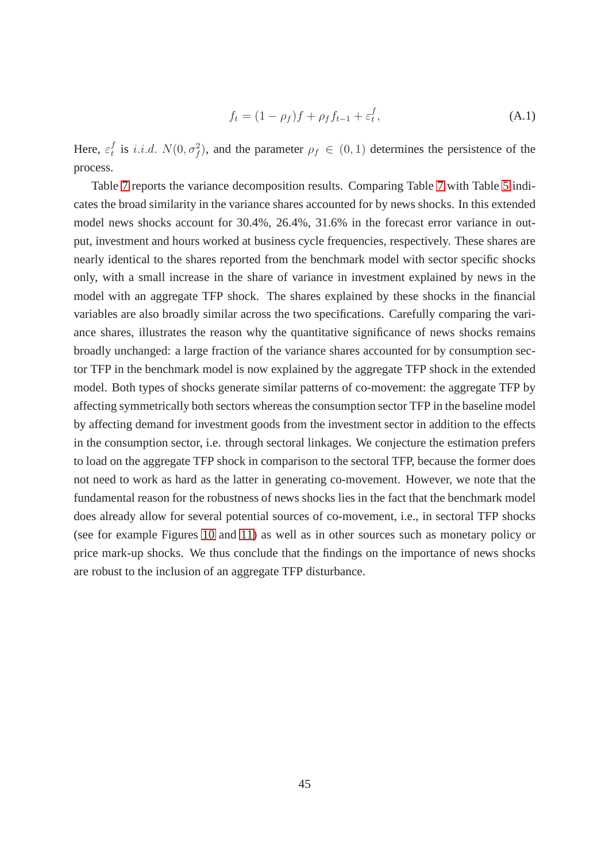$$
f_t = (1 - \rho_f)f + \rho_f f_{t-1} + \varepsilon_t^f,
$$
\n(A.1)

Here,  $\varepsilon_t^f$ <sup>f</sup> is *i.i.d.*  $N(0, \sigma_f^2)$ , and the parameter  $\rho_f \in (0, 1)$  determines the persistence of the process.

Table [7](#page-47-0) reports the variance decomposition results. Comparing Table [7](#page-47-0) with Table [5](#page-27-0) indicates the broad similarity in the variance shares accounted for by news shocks. In this extended model news shocks account for 30.4%, 26.4%, 31.6% in the forecast error variance in output, investment and hours worked at business cycle frequencies, respectively. These shares are nearly identical to the shares reported from the benchmark model with sector specific shocks only, with a small increase in the share of variance in investment explained by news in the model with an aggregate TFP shock. The shares explained by these shocks in the financial variables are also broadly similar across the two specifications. Carefully comparing the variance shares, illustrates the reason why the quantitative significance of news shocks remains broadly unchanged: a large fraction of the variance shares accounted for by consumption sector TFP in the benchmark model is now explained by the aggregate TFP shock in the extended model. Both types of shocks generate similar patterns of co-movement: the aggregate TFP by affecting symmetrically both sectors whereas the consumption sector TFP in the baseline model by affecting demand for investment goods from the investment sector in addition to the effects in the consumption sector, i.e. through sectoral linkages. We conjecture the estimation prefers to load on the aggregate TFP shock in comparison to the sectoral TFP, because the former does not need to work as hard as the latter in generating co-movement. However, we note that the fundamental reason for the robustness of news shocks lies in the fact that the benchmark model does already allow for several potential sources of co-movement, i.e., in sectoral TFP shocks (see for example Figures [10](#page-53-0) and [11\)](#page-53-1) as well as in other sources such as monetary policy or price mark-up shocks. We thus conclude that the findings on the importance of news shocks are robust to the inclusion of an aggregate TFP disturbance.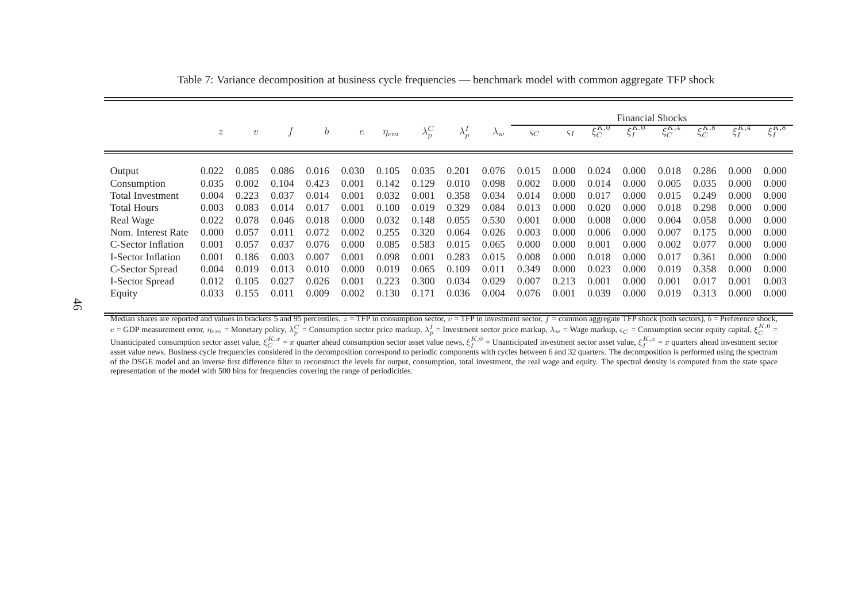|                           |                  |            |       |               |       |             |               |               |             | <b>Financial Shocks</b> |               |               |                  |               |               |                  |                  |  |
|---------------------------|------------------|------------|-------|---------------|-------|-------------|---------------|---------------|-------------|-------------------------|---------------|---------------|------------------|---------------|---------------|------------------|------------------|--|
|                           | $\boldsymbol{z}$ | $\upsilon$ |       | $\mathfrak b$ | е     | $\eta_{em}$ | $\lambda^C_p$ | $\lambda_p^I$ | $\Lambda_w$ | $\varsigma_C$           | $\varsigma_I$ | $\xi_C^{K,0}$ | $\epsilon^{K,0}$ | $\xi_C^{K,4}$ | $\xi_C^{K,8}$ | $\epsilon^{K,4}$ | $\epsilon^{K,8}$ |  |
|                           |                  |            |       |               |       |             |               |               |             |                         |               |               |                  |               |               |                  |                  |  |
| Output                    | 0.022            | 0.085      | 0.086 | 0.016         | 0.030 | 0.105       | 0.035         | 0.201         | 0.076       | 0.015                   | 0.000         | 0.024         | 0.000            | 0.018         | 0.286         | 0.000            | 0.000            |  |
| Consumption               | 0.035            | 0.002      | 0.104 | 0.423         | 0.001 | 0.142       | 0.129         | 0.010         | 0.098       | 0.002                   | 0.000         | 0.014         | 0.000            | 0.005         | 0.035         | 0.000            | 0.000            |  |
| <b>Total Investment</b>   | 0.004            | 0.223      | 0.037 | 0.014         | 0.001 | 0.032       | 0.001         | 0.358         | 0.034       | 0.014                   | 0.000         | 0.017         | 0.000            | 0.015         | 0.249         | 0.000            | 0.000            |  |
| <b>Total Hours</b>        | 0.003            | 0.083      | 0.014 | 0.017         | 0.001 | 0.100       | 0.019         | 0.329         | 0.084       | 0.013                   | 0.000         | 0.020         | 0.000            | 0.018         | 0.298         | 0.000            | 0.000            |  |
| Real Wage                 | 0.022            | 0.078      | 0.046 | 0.018         | 0.000 | 0.032       | 0.148         | 0.055         | 0.530       | 0.001                   | 0.000         | 0.008         | 0.000            | 0.004         | 0.058         | 0.000            | 0.000            |  |
| Nom. Interest Rate        | 0.000            | 0.057      | 0.011 | 0.072         | 0.002 | 0.255       | 0.320         | 0.064         | 0.026       | 0.003                   | 0.000         | 0.006         | 0.000            | 0.007         | 0.175         | 0.000            | 0.000            |  |
| C-Sector Inflation        | 0.001            | 0.057      | 0.037 | 0.076         | 0.000 | 0.085       | 0.583         | 0.015         | 0.065       | 0.000                   | 0.000         | 0.001         | 0.000            | 0.002         | 0.077         | 0.000            | 0.000            |  |
| <b>I-Sector Inflation</b> | 0.001            | 0.186      | 0.003 | 0.007         | 0.001 | 0.098       | 0.001         | 0.283         | 0.015       | 0.008                   | 0.000         | 0.018         | 0.000            | 0.017         | 0.361         | 0.000            | 0.000            |  |
| C-Sector Spread           | 0.004            | 0.019      | 0.013 | 0.010         | 0.000 | 0.019       | 0.065         | 0.109         | 0.011       | 0.349                   | 0.000         | 0.023         | 0.000            | 0.019         | 0.358         | 0.000            | 0.000            |  |
| <b>I-Sector Spread</b>    | 0.012            | 0.105      | 0.027 | 0.026         | 0.001 | 0.223       | 0.300         | 0.034         | 0.029       | 0.007                   | 0.213         | 0.001         | 0.000            | 0.001         | 0.017         | 0.001            | 0.003            |  |
| Equity                    | 0.033            | 0.155      | 0.011 | 0.009         | 0.002 | 0.130       | 0.171         | 0.036         | 0.004       | 0.076                   | 0.001         | 0.039         | 0.000            | 0.019         | 0.313         | 0.000            | 0.000            |  |

<span id="page-47-0"></span>Table 7: Variance decomposition at business cycle frequencies — benchmark model with common aggregate TFP shock

46

Median shares are reported and values in brackets 5 and 95 percentiles.  $z = TFP$  in consumption sector,  $v = TFP$  in investment sector,  $f =$  common aggregate TFP shock (both sectors),  $b =$  Preference shock,  $e = \text{GDP measurement error}, \eta_{em} = \text{Monetary policy}, \lambda_p^C = \text{Consumption sector price markup}, \lambda_p^I = \text{Investment sector price markup}, \lambda_w = \text{Wage markup}, \lambda_w = \text{Wage markup}, \varsigma_C = \text{Consumption sector equity capital}, \xi_C^{K,0}$  $e =$ ODP measurement error,  $\eta_{em}$  = Monetary poicy,  $\lambda_p^2$  = Consumption sector price markup,  $\lambda_p$  = investment sector price markup,  $\lambda_w$  = wage markup,  $\zeta_C$  = Consumption sector equity capital,  $\xi_C$  =  $\zeta_C$  = Con of the DSGE model and an inverse first difference filter to reconstruct the levels for output, consumption, total investment, the real wage and equity. The spectral density is computed from the state space representation of the model with 500 bins for frequencies covering the range of periodicities.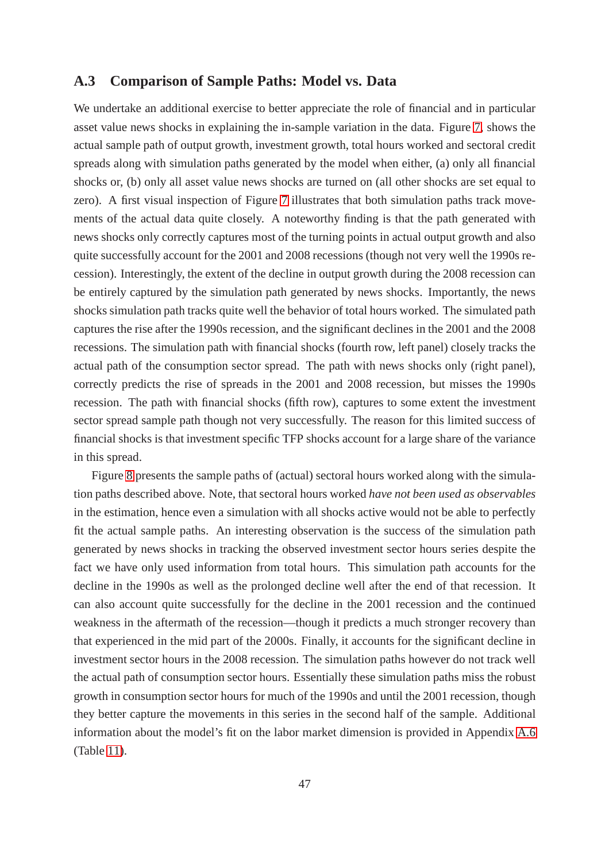### **A.3 Comparison of Sample Paths: Model vs. Data**

We undertake an additional exercise to better appreciate the role of financial and in particular asset value news shocks in explaining the in-sample variation in the data. Figure [7,](#page-49-0) shows the actual sample path of output growth, investment growth, total hours worked and sectoral credit spreads along with simulation paths generated by the model when either, (a) only all financial shocks or, (b) only all asset value news shocks are turned on (all other shocks are set equal to zero). A first visual inspection of Figure [7](#page-49-0) illustrates that both simulation paths track movements of the actual data quite closely. A noteworthy finding is that the path generated with news shocks only correctly captures most of the turning points in actual output growth and also quite successfully account for the 2001 and 2008 recessions (though not very well the 1990s recession). Interestingly, the extent of the decline in output growth during the 2008 recession can be entirely captured by the simulation path generated by news shocks. Importantly, the news shocks simulation path tracks quite well the behavior of total hours worked. The simulated path captures the rise after the 1990s recession, and the significant declines in the 2001 and the 2008 recessions. The simulation path with financial shocks (fourth row, left panel) closely tracks the actual path of the consumption sector spread. The path with news shocks only (right panel), correctly predicts the rise of spreads in the 2001 and 2008 recession, but misses the 1990s recession. The path with financial shocks (fifth row), captures to some extent the investment sector spread sample path though not very successfully. The reason for this limited success of financial shocks is that investment specific TFP shocks account for a large share of the variance in this spread.

Figure [8](#page-50-0) presents the sample paths of (actual) sectoral hours worked along with the simulation paths described above. Note, that sectoral hours worked *have not been used as observables* in the estimation, hence even a simulation with all shocks active would not be able to perfectly fit the actual sample paths. An interesting observation is the success of the simulation path generated by news shocks in tracking the observed investment sector hours series despite the fact we have only used information from total hours. This simulation path accounts for the decline in the 1990s as well as the prolonged decline well after the end of that recession. It can also account quite successfully for the decline in the 2001 recession and the continued weakness in the aftermath of the recession—though it predicts a much stronger recovery than that experienced in the mid part of the 2000s. Finally, it accounts for the significant decline in investment sector hours in the 2008 recession. The simulation paths however do not track well the actual path of consumption sector hours. Essentially these simulation paths miss the robust growth in consumption sector hours for much of the 1990s and until the 2001 recession, though they better capture the movements in this series in the second half of the sample. Additional information about the model's fit on the labor market dimension is provided in Appendix [A.6](#page-53-2) (Table [11\)](#page-57-0).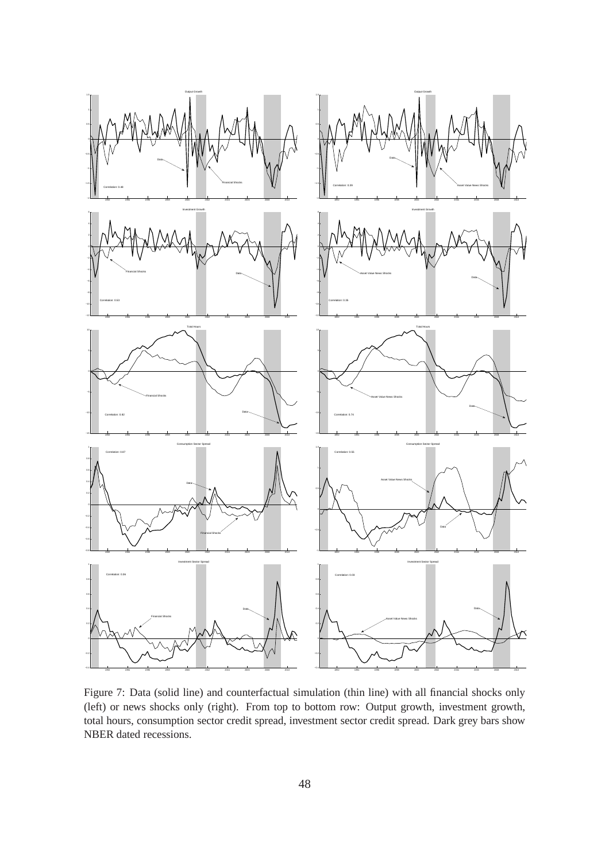<span id="page-49-0"></span>

Figure 7: Data (solid line) and counterfactual simulation (thin line) with all financial shocks only (left) or news shocks only (right). From top to bottom row: Output growth, investment growth, total hours, consumption sector credit spread, investment sector credit spread. Dark grey bars show NBER dated recessions.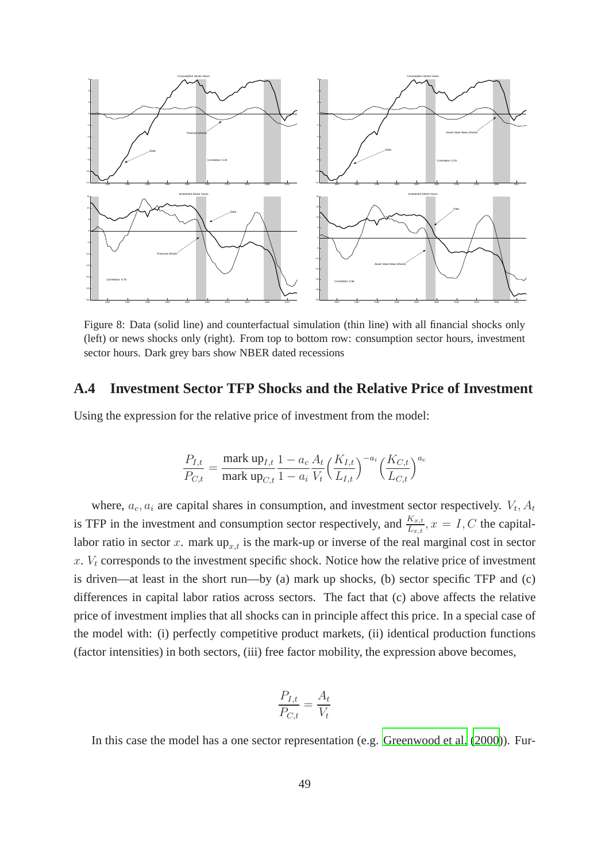<span id="page-50-0"></span>

Figure 8: Data (solid line) and counterfactual simulation (thin line) with all financial shocks only (left) or news shocks only (right). From top to bottom row: consumption sector hours, investment sector hours. Dark grey bars show NBER dated recessions

### **A.4 Investment Sector TFP Shocks and the Relative Price of Investment**

Using the expression for the relative price of investment from the model:

$$
\frac{P_{I,t}}{P_{C,t}} = \frac{\text{mark up}_{I,t}}{\text{mark up}_{C,t}} \frac{1 - a_c A_t}{1 - a_i V_t} \Big(\frac{K_{I,t}}{L_{I,t}}\Big)^{-a_i} \Big(\frac{K_{C,t}}{L_{C,t}}\Big)^{a_c}
$$

where,  $a_c$ ,  $a_i$  are capital shares in consumption, and investment sector respectively.  $V_t$ ,  $A_t$ is TFP in the investment and consumption sector respectively, and  $\frac{K_{x,t}}{L_{x,t}}$ ,  $x = I, C$  the capitallabor ratio in sector x. mark  $up_{x,t}$  is the mark-up or inverse of the real marginal cost in sector  $x. V_t$  corresponds to the investment specific shock. Notice how the relative price of investment is driven—at least in the short run—by (a) mark up shocks, (b) sector specific TFP and (c) differences in capital labor ratios across sectors. The fact that (c) above affects the relative price of investment implies that all shocks can in principle affect this price. In a special case of the model with: (i) perfectly competitive product markets, (ii) identical production functions (factor intensities) in both sectors, (iii) free factor mobility, the expression above becomes,

$$
\frac{P_{I,t}}{P_{C,t}} = \frac{A_t}{V_t}
$$

In this case the model has a one sector representation (e.g. [Greenwood et al.](#page-40-3) [\(2000\)](#page-40-3)). Fur-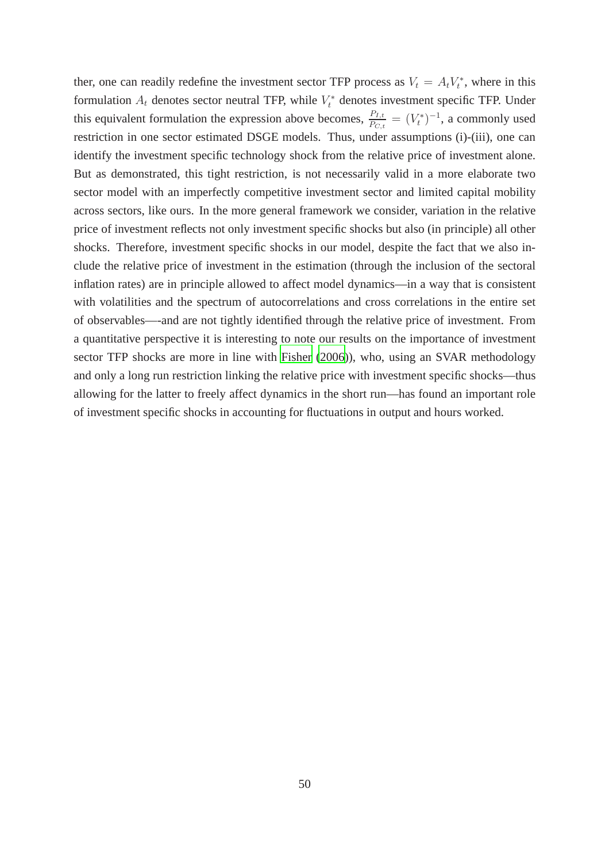ther, one can readily redefine the investment sector TFP process as  $V_t = A_t V_t^*$ , where in this formulation  $A_t$  denotes sector neutral TFP, while  $V_t^*$  denotes investment specific TFP. Under this equivalent formulation the expression above becomes,  $\frac{P_{I,t}}{P_{C,t}} = (V_t^*)^{-1}$ , a commonly used restriction in one sector estimated DSGE models. Thus, under assumptions (i)-(iii), one can identify the investment specific technology shock from the relative price of investment alone. But as demonstrated, this tight restriction, is not necessarily valid in a more elaborate two sector model with an imperfectly competitive investment sector and limited capital mobility across sectors, like ours. In the more general framework we consider, variation in the relative price of investment reflects not only investment specific shocks but also (in principle) all other shocks. Therefore, investment specific shocks in our model, despite the fact that we also include the relative price of investment in the estimation (through the inclusion of the sectoral inflation rates) are in principle allowed to affect model dynamics—in a way that is consistent with volatilities and the spectrum of autocorrelations and cross correlations in the entire set of observables—-and are not tightly identified through the relative price of investment. From a quantitative perspective it is interesting to note our results on the importance of investment sector TFP shocks are more in line with [Fisher](#page-39-6) [\(2006\)](#page-39-6)), who, using an SVAR methodology and only a long run restriction linking the relative price with investment specific shocks—thus allowing for the latter to freely affect dynamics in the short run—has found an important role of investment specific shocks in accounting for fluctuations in output and hours worked.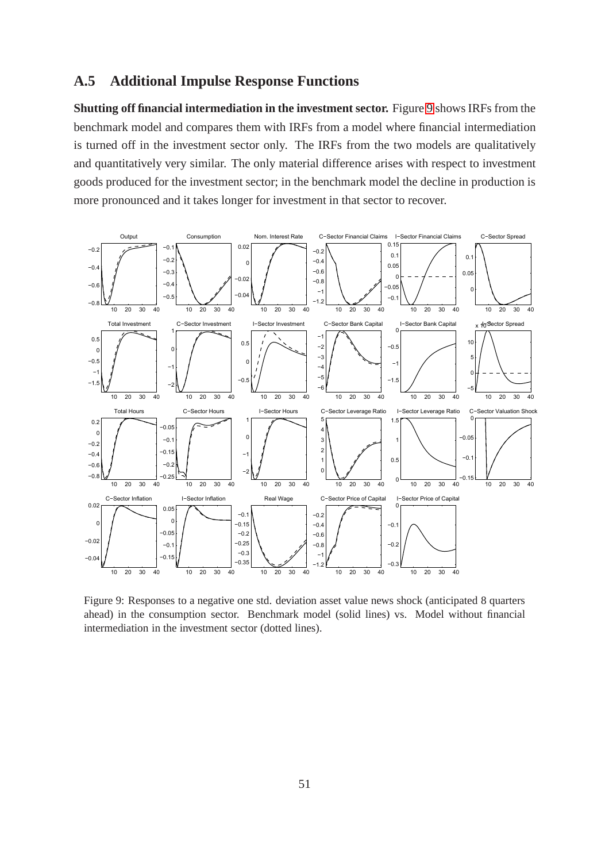### **A.5 Additional Impulse Response Functions**

**Shutting off financial intermediation in the investment sector.** Figure [9](#page-52-0) shows IRFs from the benchmark model and compares them with IRFs from a model where financial intermediation is turned off in the investment sector only. The IRFs from the two models are qualitatively and quantitatively very similar. The only material difference arises with respect to investment goods produced for the investment sector; in the benchmark model the decline in production is more pronounced and it takes longer for investment in that sector to recover.

<span id="page-52-0"></span>

Figure 9: Responses to a negative one std. deviation asset value news shock (anticipated 8 quarters ahead) in the consumption sector. Benchmark model (solid lines) vs. Model without financial intermediation in the investment sector (dotted lines).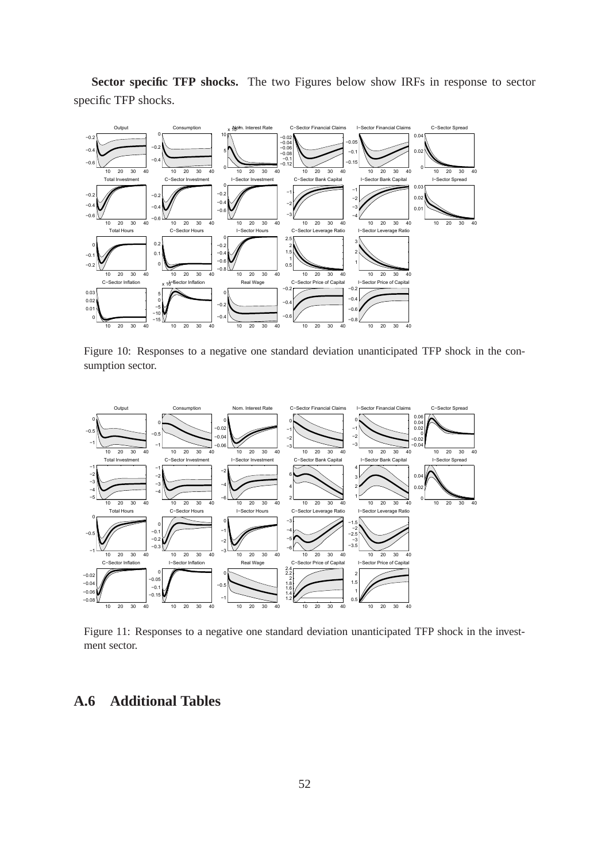**Sector specific TFP shocks.** The two Figures below show IRFs in response to sector specific TFP shocks.

<span id="page-53-0"></span>

Figure 10: Responses to a negative one standard deviation unanticipated TFP shock in the consumption sector.

<span id="page-53-1"></span>

Figure 11: Responses to a negative one standard deviation unanticipated TFP shock in the investment sector.

### <span id="page-53-2"></span>**A.6 Additional Tables**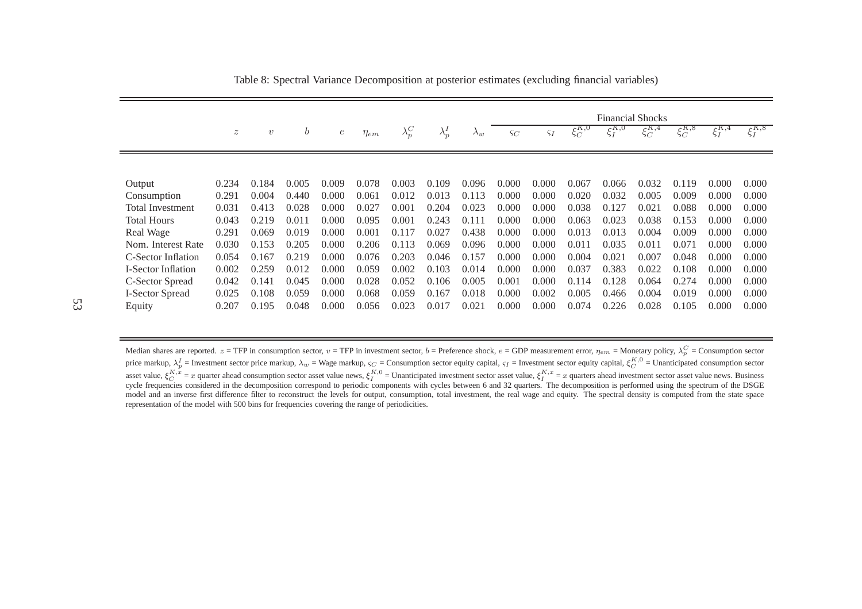|                           |                  |            |                  |                  |             |               |               |             | <b>Financial Shocks</b> |               |               |               |               |               |               |               |  |  |
|---------------------------|------------------|------------|------------------|------------------|-------------|---------------|---------------|-------------|-------------------------|---------------|---------------|---------------|---------------|---------------|---------------|---------------|--|--|
|                           | $\boldsymbol{z}$ | $\upsilon$ | $\boldsymbol{b}$ | $\boldsymbol{e}$ | $\eta_{em}$ | $\lambda^C_p$ | $\lambda_p^I$ | $\lambda_w$ | $\varsigma_C$           | $\varsigma_I$ | $\xi_C^{K,0}$ | $\xi_I^{K,0}$ | $\xi_C^{K,4}$ | $\xi_C^{K,8}$ | $\xi_I^{K,4}$ | $\xi_I^{K,8}$ |  |  |
|                           |                  |            |                  |                  |             |               |               |             |                         |               |               |               |               |               |               |               |  |  |
| Output                    | 0.234            | 0.184      | 0.005            | 0.009            | 0.078       | 0.003         | 0.109         | 0.096       | 0.000                   | 0.000         | 0.067         | 0.066         | 0.032         | 0.119         | 0.000         | 0.000         |  |  |
| Consumption               | 0.291            | 0.004      | 0.440            | 0.000            | 0.061       | 0.012         | 0.013         | 0.113       | 0.000                   | 0.000         | 0.020         | 0.032         | 0.005         | 0.009         | 0.000         | 0.000         |  |  |
| <b>Total Investment</b>   | 0.031            | 0.413      | 0.028            | 0.000            | 0.027       | 0.001         | 0.204         | 0.023       | 0.000                   | 0.000         | 0.038         | 0.127         | 0.021         | 0.088         | 0.000         | 0.000         |  |  |
| <b>Total Hours</b>        | 0.043            | 0.219      | 0.011            | 0.000            | 0.095       | 0.001         | 0.243         | 0.111       | 0.000                   | 0.000         | 0.063         | 0.023         | 0.038         | 0.153         | 0.000         | 0.000         |  |  |
| Real Wage                 | 0.291            | 0.069      | 0.019            | 0.000            | 0.001       | 0.117         | 0.027         | 0.438       | 0.000                   | 0.000         | 0.013         | 0.013         | 0.004         | 0.009         | 0.000         | 0.000         |  |  |
| Nom. Interest Rate        | 0.030            | 0.153      | 0.205            | 0.000            | 0.206       | 0.113         | 0.069         | 0.096       | 0.000                   | 0.000         | 0.011         | 0.035         | 0.011         | 0.071         | 0.000         | 0.000         |  |  |
| C-Sector Inflation        | 0.054            | 0.167      | 0.219            | 0.000            | 0.076       | 0.203         | 0.046         | 0.157       | 0.000                   | 0.000         | 0.004         | 0.021         | 0.007         | 0.048         | 0.000         | 0.000         |  |  |
| <b>I-Sector Inflation</b> | 0.002            | 0.259      | 0.012            | 0.000            | 0.059       | 0.002         | 0.103         | 0.014       | 0.000                   | 0.000         | 0.037         | 0.383         | 0.022         | 0.108         | 0.000         | 0.000         |  |  |
| C-Sector Spread           | 0.042            | 0.141      | 0.045            | 0.000            | 0.028       | 0.052         | 0.106         | 0.005       | 0.001                   | 0.000         | 0.114         | 0.128         | 0.064         | 0.274         | 0.000         | 0.000         |  |  |
| <b>I-Sector Spread</b>    | 0.025            | 0.108      | 0.059            | 0.000            | 0.068       | 0.059         | 0.167         | 0.018       | 0.000                   | 0.002         | 0.005         | 0.466         | 0.004         | 0.019         | 0.000         | 0.000         |  |  |
| Equity                    | 0.207            | 0.195      | 0.048            | 0.000            | 0.056       | 0.023         | 0.017         | 0.021       | 0.000                   | 0.000         | 0.074         | 0.226         | 0.028         | 0.105         | 0.000         | 0.000         |  |  |

<span id="page-54-0"></span>Table 8: Spectral Variance Decomposition at posterior estimates (excluding financial variables)

Median shares are reported.  $z = TFP$  in consumption sector,  $v = TFP$  in investment sector,  $b = \text{Preference shock}, e = \text{GDP measurement error}, \eta_{em} = \text{Monetary policy}, \lambda_p^C = \text{Consumption sector}$ price markup,  $\lambda_P^I$  = Investment sector price markup,  $\lambda_w$  = Wage markup,  $\varsigma_C$  = Consumption sector equity capital,  $\varsigma_I$  = Investment sector equity capital,  $\xi_C^{K,0}$  = Unanticipated consumption sector asset value model and an inverse first difference filter to reconstruct the levels for output, consumption, total investment, the real wage and equity. The spectral density is computed from the state space representation of the model with 500 bins for frequencies covering the range of periodicities.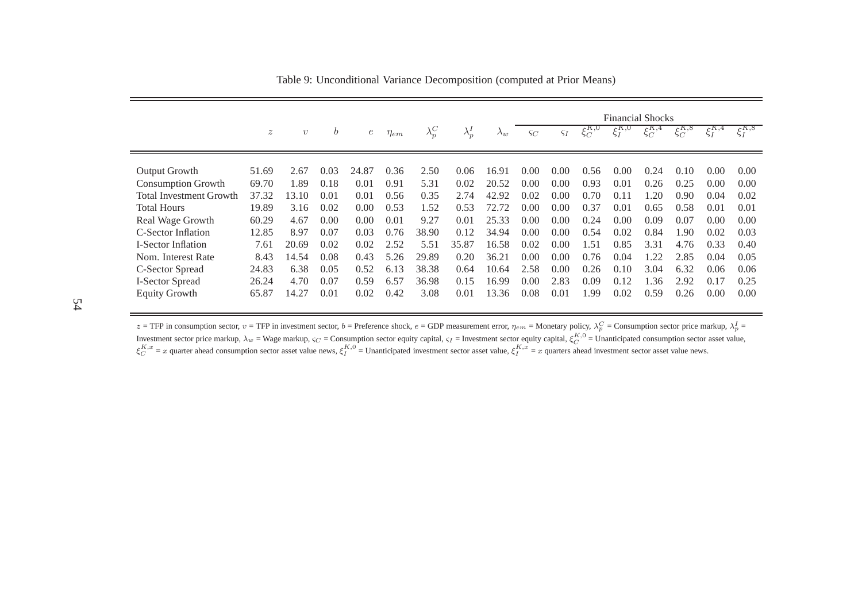|                                |                           |            |      |            |             |               |               |             | <b>Financial Shocks</b> |               |               |               |                                   |               |               |               |
|--------------------------------|---------------------------|------------|------|------------|-------------|---------------|---------------|-------------|-------------------------|---------------|---------------|---------------|-----------------------------------|---------------|---------------|---------------|
|                                | $\widetilde{\mathcal{Z}}$ | $\upsilon$ | b    | $\epsilon$ | $\eta_{em}$ | $\lambda^C_p$ | $\lambda_p^I$ | $\lambda_w$ | $\varsigma_C$           | $\varsigma_I$ | $\xi_C^{K,0}$ | $\xi_I^{K,0}$ | $\epsilon^{K,4}$<br>$\varsigma_C$ | $\xi_C^{K,8}$ | $\xi_I^{K,4}$ | $\xi_I^{K,8}$ |
|                                |                           |            |      |            |             |               |               |             |                         |               |               |               |                                   |               |               |               |
| Output Growth                  | 51.69                     | 2.67       | 0.03 | 24.87      | 0.36        | 2.50          | 0.06          | 16.91       | 0.00                    | 0.00          | 0.56          | 0.00          | 0.24                              | 0.10          | 0.00          | 0.00          |
| <b>Consumption Growth</b>      | 69.70                     | l.89       | 0.18 | 0.01       | 0.91        | 5.31          | 0.02          | 20.52       | 0.00                    | 0.00          | 0.93          | 0.01          | 0.26                              | 0.25          | 0.00          | 0.00          |
| <b>Total Investment Growth</b> | 37.32                     | 13.10      | 0.01 | 0.01       | 0.56        | 0.35          | 2.74          | 42.92       | 0.02                    | 0.00          | 0.70          | 0.11          | 1.20                              | 0.90          | 0.04          | 0.02          |
| <b>Total Hours</b>             | 19.89                     | 3.16       | 0.02 | 0.00       | 0.53        | 1.52          | 0.53          | 72.72       | 0.00                    | 0.00          | 0.37          | 0.01          | 0.65                              | 0.58          | 0.01          | 0.01          |
| Real Wage Growth               | 60.29                     | 4.67       | 0.00 | 0.00       | 0.01        | 9.27          | 0.01          | 25.33       | 0.00                    | 0.00          | 0.24          | 0.00          | 0.09                              | 0.07          | 0.00          | 0.00          |
| C-Sector Inflation             | 12.85                     | 8.97       | 0.07 | 0.03       | 0.76        | 38.90         | 0.12          | 34.94       | 0.00                    | 0.00          | 0.54          | 0.02          | 0.84                              | 1.90          | 0.02          | 0.03          |
| <b>I-Sector Inflation</b>      | 7.61                      | 20.69      | 0.02 | 0.02       | 2.52        | 5.51          | 35.87         | 16.58       | 0.02                    | 0.00          | 1.51          | 0.85          | 3.31                              | 4.76          | 0.33          | 0.40          |
| Nom. Interest Rate             | 8.43                      | 14.54      | 0.08 | 0.43       | 5.26        | 29.89         | 0.20          | 36.21       | 0.00                    | 0.00          | 0.76          | 0.04          | 1.22                              | 2.85          | 0.04          | 0.05          |
| C-Sector Spread                | 24.83                     | 6.38       | 0.05 | 0.52       | 6.13        | 38.38         | 0.64          | 10.64       | 2.58                    | 0.00          | 0.26          | 0.10          | 3.04                              | 6.32          | 0.06          | 0.06          |
| I-Sector Spread                | 26.24                     | 4.70       | 0.07 | 0.59       | 6.57        | 36.98         | 0.15          | 16.99       | 0.00                    | 2.83          | 0.09          | 0.12          | 1.36                              | 2.92          | 0.17          | 0.25          |
| <b>Equity Growth</b>           | 65.87                     | 14.27      | 0.01 | 0.02       | 0.42        | 3.08          | 0.01          | 13.36       | 0.08                    | 0.01          | 1.99          | 0.02          | 0.59                              | 0.26          | 0.00          | 0.00          |

Table 9: Unconditional Variance Decomposition (computed at Prior Means)

z = TFP in consumption sector,  $v =$  TFP in investment sector,  $b =$  Preference shock,  $e =$  GDP measurement error,  $\eta_{em} =$  Monetary policy,  $\lambda_p^C =$  Consumption sector price markup,  $\lambda_p^I =$ Investment sector price markup,  $\lambda_w$  = Wage markup,  $\varsigma_C$  = Consumption sector equity capital,  $\varsigma_I$  = Investment sector equity capital,  $\xi_C^{K,0}$  = Unanticipated consumption sector asset value,  $\xi_C^{K,x}$  = x quarter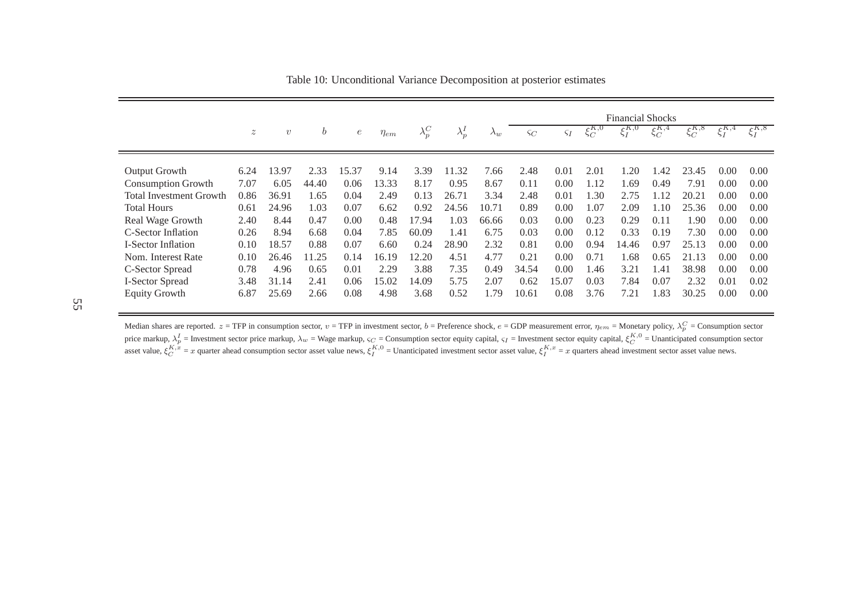|                                |                  |                  |                  |                  |             |               |               |             | <b>Financial Shocks</b> |               |               |                                |                       |               |               |               |
|--------------------------------|------------------|------------------|------------------|------------------|-------------|---------------|---------------|-------------|-------------------------|---------------|---------------|--------------------------------|-----------------------|---------------|---------------|---------------|
|                                | $\boldsymbol{z}$ | $\boldsymbol{v}$ | $\boldsymbol{b}$ | $\boldsymbol{e}$ | $\eta_{em}$ | $\lambda_p^C$ | $\lambda_p^I$ | $\Lambda_w$ | $\varsigma_C$           | $\varsigma_I$ | $\xi_C^{K,0}$ | $\zeta^{K,0}$<br>$\varsigma_I$ | $\xi_C^{K,4}$         | $\xi_C^{K,8}$ | $\xi_I^{K,4}$ | $\xi_I^{K,8}$ |
|                                |                  |                  |                  |                  |             |               |               |             |                         |               |               |                                |                       |               |               |               |
| <b>Output Growth</b>           | 6.24             | 13.97            | 2.33             | 15.37            | 9.14        | 3.39          | 11.32         | 7.66        | 2.48                    | 0.01          | 2.01          | 1.20                           | .42                   | 23.45         | 0.00          | 0.00          |
| <b>Consumption Growth</b>      | 7.07             | 6.05             | 44.40            | 0.06             | 13.33       | 8.17          | 0.95          | 8.67        | 0.11                    | 0.00          | 1.12          | .69                            | 0.49                  | 7.91          | 0.00          | 0.00          |
| <b>Total Investment Growth</b> | 0.86             | 36.91            | 1.65             | 0.04             | 2.49        | 0.13          | 26.71         | 3.34        | 2.48                    | 0.01          | 1.30          | 2.75                           | $\lfloor .12 \rfloor$ | 20.21         | 0.00          | 0.00          |
| <b>Total Hours</b>             | 0.61             | 24.96            | 1.03             | 0.07             | 6.62        | 0.92          | 24.56         | 10.71       | 0.89                    | 0.00          | 1.07          | 2.09                           | $\pm 10$              | 25.36         | 0.00          | 0.00          |
| Real Wage Growth               | 2.40             | 8.44             | 0.47             | 0.00             | 0.48        | 17.94         | 1.03          | 66.66       | 0.03                    | 0.00          | 0.23          | 0.29                           | 0.11                  | 1.90          | 0.00          | 0.00          |
| C-Sector Inflation             | 0.26             | 8.94             | 6.68             | 0.04             | 7.85        | 60.09         | 1.41          | 6.75        | 0.03                    | 0.00          | 0.12          | 0.33                           | 0.19                  | 7.30          | 0.00          | 0.00          |
| <b>I-Sector Inflation</b>      | 0.10             | 18.57            | 0.88             | 0.07             | 6.60        | 0.24          | 28.90         | 2.32        | 0.81                    | 0.00          | 0.94          | 14.46                          | 0.97                  | 25.13         | 0.00          | 0.00          |
| Nom. Interest Rate             | 0.10             | 26.46            | 11.25            | 0.14             | 16.19       | 12.20         | 4.51          | 4.77        | 0.21                    | 0.00          | 0.71          | 1.68                           | 0.65                  | 21.13         | 0.00          | 0.00          |
| C-Sector Spread                | 0.78             | 4.96             | 0.65             | 0.01             | 2.29        | 3.88          | 7.35          | 0.49        | 34.54                   | 0.00          | .46           | 3.21                           | .41                   | 38.98         | 0.00          | 0.00          |
| I-Sector Spread                | 3.48             | 31.14            | 2.41             | 0.06             | 15.02       | 14.09         | 5.75          | 2.07        | 0.62                    | 15.07         | 0.03          | 7.84                           | 0.07                  | 2.32          | 0.01          | 0.02          |
| <b>Equity Growth</b>           | 6.87             | 25.69            | 2.66             | 0.08             | 4.98        | 3.68          | 0.52          | 1.79        | 10.61                   | 0.08          | 3.76          | 7.21                           | 1.83                  | 30.25         | 0.00          | 0.00          |

Table 10: Unconditional Variance Decomposition at posterior estimates

Median shares are reported.  $z = TFP$  in consumption sector,  $v = TFP$  in investment sector,  $b =$  Preference shock,  $e = GDP$  measurement error,  $\eta_{em} =$  Monetary policy,  $\lambda_p^C =$  Consumption sector price markup,  $\lambda_v^I$  = Investme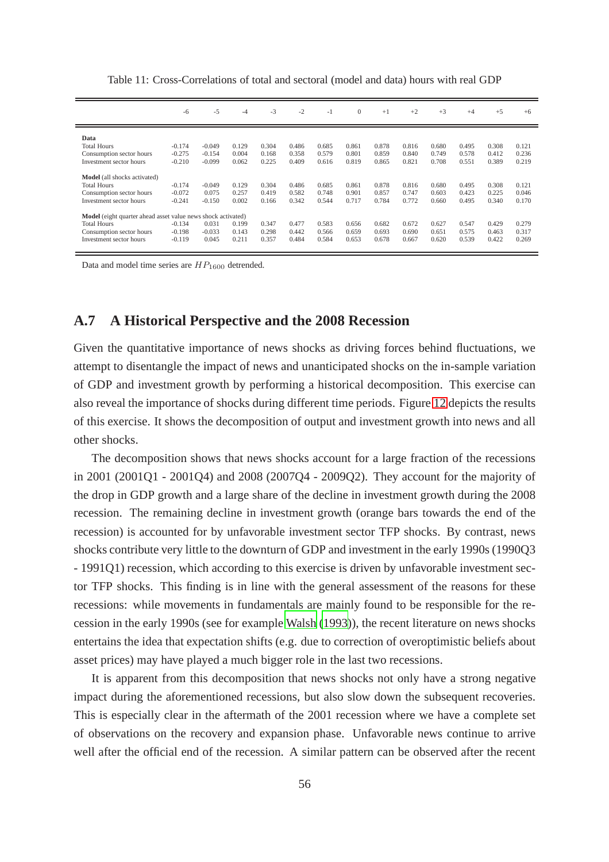|                                                              | $-6$     | $-5$     | $-4$  | $-3$  | $-2$  | $-1$  | $\mathbf{0}$ | $+1$  | $+2$  | $+3$  | $+4$  | $+5$  | $+6$  |
|--------------------------------------------------------------|----------|----------|-------|-------|-------|-------|--------------|-------|-------|-------|-------|-------|-------|
|                                                              |          |          |       |       |       |       |              |       |       |       |       |       |       |
| Data                                                         |          |          |       |       |       |       |              |       |       |       |       |       |       |
| <b>Total Hours</b>                                           | $-0.174$ | $-0.049$ | 0.129 | 0.304 | 0.486 | 0.685 | 0.861        | 0.878 | 0.816 | 0.680 | 0.495 | 0.308 | 0.121 |
| Consumption sector hours                                     | $-0.275$ | $-0.154$ | 0.004 | 0.168 | 0.358 | 0.579 | 0.801        | 0.859 | 0.840 | 0.749 | 0.578 | 0.412 | 0.236 |
| Investment sector hours                                      | $-0.210$ | $-0.099$ | 0.062 | 0.225 | 0.409 | 0.616 | 0.819        | 0.865 | 0.821 | 0.708 | 0.551 | 0.389 | 0.219 |
|                                                              |          |          |       |       |       |       |              |       |       |       |       |       |       |
| <b>Model</b> (all shocks activated)                          |          |          |       |       |       |       |              |       |       |       |       |       |       |
| <b>Total Hours</b>                                           | $-0.174$ | $-0.049$ | 0.129 | 0.304 | 0.486 | 0.685 | 0.861        | 0.878 | 0.816 | 0.680 | 0.495 | 0.308 | 0.121 |
| Consumption sector hours                                     | $-0.072$ | 0.075    | 0.257 | 0.419 | 0.582 | 0.748 | 0.901        | 0.857 | 0.747 | 0.603 | 0.423 | 0.225 | 0.046 |
| Investment sector hours                                      | $-0.241$ | $-0.150$ | 0.002 | 0.166 | 0.342 | 0.544 | 0.717        | 0.784 | 0.772 | 0.660 | 0.495 | 0.340 | 0.170 |
|                                                              |          |          |       |       |       |       |              |       |       |       |       |       |       |
| Model (eight quarter ahead asset value news shock activated) |          |          |       |       |       |       |              |       |       |       |       |       |       |
| <b>Total Hours</b>                                           | $-0.134$ | 0.031    | 0.199 | 0.347 | 0.477 | 0.583 | 0.656        | 0.682 | 0.672 | 0.627 | 0.547 | 0.429 | 0.279 |
| Consumption sector hours                                     | $-0.198$ | $-0.033$ | 0.143 | 0.298 | 0.442 | 0.566 | 0.659        | 0.693 | 0.690 | 0.651 | 0.575 | 0.463 | 0.317 |
| Investment sector hours                                      | $-0.119$ | 0.045    | 0.211 | 0.357 | 0.484 | 0.584 | 0.653        | 0.678 | 0.667 | 0.620 | 0.539 | 0.422 | 0.269 |
|                                                              |          |          |       |       |       |       |              |       |       |       |       |       |       |

<span id="page-57-0"></span>Table 11: Cross-Correlations of total and sectoral (model and data) hours with real GDP

Data and model time series are  $HP_{1600}$  detrended.

### **A.7 A Historical Perspective and the 2008 Recession**

Given the quantitative importance of news shocks as driving forces behind fluctuations, we attempt to disentangle the impact of news and unanticipated shocks on the in-sample variation of GDP and investment growth by performing a historical decomposition. This exercise can also reveal the importance of shocks during different time periods. Figure [12](#page-58-0) depicts the results of this exercise. It shows the decomposition of output and investment growth into news and all other shocks.

The decomposition shows that news shocks account for a large fraction of the recessions in 2001 (2001Q1 - 2001Q4) and 2008 (2007Q4 - 2009Q2). They account for the majority of the drop in GDP growth and a large share of the decline in investment growth during the 2008 recession. The remaining decline in investment growth (orange bars towards the end of the recession) is accounted for by unfavorable investment sector TFP shocks. By contrast, news shocks contribute very little to the downturn of GDP and investment in the early 1990s (1990Q3 - 1991Q1) recession, which according to this exercise is driven by unfavorable investment sector TFP shocks. This finding is in line with the general assessment of the reasons for these recessions: while movements in fundamentals are mainly found to be responsible for the recession in the early 1990s (see for example [Walsh](#page-42-0) [\(1993\)](#page-42-0)), the recent literature on news shocks entertains the idea that expectation shifts (e.g. due to correction of overoptimistic beliefs about asset prices) may have played a much bigger role in the last two recessions.

It is apparent from this decomposition that news shocks not only have a strong negative impact during the aforementioned recessions, but also slow down the subsequent recoveries. This is especially clear in the aftermath of the 2001 recession where we have a complete set of observations on the recovery and expansion phase. Unfavorable news continue to arrive well after the official end of the recession. A similar pattern can be observed after the recent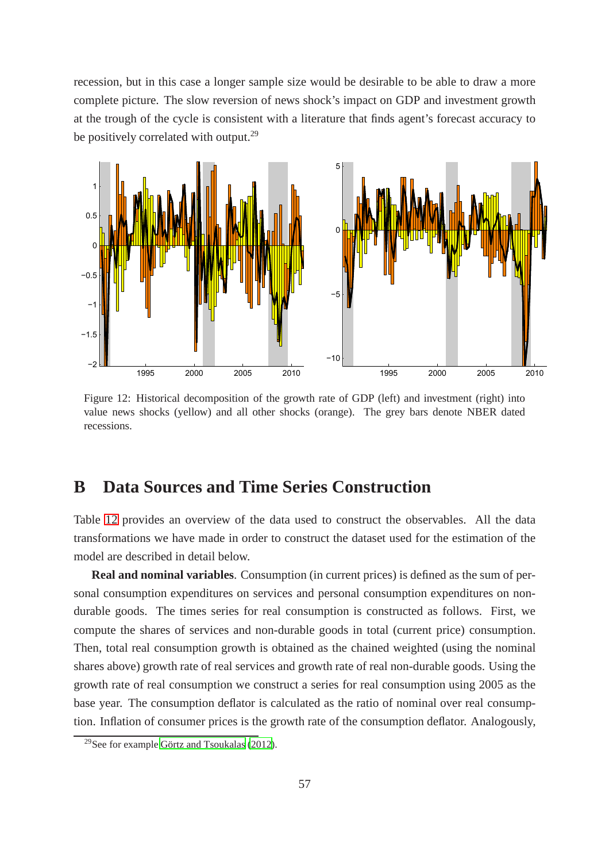recession, but in this case a longer sample size would be desirable to be able to draw a more complete picture. The slow reversion of news shock's impact on GDP and investment growth at the trough of the cycle is consistent with a literature that finds agent's forecast accuracy to be positively correlated with output.<sup>29</sup>

<span id="page-58-0"></span>

Figure 12: Historical decomposition of the growth rate of GDP (left) and investment (right) into value news shocks (yellow) and all other shocks (orange). The grey bars denote NBER dated recessions.

## **B Data Sources and Time Series Construction**

Table [12](#page-61-0) provides an overview of the data used to construct the observables. All the data transformations we have made in order to construct the dataset used for the estimation of the model are described in detail below.

**Real and nominal variables**. Consumption (in current prices) is defined as the sum of personal consumption expenditures on services and personal consumption expenditures on nondurable goods. The times series for real consumption is constructed as follows. First, we compute the shares of services and non-durable goods in total (current price) consumption. Then, total real consumption growth is obtained as the chained weighted (using the nominal shares above) growth rate of real services and growth rate of real non-durable goods. Using the growth rate of real consumption we construct a series for real consumption using 2005 as the base year. The consumption deflator is calculated as the ratio of nominal over real consumption. Inflation of consumer prices is the growth rate of the consumption deflator. Analogously,

<sup>29</sup>See for example [Görtz and Tsoukalas \(2012](#page-39-7)).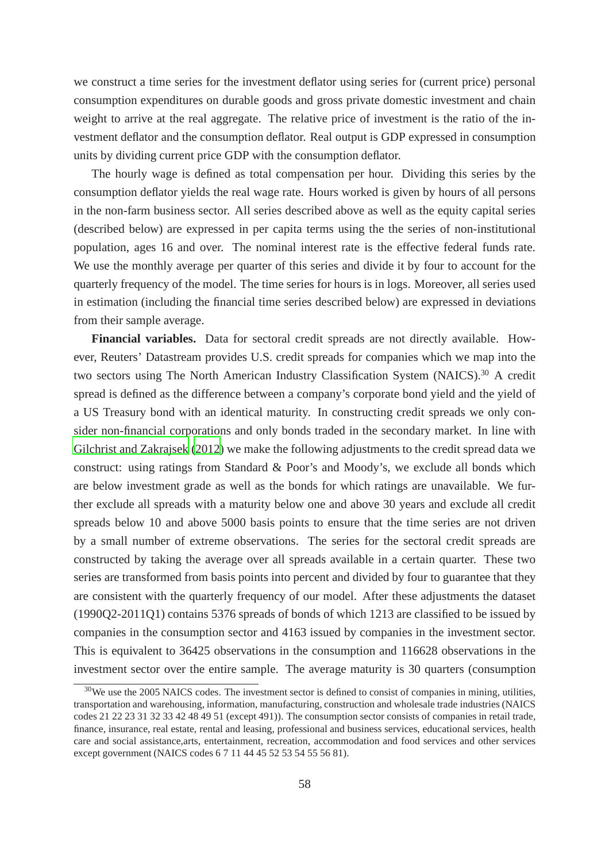we construct a time series for the investment deflator using series for (current price) personal consumption expenditures on durable goods and gross private domestic investment and chain weight to arrive at the real aggregate. The relative price of investment is the ratio of the investment deflator and the consumption deflator. Real output is GDP expressed in consumption units by dividing current price GDP with the consumption deflator.

The hourly wage is defined as total compensation per hour. Dividing this series by the consumption deflator yields the real wage rate. Hours worked is given by hours of all persons in the non-farm business sector. All series described above as well as the equity capital series (described below) are expressed in per capita terms using the the series of non-institutional population, ages 16 and over. The nominal interest rate is the effective federal funds rate. We use the monthly average per quarter of this series and divide it by four to account for the quarterly frequency of the model. The time series for hours is in logs. Moreover, all series used in estimation (including the financial time series described below) are expressed in deviations from their sample average.

**Financial variables.** Data for sectoral credit spreads are not directly available. However, Reuters' Datastream provides U.S. credit spreads for companies which we map into the two sectors using The North American Industry Classification System (NAICS).<sup>30</sup> A credit spread is defined as the difference between a company's corporate bond yield and the yield of a US Treasury bond with an identical maturity. In constructing credit spreads we only consider non-financial corporations and only bonds traded in the secondary market. In line with [Gilchrist and Zakrajsek](#page-39-2) [\(2012\)](#page-39-2) we make the following adjustments to the credit spread data we construct: using ratings from Standard & Poor's and Moody's, we exclude all bonds which are below investment grade as well as the bonds for which ratings are unavailable. We further exclude all spreads with a maturity below one and above 30 years and exclude all credit spreads below 10 and above 5000 basis points to ensure that the time series are not driven by a small number of extreme observations. The series for the sectoral credit spreads are constructed by taking the average over all spreads available in a certain quarter. These two series are transformed from basis points into percent and divided by four to guarantee that they are consistent with the quarterly frequency of our model. After these adjustments the dataset (1990Q2-2011Q1) contains 5376 spreads of bonds of which 1213 are classified to be issued by companies in the consumption sector and 4163 issued by companies in the investment sector. This is equivalent to 36425 observations in the consumption and 116628 observations in the investment sector over the entire sample. The average maturity is 30 quarters (consumption

<sup>&</sup>lt;sup>30</sup>We use the 2005 NAICS codes. The investment sector is defined to consist of companies in mining, utilities, transportation and warehousing, information, manufacturing, construction and wholesale trade industries (NAICS codes 21 22 23 31 32 33 42 48 49 51 (except 491)). The consumption sector consists of companies in retail trade, finance, insurance, real estate, rental and leasing, professional and business services, educational services, health care and social assistance,arts, entertainment, recreation, accommodation and food services and other services except government (NAICS codes 6 7 11 44 45 52 53 54 55 56 81).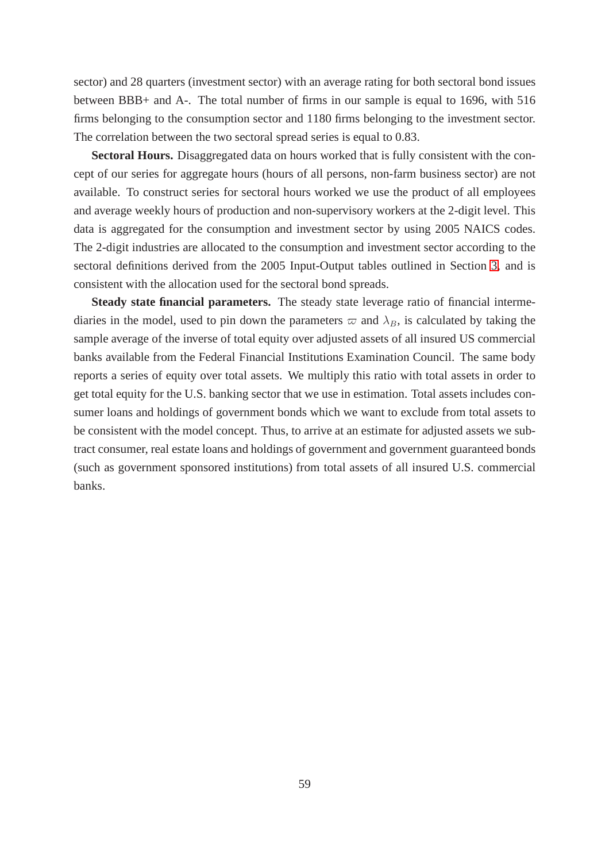sector) and 28 quarters (investment sector) with an average rating for both sectoral bond issues between BBB+ and A-. The total number of firms in our sample is equal to 1696, with 516 firms belonging to the consumption sector and 1180 firms belonging to the investment sector. The correlation between the two sectoral spread series is equal to 0.83.

**Sectoral Hours.** Disaggregated data on hours worked that is fully consistent with the concept of our series for aggregate hours (hours of all persons, non-farm business sector) are not available. To construct series for sectoral hours worked we use the product of all employees and average weekly hours of production and non-supervisory workers at the 2-digit level. This data is aggregated for the consumption and investment sector by using 2005 NAICS codes. The 2-digit industries are allocated to the consumption and investment sector according to the sectoral definitions derived from the 2005 Input-Output tables outlined in Section [3,](#page-7-0) and is consistent with the allocation used for the sectoral bond spreads.

**Steady state financial parameters.** The steady state leverage ratio of financial intermediaries in the model, used to pin down the parameters  $\varpi$  and  $\lambda_B$ , is calculated by taking the sample average of the inverse of total equity over adjusted assets of all insured US commercial banks available from the Federal Financial Institutions Examination Council. The same body reports a series of equity over total assets. We multiply this ratio with total assets in order to get total equity for the U.S. banking sector that we use in estimation. Total assets includes consumer loans and holdings of government bonds which we want to exclude from total assets to be consistent with the model concept. Thus, to arrive at an estimate for adjusted assets we subtract consumer, real estate loans and holdings of government and government guaranteed bonds (such as government sponsored institutions) from total assets of all insured U.S. commercial banks.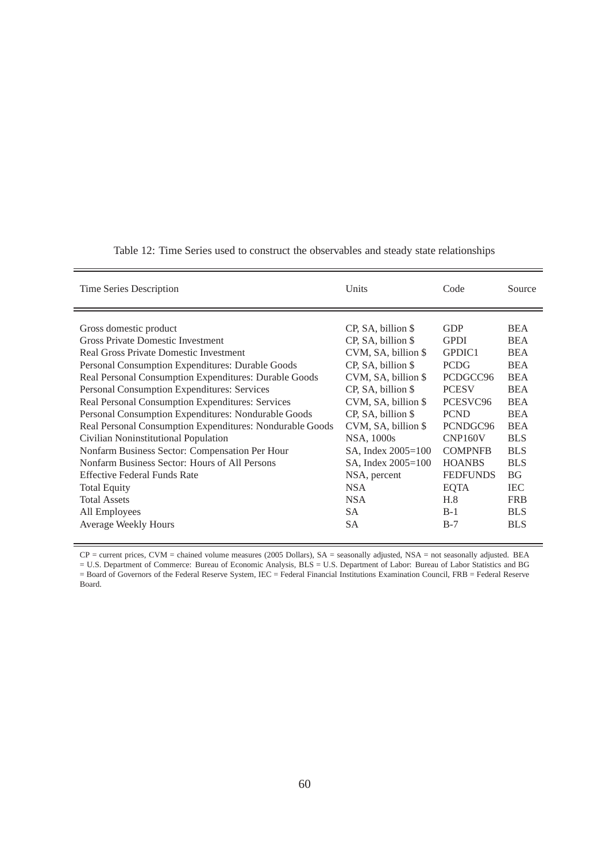| Time Series Description                                  | Units                   | Code                 | Source     |
|----------------------------------------------------------|-------------------------|----------------------|------------|
|                                                          |                         |                      |            |
| Gross domestic product                                   | CP, SA, billion \$      | <b>GDP</b>           | <b>BEA</b> |
| <b>Gross Private Domestic Investment</b>                 | CP, SA, billion \$      | <b>GPDI</b>          | <b>BEA</b> |
| Real Gross Private Domestic Investment                   | $CVM$ , SA, billion $$$ | GPDIC1               | <b>BEA</b> |
| Personal Consumption Expenditures: Durable Goods         | CP, SA, billion \$      | <b>PCDG</b>          | <b>BEA</b> |
| Real Personal Consumption Expenditures: Durable Goods    | CVM, SA, billion \$     | PCDGCC96             | <b>BEA</b> |
| Personal Consumption Expenditures: Services              | CP, SA, billion \$      | <b>PCESV</b>         | <b>BEA</b> |
| Real Personal Consumption Expenditures: Services         | $CVM$ , SA, billion $$$ | PCESVC96             | <b>BEA</b> |
| Personal Consumption Expenditures: Nondurable Goods      | CP, SA, billion \$      | <b>PCND</b>          | <b>BEA</b> |
| Real Personal Consumption Expenditures: Nondurable Goods | $CVM$ , SA, billion $$$ | PCNDGC96             | <b>BEA</b> |
| Civilian Noninstitutional Population                     | NSA, 1000s              | CNP <sub>160</sub> V | <b>BLS</b> |
| Nonfarm Business Sector: Compensation Per Hour           | SA, Index 2005=100      | <b>COMPNFB</b>       | <b>BLS</b> |
| Nonfarm Business Sector: Hours of All Persons            | SA, Index 2005=100      | <b>HOANBS</b>        | <b>BLS</b> |
| <b>Effective Federal Funds Rate</b>                      | NSA, percent            | <b>FEDFUNDS</b>      | <b>BG</b>  |
| <b>Total Equity</b>                                      | <b>NSA</b>              | <b>EQTA</b>          | <b>IEC</b> |
| <b>Total Assets</b>                                      | <b>NSA</b>              | H.8                  | <b>FRB</b> |
| All Employees                                            | <b>SA</b>               | $B-1$                | <b>BLS</b> |
| <b>Average Weekly Hours</b>                              | <b>SA</b>               | $B-7$                | <b>BLS</b> |
|                                                          |                         |                      |            |

<span id="page-61-0"></span>Table 12: Time Series used to construct the observables and steady state relationships

CP = current prices, CVM = chained volume measures (2005 Dollars), SA = seasonally adjusted, NSA = not seasonally adjusted. BEA = U.S. Department of Commerce: Bureau of Economic Analysis, BLS = U.S. Department of Labor: Bureau of Labor Statistics and BG = Board of Governors of the Federal Reserve System, IEC = Federal Financial Institutions Examination Council, FRB = Federal Reserve Board.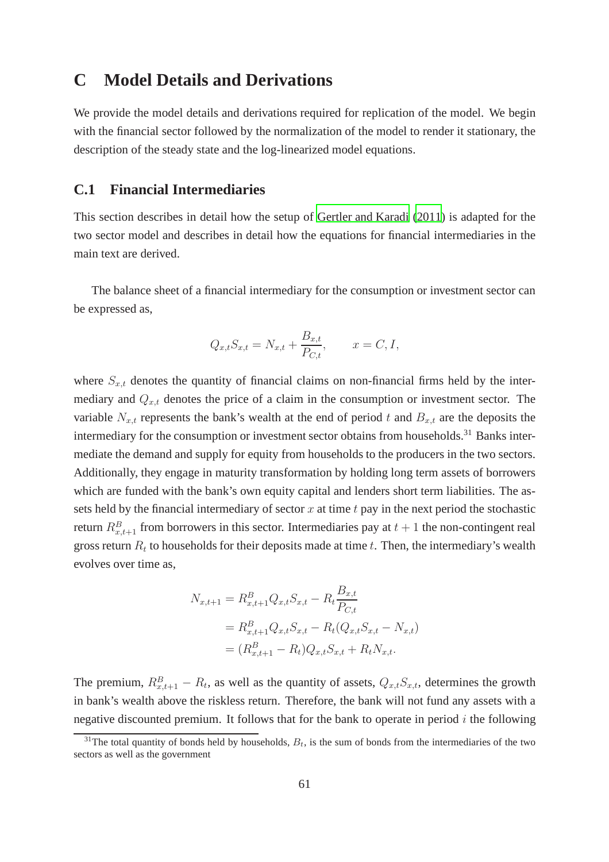## **C Model Details and Derivations**

We provide the model details and derivations required for replication of the model. We begin with the financial sector followed by the normalization of the model to render it stationary, the description of the steady state and the log-linearized model equations.

### **C.1 Financial Intermediaries**

This section describes in detail how the setup of [Gertler and](#page-39-0) Karadi [\(2011](#page-39-0)) is adapted for the two sector model and describes in detail how the equations for financial intermediaries in the main text are derived.

The balance sheet of a financial intermediary for the consumption or investment sector can be expressed as,

$$
Q_{x,t}S_{x,t} = N_{x,t} + \frac{B_{x,t}}{P_{C,t}},
$$
  $x = C, I,$ 

where  $S_{x,t}$  denotes the quantity of financial claims on non-financial firms held by the intermediary and  $Q_{x,t}$  denotes the price of a claim in the consumption or investment sector. The variable  $N_{x,t}$  represents the bank's wealth at the end of period t and  $B_{x,t}$  are the deposits the intermediary for the consumption or investment sector obtains from households.<sup>31</sup> Banks intermediate the demand and supply for equity from households to the producers in the two sectors. Additionally, they engage in maturity transformation by holding long term assets of borrowers which are funded with the bank's own equity capital and lenders short term liabilities. The assets held by the financial intermediary of sector  $x$  at time  $t$  pay in the next period the stochastic return  $R_{x,t+1}^B$  from borrowers in this sector. Intermediaries pay at  $t+1$  the non-contingent real gross return  $R_t$  to households for their deposits made at time t. Then, the intermediary's wealth evolves over time as,

$$
N_{x,t+1} = R_{x,t+1}^{B} Q_{x,t} S_{x,t} - R_t \frac{B_{x,t}}{P_{C,t}}
$$
  
=  $R_{x,t+1}^{B} Q_{x,t} S_{x,t} - R_t (Q_{x,t} S_{x,t} - N_{x,t})$   
=  $(R_{x,t+1}^{B} - R_t) Q_{x,t} S_{x,t} + R_t N_{x,t}.$ 

The premium,  $R_{x,t+1}^B - R_t$ , as well as the quantity of assets,  $Q_{x,t} S_{x,t}$ , determines the growth in bank's wealth above the riskless return. Therefore, the bank will not fund any assets with a negative discounted premium. It follows that for the bank to operate in period  $i$  the following

 $31$ The total quantity of bonds held by households,  $B_t$ , is the sum of bonds from the intermediaries of the two sectors as well as the government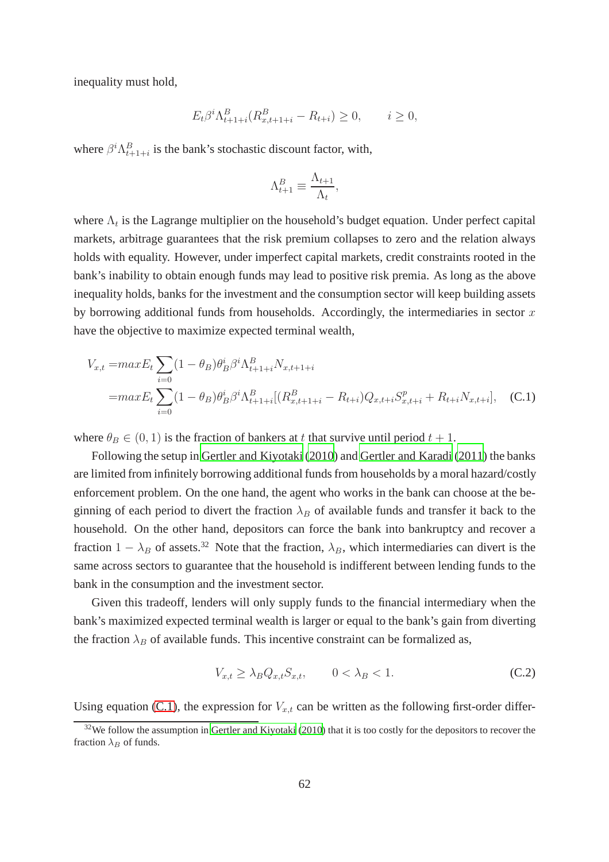inequality must hold,

$$
E_t \beta^i \Lambda_{t+1+i}^B (R_{x,t+1+i}^B - R_{t+i}) \ge 0, \qquad i \ge 0,
$$

where  $\beta^{i} \Lambda_{t+1+i}^{B}$  is the bank's stochastic discount factor, with,

<span id="page-63-0"></span>
$$
\Lambda_{t+1}^B \equiv \frac{\Lambda_{t+1}}{\Lambda_t},
$$

where  $\Lambda_t$  is the Lagrange multiplier on the household's budget equation. Under perfect capital markets, arbitrage guarantees that the risk premium collapses to zero and the relation always holds with equality. However, under imperfect capital markets, credit constraints rooted in the bank's inability to obtain enough funds may lead to positive risk premia. As long as the above inequality holds, banks for the investment and the consumption sector will keep building assets by borrowing additional funds from households. Accordingly, the intermediaries in sector  $x$ have the objective to maximize expected terminal wealth,

$$
V_{x,t} = max E_t \sum_{i=0}^{t} (1 - \theta_B) \theta_B^i \beta^i \Lambda_{t+1+i}^B N_{x,t+1+i}
$$
  
= 
$$
max E_t \sum_{i=0}^{t} (1 - \theta_B) \theta_B^i \beta^i \Lambda_{t+1+i}^B [(R_{x,t+1+i}^B - R_{t+i}) Q_{x,t+i} S_{x,t+i}^p + R_{t+i} N_{x,t+i}],
$$
 (C.1)

where  $\theta_B \in (0, 1)$  is the fraction of bankers at t that survive until period  $t + 1$ .

Following the setup in [Gertler and Kiyotaki \(2010](#page-39-1)) and [Gertler and Karadi \(2011](#page-39-0)) the banks are limited from infinitely borrowing additional funds from households by a moral hazard/costly enforcement problem. On the one hand, the agent who works in the bank can choose at the beginning of each period to divert the fraction  $\lambda_B$  of available funds and transfer it back to the household. On the other hand, depositors can force the bank into bankruptcy and recover a fraction  $1 - \lambda_B$  of assets.<sup>32</sup> Note that the fraction,  $\lambda_B$ , which intermediaries can divert is the same across sectors to guarantee that the household is indifferent between lending funds to the bank in the consumption and the investment sector.

Given this tradeoff, lenders will only supply funds to the financial intermediary when the bank's maximized expected terminal wealth is larger or equal to the bank's gain from diverting the fraction  $\lambda_B$  of available funds. This incentive constraint can be formalized as,

<span id="page-63-1"></span>
$$
V_{x,t} \ge \lambda_B Q_{x,t} S_{x,t}, \qquad 0 < \lambda_B < 1. \tag{C.2}
$$

Using equation [\(C.1\)](#page-63-0), the expression for  $V_{x,t}$  can be written as the following first-order differ-

 $32$ We follow the assumption in [Gertler and Kiyotaki](#page-39-1) [\(2010\)](#page-39-1) that it is too costly for the depositors to recover the fraction  $\lambda_B$  of funds.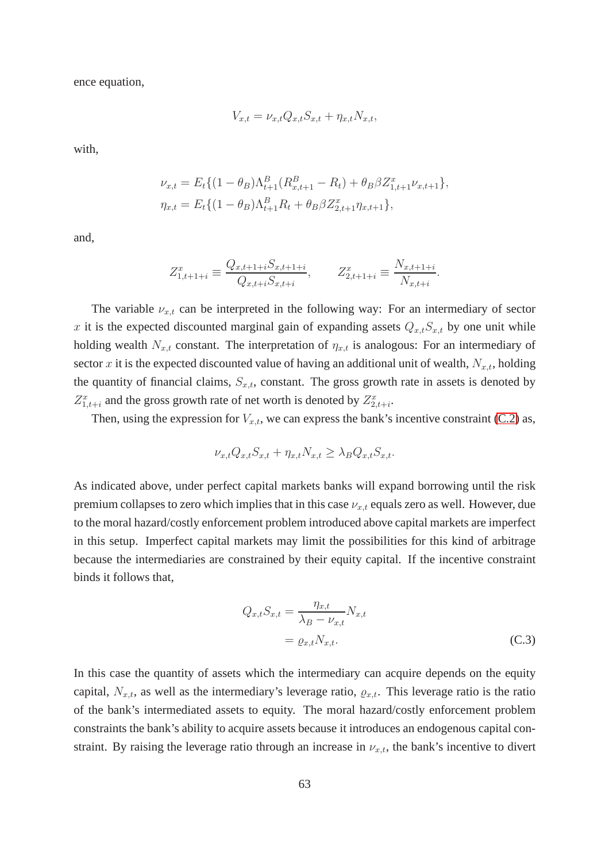ence equation,

$$
V_{x,t} = \nu_{x,t} Q_{x,t} S_{x,t} + \eta_{x,t} N_{x,t},
$$

with,

$$
\nu_{x,t} = E_t \{ (1 - \theta_B) \Lambda_{t+1}^B (R_{x,t+1}^B - R_t) + \theta_B \beta Z_{1,t+1}^x \nu_{x,t+1} \},
$$
  

$$
\eta_{x,t} = E_t \{ (1 - \theta_B) \Lambda_{t+1}^B R_t + \theta_B \beta Z_{2,t+1}^x \eta_{x,t+1} \},
$$

and,

$$
Z_{1,t+1+i}^x \equiv \frac{Q_{x,t+1+i}S_{x,t+1+i}}{Q_{x,t+i}S_{x,t+i}}, \qquad Z_{2,t+1+i}^x \equiv \frac{N_{x,t+1+i}}{N_{x,t+i}}.
$$

The variable  $\nu_{x,t}$  can be interpreted in the following way: For an intermediary of sector x it is the expected discounted marginal gain of expanding assets  $Q_{x,t}S_{x,t}$  by one unit while holding wealth  $N_{x,t}$  constant. The interpretation of  $\eta_{x,t}$  is analogous: For an intermediary of sector x it is the expected discounted value of having an additional unit of wealth,  $N_{x,t}$ , holding the quantity of financial claims,  $S_{x,t}$ , constant. The gross growth rate in assets is denoted by  $Z_{1,t+i}^x$  and the gross growth rate of net worth is denoted by  $Z_{2,t+i}^x$ .

Then, using the expression for  $V_{x,t}$ , we can express the bank's incentive constraint [\(C.2\)](#page-63-1) as,

$$
\nu_{x,t} Q_{x,t} S_{x,t} + \eta_{x,t} N_{x,t} \ge \lambda_B Q_{x,t} S_{x,t}.
$$

As indicated above, under perfect capital markets banks will expand borrowing until the risk premium collapses to zero which implies that in this case  $\nu_{x,t}$  equals zero as well. However, due to the moral hazard/costly enforcement problem introduced above capital markets are imperfect in this setup. Imperfect capital markets may limit the possibilities for this kind of arbitrage because the intermediaries are constrained by their equity capital. If the incentive constraint binds it follows that,

<span id="page-64-0"></span>
$$
Q_{x,t}S_{x,t} = \frac{\eta_{x,t}}{\lambda_B - \nu_{x,t}} N_{x,t}
$$
  
= 
$$
\varrho_{x,t} N_{x,t}.
$$
 (C.3)

In this case the quantity of assets which the intermediary can acquire depends on the equity capital,  $N_{x,t}$ , as well as the intermediary's leverage ratio,  $\varrho_{x,t}$ . This leverage ratio is the ratio of the bank's intermediated assets to equity. The moral hazard/costly enforcement problem constraints the bank's ability to acquire assets because it introduces an endogenous capital constraint. By raising the leverage ratio through an increase in  $\nu_{x,t}$ , the bank's incentive to divert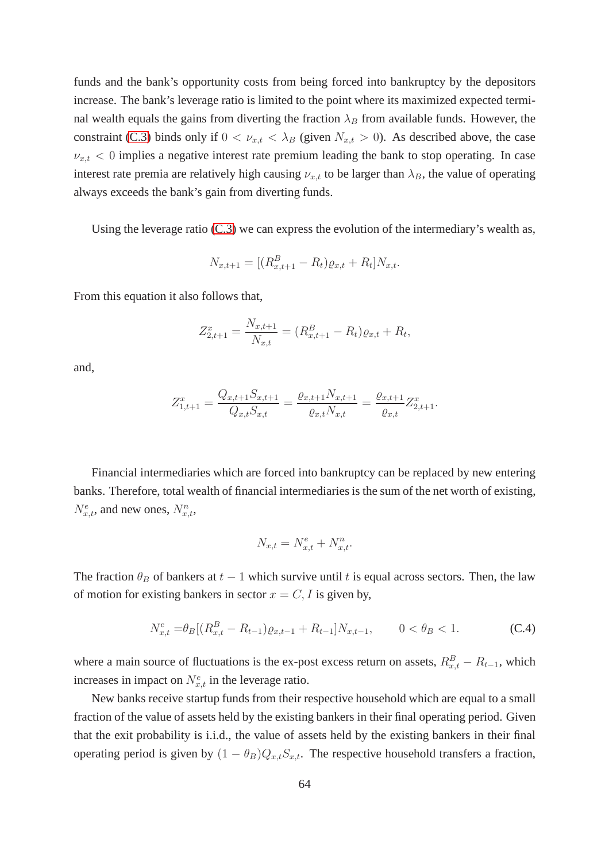funds and the bank's opportunity costs from being forced into bankruptcy by the depositors increase. The bank's leverage ratio is limited to the point where its maximized expected terminal wealth equals the gains from diverting the fraction  $\lambda_B$  from available funds. However, the constraint [\(C.3\)](#page-64-0) binds only if  $0 < \nu_{x,t} < \lambda_B$  (given  $N_{x,t} > 0$ ). As described above, the case  $\nu_{x,t}$  < 0 implies a negative interest rate premium leading the bank to stop operating. In case interest rate premia are relatively high causing  $\nu_{x,t}$  to be larger than  $\lambda_B$ , the value of operating always exceeds the bank's gain from diverting funds.

Using the leverage ratio [\(C.3\)](#page-64-0) we can express the evolution of the intermediary's wealth as,

$$
N_{x,t+1} = [(R_{x,t+1}^B - R_t)\varrho_{x,t} + R_t]N_{x,t}.
$$

From this equation it also follows that,

$$
Z_{2,t+1}^x = \frac{N_{x,t+1}}{N_{x,t}} = (R_{x,t+1}^B - R_t)\varrho_{x,t} + R_t,
$$

and,

$$
Z_{1,t+1}^x = \frac{Q_{x,t+1}S_{x,t+1}}{Q_{x,t}S_{x,t}} = \frac{\varrho_{x,t+1}N_{x,t+1}}{\varrho_{x,t}N_{x,t}} = \frac{\varrho_{x,t+1}}{\varrho_{x,t}} Z_{2,t+1}^x.
$$

Financial intermediaries which are forced into bankruptcy can be replaced by new entering banks. Therefore, total wealth of financial intermediaries is the sum of the net worth of existing,  $N_{x,t}^e$ , and new ones,  $N_{x,t}^n$ ,

<span id="page-65-0"></span>
$$
N_{x,t} = N_{x,t}^e + N_{x,t}^n.
$$

The fraction  $\theta_B$  of bankers at  $t - 1$  which survive until t is equal across sectors. Then, the law of motion for existing bankers in sector  $x = C, I$  is given by,

$$
N_{x,t}^{e} = \theta_B \left[ (R_{x,t}^{B} - R_{t-1}) \varrho_{x,t-1} + R_{t-1} \right] N_{x,t-1}, \qquad 0 < \theta_B < 1. \tag{C.4}
$$

where a main source of fluctuations is the ex-post excess return on assets,  $R_{x,t}^B - R_{t-1}$ , which increases in impact on  $N_{x,t}^e$  in the leverage ratio.

New banks receive startup funds from their respective household which are equal to a small fraction of the value of assets held by the existing bankers in their final operating period. Given that the exit probability is i.i.d., the value of assets held by the existing bankers in their final operating period is given by  $(1 - \theta_B)Q_{x,t}S_{x,t}$ . The respective household transfers a fraction,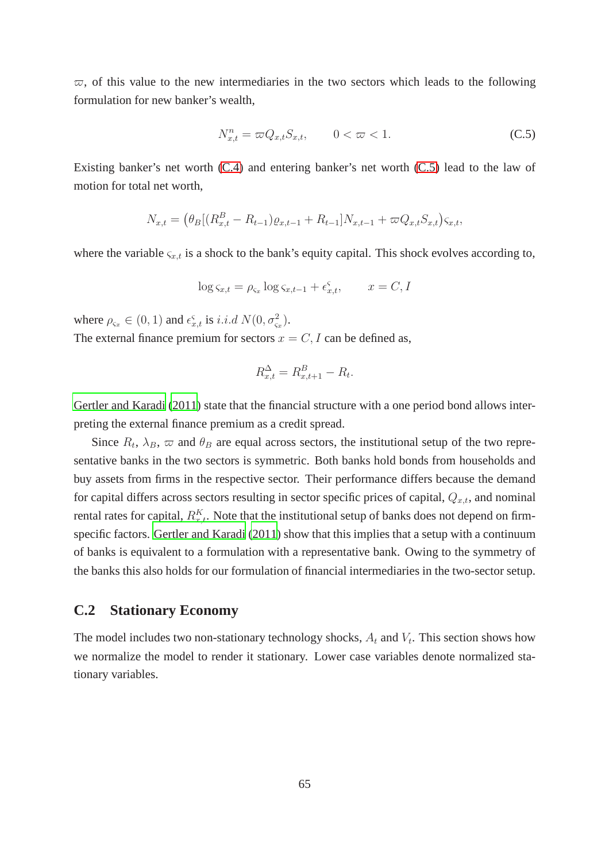$\varpi$ , of this value to the new intermediaries in the two sectors which leads to the following formulation for new banker's wealth,

<span id="page-66-0"></span>
$$
N_{x,t}^n = \varpi Q_{x,t} S_{x,t}, \qquad 0 < \varpi < 1. \tag{C.5}
$$

Existing banker's net worth [\(C.4\)](#page-65-0) and entering banker's net worth [\(C.5\)](#page-66-0) lead to the law of motion for total net worth,

$$
N_{x,t} = (\theta_B[(R_{x,t}^B - R_{t-1})\varrho_{x,t-1} + R_{t-1}]N_{x,t-1} + \varpi Q_{x,t}S_{x,t})\varsigma_{x,t},
$$

where the variable  $\varsigma_{x,t}$  is a shock to the bank's equity capital. This shock evolves according to,

$$
\log \varsigma_{x,t} = \rho_{\varsigma_x} \log \varsigma_{x,t-1} + \epsilon_{x,t}^{\varsigma}, \qquad x = C, I
$$

where  $\rho_{\varsigma_x} \in (0, 1)$  and  $\epsilon_{x,t}^{\varsigma}$  is *i.i.d*  $N(0, \sigma_{\varsigma_x}^2)$ .

The external finance premium for sectors  $x = C, I$  can be defined as,

$$
R_{x,t}^{\Delta} = R_{x,t+1}^B - R_t.
$$

[Gertler and Karadi \(2011](#page-39-0)) state that the financial structure with a one period bond allows interpreting the external finance premium as a credit spread.

Since  $R_t$ ,  $\lambda_B$ ,  $\varpi$  and  $\theta_B$  are equal across sectors, the institutional setup of the two representative banks in the two sectors is symmetric. Both banks hold bonds from households and buy assets from firms in the respective sector. Their performance differs because the demand for capital differs across sectors resulting in sector specific prices of capital,  $Q_{x,t}$ , and nominal rental rates for capital,  $R_{x,t}^K$ . Note that the institutional setup of banks does not depend on firmspecific factors. [Gertler and Karadi](#page-39-0) [\(2011\)](#page-39-0) show that this implies that a setup with a continuum of banks is equivalent to a formulation with a representative bank. Owing to the symmetry of the banks this also holds for our formulation of financial intermediaries in the two-sector setup.

### **C.2 Stationary Economy**

The model includes two non-stationary technology shocks,  $A_t$  and  $V_t$ . This section shows how we normalize the model to render it stationary. Lower case variables denote normalized stationary variables.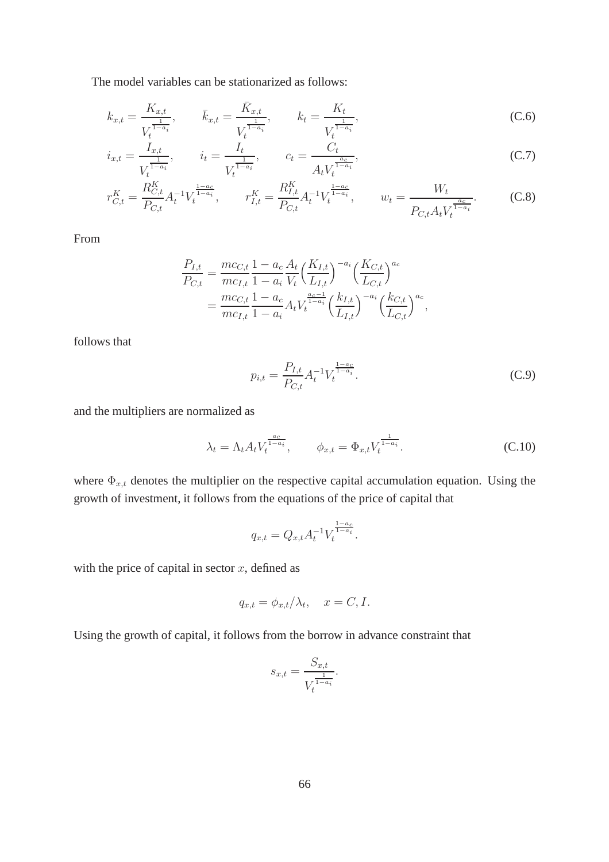The model variables can be stationarized as follows:

$$
k_{x,t} = \frac{K_{x,t}}{V_t^{\frac{1}{1-a_i}}}, \qquad \bar{k}_{x,t} = \frac{\bar{K}_{x,t}}{V_t^{\frac{1}{1-a_i}}}, \qquad k_t = \frac{K_t}{V_t^{\frac{1}{1-a_i}}}, \tag{C.6}
$$

$$
i_{x,t} = \frac{I_{x,t}}{V_t^{\frac{1}{1-a_i}}}, \qquad i_t = \frac{I_t}{V_t^{\frac{1}{1-a_i}}}, \qquad c_t = \frac{C_t}{A_t V_t^{\frac{a_c}{1-a_i}}}, \tag{C.7}
$$

$$
r_{C,t}^{K} = \frac{R_{C,t}^{K}}{P_{C,t}} A_t^{-1} V_t^{\frac{1-a_c}{1-a_i}}, \qquad r_{I,t}^{K} = \frac{R_{I,t}^{K}}{P_{C,t}} A_t^{-1} V_t^{\frac{1-a_c}{1-a_i}}, \qquad w_t = \frac{W_t}{P_{C,t} A_t V_t^{\frac{a_c}{1-a_i}}}.
$$
 (C.8)

From

$$
\frac{P_{I,t}}{P_{C,t}} = \frac{mc_{C,t}}{mc_{I,t}} \frac{1 - a_c}{1 - a_i} \frac{A_t}{V_t} \left(\frac{K_{I,t}}{L_{I,t}}\right)^{-a_i} \left(\frac{K_{C,t}}{L_{C,t}}\right)^{a_c}
$$
\n
$$
= \frac{mc_{C,t}}{mc_{I,t}} \frac{1 - a_c}{1 - a_i} A_t V_t^{\frac{a_c - 1}{1 - a_i}} \left(\frac{k_{I,t}}{L_{I,t}}\right)^{-a_i} \left(\frac{k_{C,t}}{L_{C,t}}\right)^{a_c},
$$

follows that

$$
p_{i,t} = \frac{P_{I,t}}{P_{C,t}} A_t^{-1} V_t^{\frac{1-a_c}{1-a_i}}.
$$
\n(C.9)

and the multipliers are normalized as

$$
\lambda_t = \Lambda_t A_t V_t^{\frac{a_c}{1 - a_i}}, \qquad \phi_{x,t} = \Phi_{x,t} V_t^{\frac{1}{1 - a_i}}.
$$
 (C.10)

where  $\Phi_{x,t}$  denotes the multiplier on the respective capital accumulation equation. Using the growth of investment, it follows from the equations of the price of capital that

$$
q_{x,t} = Q_{x,t} A_t^{-1} V_t^{\frac{1-a_c}{1-a_i}}.
$$

with the price of capital in sector  $x$ , defined as

$$
q_{x,t} = \phi_{x,t} / \lambda_t, \quad x = C, I.
$$

Using the growth of capital, it follows from the borrow in advance constraint that

$$
s_{x,t} = \frac{S_{x,t}}{V_t^{\frac{1}{1-a_i}}}.
$$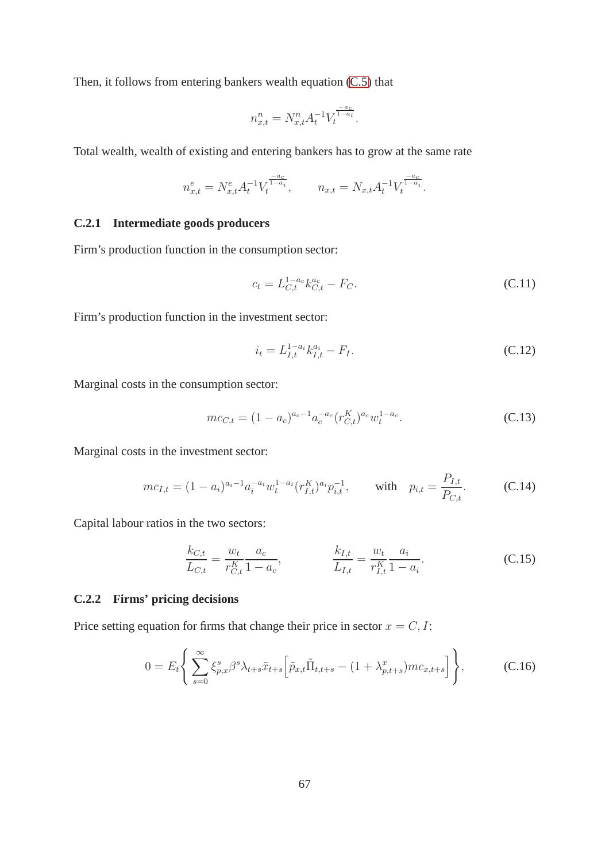Then, it follows from entering bankers wealth equation [\(C.5\)](#page-66-0) that

$$
n_{x,t}^n = N_{x,t}^n A_t^{-1} V_t^{\frac{-a_c}{1-a_i}}.
$$

Total wealth, wealth of existing and entering bankers has to grow at the same rate

$$
n_{x,t}^e = N_{x,t}^e A_t^{-1} V_t^{\frac{-a_c}{1-a_i}}, \qquad n_{x,t} = N_{x,t} A_t^{-1} V_t^{\frac{-a_c}{1-a_i}}.
$$

### **C.2.1 Intermediate goods producers**

Firm's production function in the consumption sector:

$$
c_t = L_{C,t}^{1-a_c} k_{C,t}^{a_c} - F_C.
$$
\n(C.11)

Firm's production function in the investment sector:

$$
i_t = L_{I,t}^{1-a_i} k_{I,t}^{a_i} - F_I.
$$
\n(C.12)

Marginal costs in the consumption sector:

$$
mc_{C,t} = (1 - a_c)^{a_c - 1} a_c^{-a_c} (r_{C,t}^K)^{a_c} w_t^{1 - a_c}.
$$
 (C.13)

Marginal costs in the investment sector:

$$
mc_{I,t} = (1 - a_i)^{a_i - 1} a_i^{-a_i} w_t^{1 - a_i} (r_{I,t}^K)^{a_i} p_{i,t}^{-1}, \quad \text{with} \quad p_{i,t} = \frac{P_{I,t}}{P_{C,t}}.
$$
 (C.14)

Capital labour ratios in the two sectors:

$$
\frac{k_{C,t}}{L_{C,t}} = \frac{w_t}{r_{C,t}^K} \frac{a_c}{1 - a_c}, \qquad \frac{k_{I,t}}{L_{I,t}} = \frac{w_t}{r_{I,t}^K} \frac{a_i}{1 - a_i}.
$$
\n(C.15)

### **C.2.2 Firms' pricing decisions**

Price setting equation for firms that change their price in sector  $x = C, I$ :

$$
0 = E_t \Bigg\{ \sum_{s=0}^{\infty} \xi_{p,x}^s \beta^s \lambda_{t+s} \tilde{x}_{t+s} \Big[ \tilde{p}_{x,t} \tilde{\Pi}_{t,t+s} - (1 + \lambda_{p,t+s}^x) m c_{x,t+s} \Big] \Bigg\}, \tag{C.16}
$$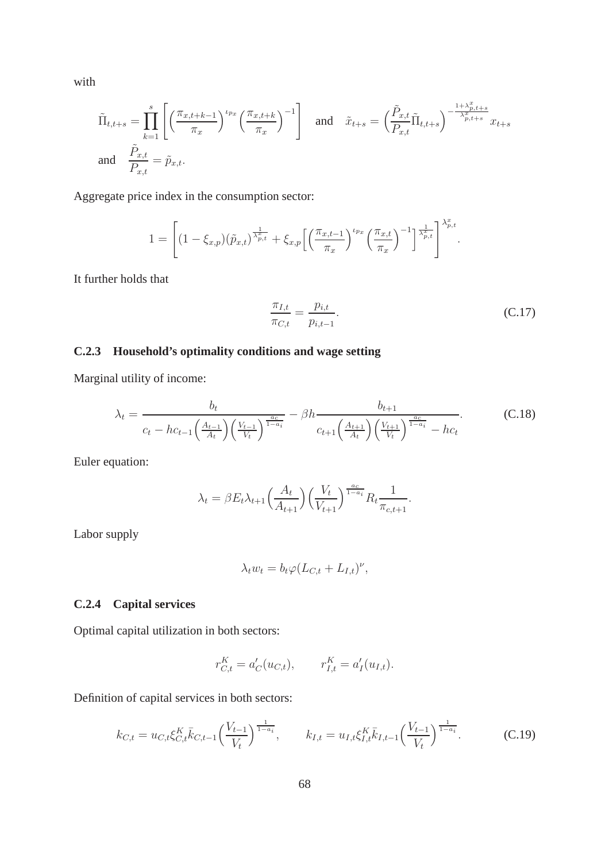with

$$
\tilde{\Pi}_{t,t+s} = \prod_{k=1}^{s} \left[ \left( \frac{\pi_{x,t+k-1}}{\pi_x} \right)^{\iota_{p_x}} \left( \frac{\pi_{x,t+k}}{\pi_x} \right)^{-1} \right] \quad \text{and} \quad \tilde{x}_{t+s} = \left( \frac{\tilde{P}_{x,t}}{P_{x,t}} \tilde{\Pi}_{t,t+s} \right)^{-\frac{1+\lambda_{p,t+s}^x}{\lambda_{p,t+s}^x}} x_{t+s}
$$
\nand\n
$$
\frac{\tilde{P}_{x,t}}{P_{x,t}} = \tilde{p}_{x,t}.
$$

Aggregate price index in the consumption sector:

$$
1 = \left[ (1 - \xi_{x,p})(\tilde{p}_{x,t})^{\frac{1}{\lambda_{p,t}^x}} + \xi_{x,p} \left[ \left( \frac{\pi_{x,t-1}}{\pi_x} \right)^{\iota_{px}} \left( \frac{\pi_{x,t}}{\pi_x} \right)^{-1} \right]^{\frac{1}{\lambda_{p,t}^x}} \right]^{\lambda_{p,t}^x}.
$$

It further holds that

$$
\frac{\pi_{I,t}}{\pi_{C,t}} = \frac{p_{i,t}}{p_{i,t-1}}.
$$
\n(C.17)

### **C.2.3 Household's optimality conditions and wage setting**

Marginal utility of income:

$$
\lambda_t = \frac{b_t}{c_t - hc_{t-1} \left(\frac{A_{t-1}}{A_t}\right) \left(\frac{V_{t-1}}{V_t}\right)^{\frac{a_c}{1-a_i}}} - \beta h \frac{b_{t+1}}{c_{t+1} \left(\frac{A_{t+1}}{A_t}\right) \left(\frac{V_{t+1}}{V_t}\right)^{\frac{a_c}{1-a_i}} - hc_t}.
$$
 (C.18)

Euler equation:

$$
\lambda_t = \beta E_t \lambda_{t+1} \left( \frac{A_t}{A_{t+1}} \right) \left( \frac{V_t}{V_{t+1}} \right)^{\frac{a_c}{1-a_i}} R_t \frac{1}{\pi_{c,t+1}}.
$$

Labor supply

$$
\lambda_t w_t = b_t \varphi (L_{C,t} + L_{I,t})^{\nu},
$$

### **C.2.4 Capital services**

Optimal capital utilization in both sectors:

$$
r_{C,t}^K = a'_C(u_{C,t}), \qquad r_{I,t}^K = a'_I(u_{I,t}).
$$

Definition of capital services in both sectors:

$$
k_{C,t} = u_{C,t} \xi_{C,t}^{K} \bar{k}_{C,t-1} \left(\frac{V_{t-1}}{V_t}\right)^{\frac{1}{1-a_i}}, \qquad k_{I,t} = u_{I,t} \xi_{I,t}^{K} \bar{k}_{I,t-1} \left(\frac{V_{t-1}}{V_t}\right)^{\frac{1}{1-a_i}}.
$$
 (C.19)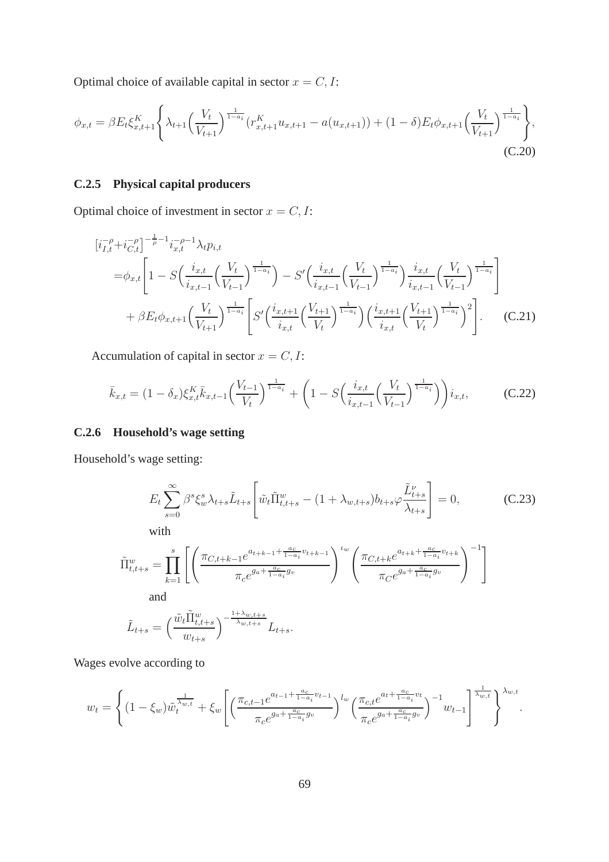Optimal choice of available capital in sector  $x = C, I$ :

$$
\phi_{x,t} = \beta E_t \xi_{x,t+1}^K \left\{ \lambda_{t+1} \left( \frac{V_t}{V_{t+1}} \right)^{\frac{1}{1-a_i}} \left( r_{x,t+1}^K u_{x,t+1} - a(u_{x,t+1}) \right) + (1-\delta) E_t \phi_{x,t+1} \left( \frac{V_t}{V_{t+1}} \right)^{\frac{1}{1-a_i}} \right\},\tag{C.20}
$$

#### **C.2.5 Physical capital producers**

Optimal choice of investment in sector  $x = C, I$ :

$$
\begin{split} \left[i_{I,t}^{-\rho} + i_{C,t}^{-\rho}\right]^{-\frac{1}{\rho} - 1} i_{x,t}^{-\rho - 1} \lambda_t p_{i,t} \\ = & \phi_{x,t} \left[ 1 - S\left(\frac{i_{x,t}}{i_{x,t-1}} \left(\frac{V_t}{V_{t-1}}\right)^{\frac{1}{1-a_i}}\right) - S'\left(\frac{i_{x,t}}{i_{x,t-1}} \left(\frac{V_t}{V_{t-1}}\right)^{\frac{1}{1-a_i}}\right) \frac{i_{x,t}}{i_{x,t-1}} \left(\frac{V_t}{V_{t-1}}\right)^{\frac{1}{1-a_i}} \right] \\ & + \beta E_t \phi_{x,t+1} \left(\frac{V_t}{V_{t+1}}\right)^{\frac{1}{1-a_i}} \left[ S'\left(\frac{i_{x,t+1}}{i_{x,t}} \left(\frac{V_{t+1}}{V_t}\right)^{\frac{1}{1-a_i}}\right) \left(\frac{i_{x,t+1}}{i_{x,t}} \left(\frac{V_{t+1}}{V_t}\right)^{\frac{1}{1-a_i}}\right)^2 \right]. \end{split} \tag{C.21}
$$

Accumulation of capital in sector  $x = C, I$ :

$$
\bar{k}_{x,t} = (1 - \delta_x) \xi_{x,t}^K \bar{k}_{x,t-1} \left( \frac{V_{t-1}}{V_t} \right)^{\frac{1}{1-a_i}} + \left( 1 - S \left( \frac{i_{x,t}}{i_{x,t-1}} \left( \frac{V_t}{V_{t-1}} \right)^{\frac{1}{1-a_i}} \right) \right) i_{x,t}, \tag{C.22}
$$

#### **C.2.6 Household's wage setting**

Household's wage setting:

$$
E_{t} \sum_{s=0}^{\infty} \beta^{s} \xi_{w}^{s} \lambda_{t+s} \tilde{L}_{t+s} \left[ \tilde{w}_{t} \tilde{\Pi}_{t,t+s}^{w} - (1 + \lambda_{w,t+s}) b_{t+s} \varphi \frac{\tilde{L}_{t+s}^{v}}{\lambda_{t+s}} \right] = 0, \qquad (C.23)
$$
\nwith\n
$$
\tilde{\Pi}_{t,t+s}^{w} = \prod_{k=1}^{s} \left[ \left( \frac{\pi_{C,t+k-1} e^{a_{t+k-1} + \frac{a_{c}}{1 - a_{i}} v_{t+k-1}}}{\pi_{c} e^{g_{a} + \frac{a_{c}}{1 - a_{i}} g_{v}}} \right)^{t_{w}} \left( \frac{\pi_{C,t+k} e^{a_{t+k} + \frac{a_{c}}{1 - a_{i}} v_{t+k}}}{\pi_{C} e^{g_{a} + \frac{a_{c}}{1 - a_{i}} g_{v}}} \right)^{-1} \right]
$$
\nand\n
$$
\tilde{L}_{t+s} = \left( \frac{\tilde{w}_{t} \tilde{\Pi}_{t,t+s}^{w}}{\lambda_{w,t+s}} \right)^{-\frac{1 + \lambda_{w,t+s}}{\lambda_{w,t+s}}} L_{t+s}.
$$

Wages evolve according to

 $w_{t+s}$ 

$$
w_{t} = \left\{ (1 - \xi_{w}) \tilde{w}_{t}^{\frac{1}{\lambda_{w,t}}} + \xi_{w} \left[ \left( \frac{\pi_{c,t-1} e^{a_{t-1} + \frac{a_{c}}{1 - a_{i}} v_{t-1}}}{\pi_{c} e^{g_{a} + \frac{a_{c}}{1 - a_{i}} g_{v}}} \right)^{l_{w}} \left( \frac{\pi_{c,t} e^{a_{t} + \frac{a_{c}}{1 - a_{i}} v_{t}}}{\pi_{c} e^{g_{a} + \frac{a_{c}}{1 - a_{i}} g_{v}}} \right)^{-1} w_{t-1} \right]^{\frac{1}{\lambda_{w,t}}} \right\}^{\lambda_{w,t}}.
$$

 $^{\lambda_{w,t+s}}$   $L_{t+s}.$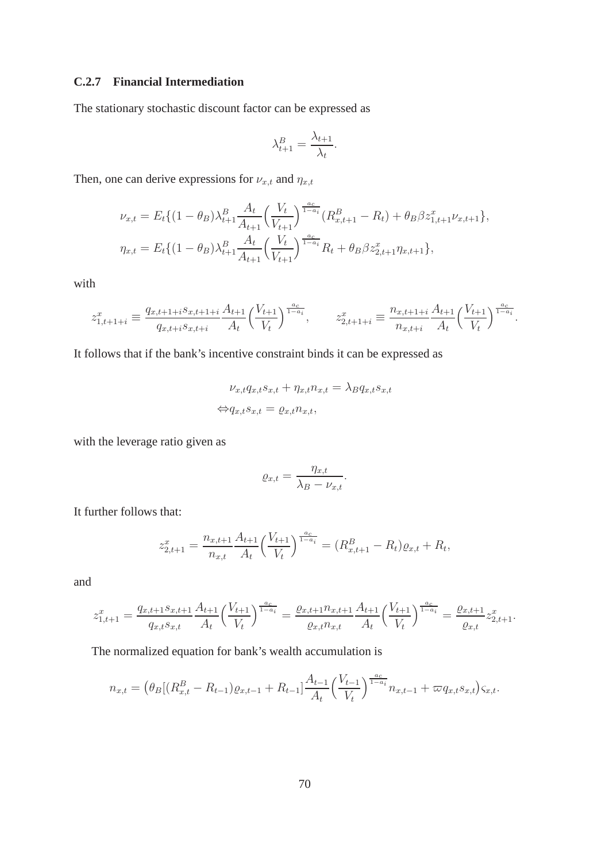#### **C.2.7 Financial Intermediation**

The stationary stochastic discount factor can be expressed as

$$
\lambda_{t+1}^B = \frac{\lambda_{t+1}}{\lambda_t}.
$$

Then, one can derive expressions for  $\nu_{x,t}$  and  $\eta_{x,t}$ 

$$
\nu_{x,t} = E_t \{ (1 - \theta_B) \lambda_{t+1}^B \frac{A_t}{A_{t+1}} \left( \frac{V_t}{V_{t+1}} \right)^{\frac{a_c}{1 - a_i}} (R_{x,t+1}^B - R_t) + \theta_B \beta z_{1,t+1}^x \nu_{x,t+1} \},
$$
  

$$
\eta_{x,t} = E_t \{ (1 - \theta_B) \lambda_{t+1}^B \frac{A_t}{A_{t+1}} \left( \frac{V_t}{V_{t+1}} \right)^{\frac{a_c}{1 - a_i}} R_t + \theta_B \beta z_{2,t+1}^x \eta_{x,t+1} \},
$$

with

$$
z_{1,t+1+i}^x \equiv \frac{q_{x,t+1+i} s_{x,t+1+i}}{q_{x,t+i} s_{x,t+i}} \frac{A_{t+1}}{A_t} \left(\frac{V_{t+1}}{V_t}\right)^{\frac{a_c}{1-a_i}}, \qquad z_{2,t+1+i}^x \equiv \frac{n_{x,t+1+i}}{n_{x,t+i}} \frac{A_{t+1}}{A_t} \left(\frac{V_{t+1}}{V_t}\right)^{\frac{a_c}{1-a_i}}.
$$

It follows that if the bank's incentive constraint binds it can be expressed as

$$
\nu_{x,t} q_{x,t} s_{x,t} + \eta_{x,t} n_{x,t} = \lambda_B q_{x,t} s_{x,t}
$$

$$
\Leftrightarrow q_{x,t} s_{x,t} = \varrho_{x,t} n_{x,t},
$$

with the leverage ratio given as

$$
\varrho_{x,t} = \frac{\eta_{x,t}}{\lambda_B - \nu_{x,t}}.
$$

It further follows that:

$$
z_{2,t+1}^x = \frac{n_{x,t+1}}{n_{x,t}} \frac{A_{t+1}}{A_t} \left(\frac{V_{t+1}}{V_t}\right)^{\frac{a_c}{1-a_i}} = (R_{x,t+1}^B - R_t)\varrho_{x,t} + R_t,
$$

and

$$
z_{1,t+1}^x = \frac{q_{x,t+1}s_{x,t+1}}{q_{x,t}s_{x,t}} \frac{A_{t+1}}{A_t} \left(\frac{V_{t+1}}{V_t}\right)^{\frac{a_c}{1-a_i}} = \frac{\varrho_{x,t+1}n_{x,t+1}}{\varrho_{x,t}n_{x,t}} \frac{A_{t+1}}{A_t} \left(\frac{V_{t+1}}{V_t}\right)^{\frac{a_c}{1-a_i}} = \frac{\varrho_{x,t+1}}{\varrho_{x,t}} z_{2,t+1}^x.
$$

The normalized equation for bank's wealth accumulation is

$$
n_{x,t} = \left(\theta_B[(R_{x,t}^B - R_{t-1})\varrho_{x,t-1} + R_{t-1}]\frac{A_{t-1}}{A_t}\left(\frac{V_{t-1}}{V_t}\right)^{\frac{a_c}{1-a_i}}n_{x,t-1} + \varpi q_{x,t} s_{x,t}\right)s_{x,t}.
$$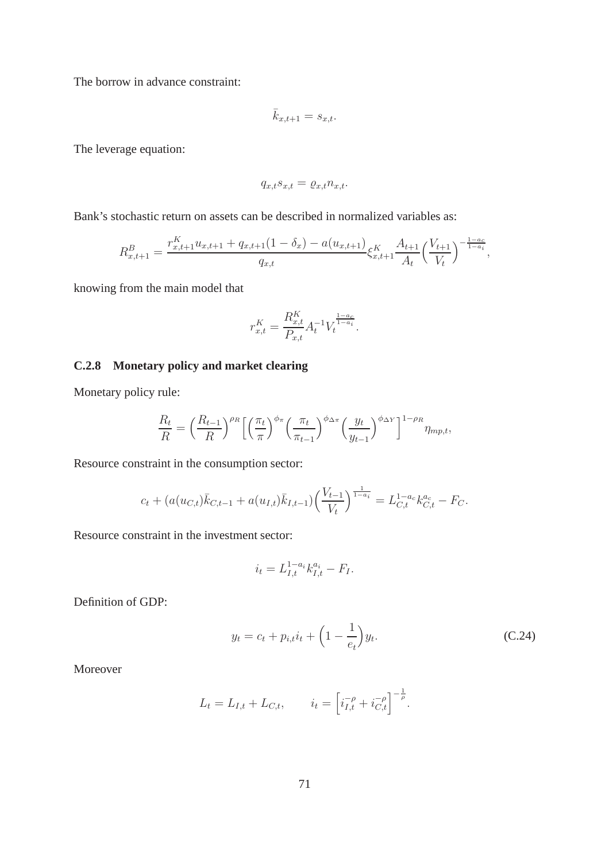The borrow in advance constraint:

$$
\bar{k}_{x,t+1} = s_{x,t}.
$$

The leverage equation:

$$
q_{x,t}s_{x,t} = \varrho_{x,t} n_{x,t}.
$$

Bank's stochastic return on assets can be described in normalized variables as:

$$
R_{x,t+1}^B = \frac{r_{x,t+1}^K u_{x,t+1} + q_{x,t+1}(1 - \delta_x) - a(u_{x,t+1})}{q_{x,t}} \xi_{x,t+1}^K \frac{A_{t+1}}{A_t} \left(\frac{V_{t+1}}{V_t}\right)^{-\frac{1 - a_c}{1 - a_i}},
$$

knowing from the main model that

$$
r_{x,t}^K = \frac{R_{x,t}^K}{P_{x,t}} A_t^{-1} V_t^{\frac{1-a_c}{1-a_i}}.
$$

### **C.2.8 Monetary policy and market clearing**

Monetary policy rule:

$$
\frac{R_t}{R} = \left(\frac{R_{t-1}}{R}\right)^{\rho_R} \left[ \left(\frac{\pi_t}{\pi}\right)^{\phi_{\pi}} \left(\frac{\pi_t}{\pi_{t-1}}\right)^{\phi_{\Delta\pi}} \left(\frac{y_t}{y_{t-1}}\right)^{\phi_{\Delta Y}} \right]^{1-\rho_R} \eta_{mp,t},
$$

Resource constraint in the consumption sector:

$$
c_t + (a(u_{C,t})\bar{k}_{C,t-1} + a(u_{I,t})\bar{k}_{I,t-1})\left(\frac{V_{t-1}}{V_t}\right)^{\frac{1}{1-a_i}} = L_{C,t}^{1-a_c}k_{C,t}^{a_c} - F_C.
$$

Resource constraint in the investment sector:

<span id="page-72-0"></span>
$$
i_t = L_{I,t}^{1-a_i} k_{I,t}^{a_i} - F_I.
$$

Definition of GDP:

$$
y_t = c_t + p_{i,t} i_t + \left(1 - \frac{1}{e_t}\right) y_t.
$$
 (C.24)

Moreover

$$
L_t = L_{I,t} + L_{C,t}, \qquad i_t = \left[ i_{I,t}^{-\rho} + i_{C,t}^{-\rho} \right]^{-\frac{1}{\rho}}.
$$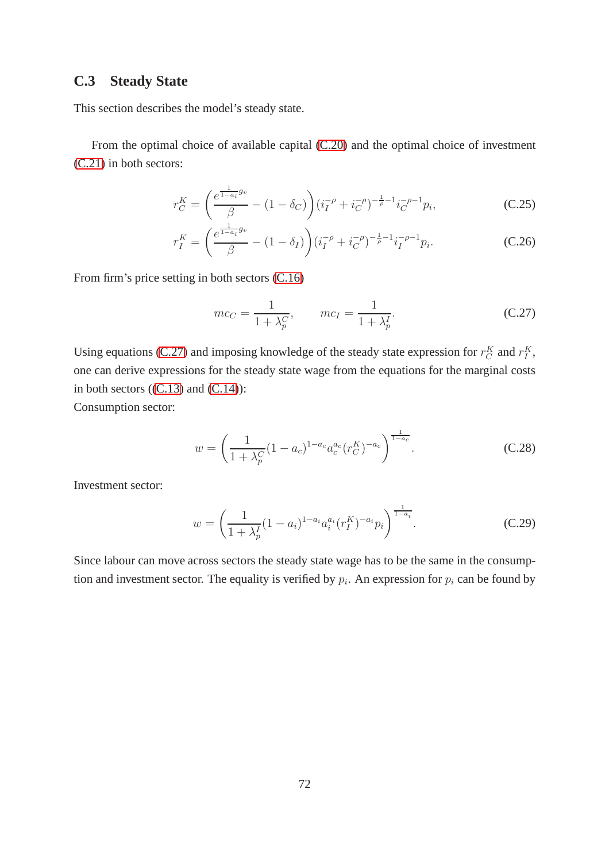## **C.3 Steady State**

This section describes the model's steady state.

From the optimal choice of available capital [\(C.20\)](#page-70-0) and the optimal choice of investment [\(C.21\)](#page-70-1) in both sectors:

$$
r_C^K = \left(\frac{e^{\frac{1}{1-a_i}g_v}}{\beta} - (1-\delta_C)\right) \left(i_I^{-\rho} + i_C^{-\rho}\right)^{-\frac{1}{\rho}-1} i_C^{-\rho-1} p_i,\tag{C.25}
$$

$$
r_I^K = \left(\frac{e^{\frac{1}{1-a_i}g_v}}{\beta} - (1-\delta_I)\right) \left(i_I^{-\rho} + i_C^{-\rho}\right)^{-\frac{1}{\rho}-1} i_I^{-\rho-1} p_i.
$$
 (C.26)

From firm's price setting in both sectors [\(C.16\)](#page-68-0)

<span id="page-73-4"></span><span id="page-73-3"></span><span id="page-73-0"></span>
$$
mc_C = \frac{1}{1 + \lambda_p^C}, \qquad mc_I = \frac{1}{1 + \lambda_p^I}.
$$
 (C.27)

Using equations [\(C.27\)](#page-73-0) and imposing knowledge of the steady state expression for  $r_C^K$  and  $r_I^K$ , one can derive expressions for the steady state wage from the equations for the marginal costs in both sectors  $((C.13)$  $((C.13)$  and  $(C.14)$ :

Consumption sector:

<span id="page-73-1"></span>
$$
w = \left(\frac{1}{1 + \lambda_p^C} (1 - a_c)^{1 - a_c} a_c^{a_c} (r_C^K)^{-a_c}\right)^{\frac{1}{1 - a_c}}.
$$
 (C.28)

Investment sector:

<span id="page-73-2"></span>
$$
w = \left(\frac{1}{1 + \lambda_p^I} (1 - a_i)^{1 - a_i} a_i^{a_i} (r_I^K)^{-a_i} p_i\right)^{\frac{1}{1 - a_i}}.
$$
 (C.29)

Since labour can move across sectors the steady state wage has to be the same in the consumption and investment sector. The equality is verified by  $p_i$ . An expression for  $p_i$  can be found by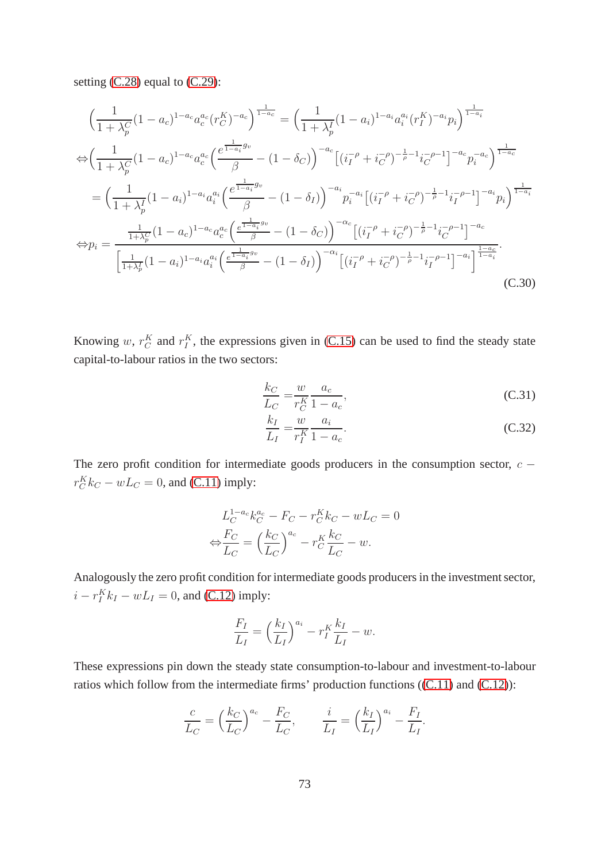setting [\(C.28\)](#page-73-1) equal to [\(C.29\)](#page-73-2):

$$
\left(\frac{1}{1+\lambda_p^C}(1-a_c)^{1-a_c}a_c^{a_c}(r_C^K)^{-a_c}\right)^{\frac{1}{1-a_c}} = \left(\frac{1}{1+\lambda_p^I}(1-a_i)^{1-a_i}a_i^{a_i}(r_I^K)^{-a_i}p_i\right)^{\frac{1}{1-a_i}}
$$
\n
$$
\Leftrightarrow \left(\frac{1}{1+\lambda_p^C}(1-a_c)^{1-a_c}a_c^{a_c}\left(\frac{e^{\frac{1}{1-a_i}g_v}}{\beta}-(1-\delta_C)\right)^{-a_c}\left[(i_I^{-\rho}+i_C^{-\rho})^{-\frac{1}{\rho}-1}i_C^{-\rho-1}\right]^{-a_c}p_i^{-a_c}\right)^{\frac{1}{1-a_c}}
$$
\n
$$
= \left(\frac{1}{1+\lambda_p^I}(1-a_i)^{1-a_i}a_i^{a_i}\left(\frac{e^{\frac{1}{1-a_i}g_v}}{\beta}-(1-\delta_I)\right)^{-a_i}p_i^{-a_i}\left[(i_I^{-\rho}+i_C^{-\rho})^{-\frac{1}{\rho}-1}i_I^{-\rho-1}\right]^{-a_i}p_i\right)^{\frac{1}{1-a_i}}
$$
\n
$$
\Leftrightarrow p_i = \frac{\frac{1}{1+\lambda_p^C}(1-a_c)^{1-a_c}a_c^{a_c}\left(\frac{e^{\frac{1}{1-a_i}g_v}}{\beta}-(1-\delta_C)\right)^{-\alpha_c}\left[(i_I^{-\rho}+i_C^{-\rho})^{-\frac{1}{\rho}-1}i_C^{-\rho-1}\right]^{-a_c}}{\left[\frac{1}{1+\lambda_p^I}(1-a_i)^{1-a_i}a_i^{a_i}\left(\frac{e^{\frac{1}{1-a_i}g_v}}{\beta}-(1-\delta_I)\right)^{-\alpha_i}\left[(i_I^{-\rho}+i_C^{-\rho})^{-\frac{1}{\rho}-1}i_I^{-\rho-1}\right]^{-a_i}\right]^{\frac{1-a_c}{1-a_i}}}. \tag{C.30}
$$

Knowing w,  $r_C^K$  and  $r_I^K$ , the expressions given in [\(C.15\)](#page-68-3) can be used to find the steady state capital-to-labour ratios in the two sectors:

<span id="page-74-1"></span><span id="page-74-0"></span>
$$
\frac{k_C}{L_C} = \frac{w}{r_C^K} \frac{a_c}{1 - a_c},
$$
\n(C.31)

<span id="page-74-2"></span>
$$
\frac{k_I}{L_I} = \frac{w}{r_I^K} \frac{a_i}{1 - a_c}.
$$
\n(C.32)

The zero profit condition for intermediate goods producers in the consumption sector,  $c$  −  $r_C^K k_C - wL_C = 0$ , and [\(C.11\)](#page-68-4) imply:

$$
L_C^{1-a_c} k_C^{a_c} - F_C - r_C^K k_C - wL_C = 0
$$

$$
\Leftrightarrow \frac{F_C}{L_C} = \left(\frac{k_C}{L_C}\right)^{a_c} - r_C^K \frac{k_C}{L_C} - w.
$$

Analogously the zero profit condition for intermediate goods producers in the investment sector,  $i - r_I^K k_I - wL_I = 0$ , and [\(C.12\)](#page-68-5) imply:

$$
\frac{F_I}{L_I} = \left(\frac{k_I}{L_I}\right)^{a_i} - r_I^K \frac{k_I}{L_I} - w.
$$

These expressions pin down the steady state consumption-to-labour and investment-to-labour ratios which follow from the intermediate firms' production functions ([\(C.11\)](#page-68-4) and [\(C.12\)](#page-68-5)):

$$
\frac{c}{L_C} = \left(\frac{k_C}{L_C}\right)^{a_c} - \frac{F_C}{L_C}, \qquad \frac{i}{L_I} = \left(\frac{k_I}{L_I}\right)^{a_i} - \frac{F_I}{L_I}.
$$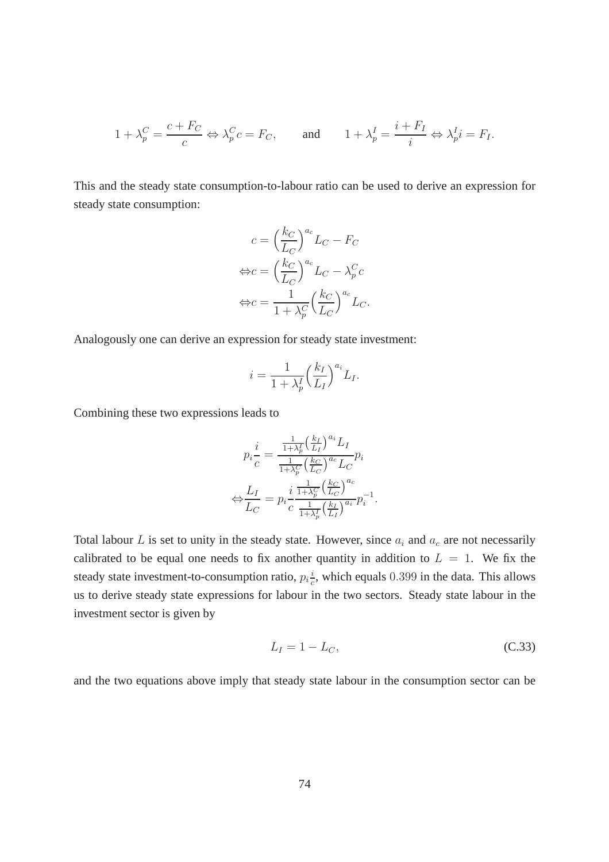$$
1 + \lambda_p^C = \frac{c + F_C}{c} \Leftrightarrow \lambda_p^C c = F_C
$$
, and  $1 + \lambda_p^I = \frac{i + F_I}{i} \Leftrightarrow \lambda_p^I i = F_I$ .

This and the steady state consumption-to-labour ratio can be used to derive an expression for steady state consumption:

$$
c = \left(\frac{k_C}{L_C}\right)^{a_c} L_C - F_C
$$

$$
\Leftrightarrow c = \left(\frac{k_C}{L_C}\right)^{a_c} L_C - \lambda_P^C c
$$

$$
\Leftrightarrow c = \frac{1}{1 + \lambda_P^C} \left(\frac{k_C}{L_C}\right)^{a_c} L_C.
$$

Analogously one can derive an expression for steady state investment:

$$
i = \frac{1}{1 + \lambda_p^I} \left(\frac{k_I}{L_I}\right)^{a_i} L_I.
$$

Combining these two expressions leads to

$$
p_i \frac{i}{c} = \frac{\frac{1}{1+\lambda_p^L} \left(\frac{k_I}{L_I}\right)^{a_i} L_I}{\frac{1}{1+\lambda_p^C} \left(\frac{k_C}{L_C}\right)^{a_c} L_C} p_i
$$

$$
\Leftrightarrow \frac{L_I}{L_C} = p_i \frac{i}{c} \frac{\frac{1}{1+\lambda_p^C} \left(\frac{k_C}{L_C}\right)^{a_c}}{\frac{1}{1+\lambda_p^T} \left(\frac{k_I}{L_I}\right)^{a_i}} p_i^{-1}.
$$

Total labour L is set to unity in the steady state. However, since  $a_i$  and  $a_c$  are not necessarily calibrated to be equal one needs to fix another quantity in addition to  $L = 1$ . We fix the steady state investment-to-consumption ratio,  $p_i \frac{i}{c}$  $\frac{i}{c}$ , which equals 0.399 in the data. This allows us to derive steady state expressions for labour in the two sectors. Steady state labour in the investment sector is given by

<span id="page-75-0"></span>
$$
L_I = 1 - L_C,\tag{C.33}
$$

and the two equations above imply that steady state labour in the consumption sector can be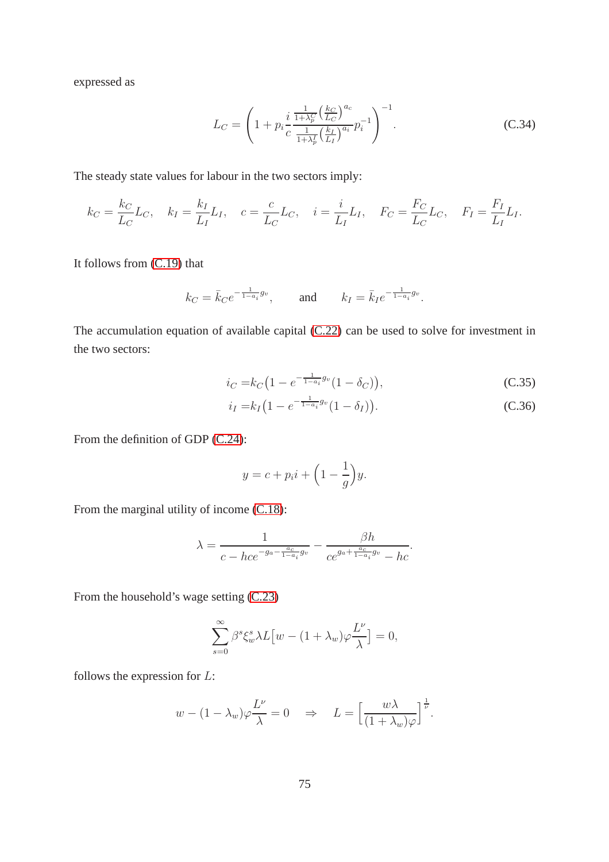expressed as

<span id="page-76-0"></span>
$$
L_C = \left(1 + p_i \frac{i \frac{1}{1 + \lambda_p^C} \left(\frac{k_C}{L_C}\right)^{a_c}}{\frac{1}{1 + \lambda_p^I} \left(\frac{k_I}{L_I}\right)^{a_i}} p_i^{-1}\right)^{-1}.
$$
 (C.34)

The steady state values for labour in the two sectors imply:

$$
k_C = \frac{k_C}{L_C} L_C
$$
,  $k_I = \frac{k_I}{L_I} L_I$ ,  $c = \frac{c}{L_C} L_C$ ,  $i = \frac{i}{L_I} L_I$ ,  $F_C = \frac{F_C}{L_C} L_C$ ,  $F_I = \frac{F_I}{L_I} L_I$ .

It follows from [\(C.19\)](#page-69-0) that

$$
k_C = \bar{k}_C e^{-\frac{1}{1-a_i}g_v}
$$
, and  $k_I = \bar{k}_I e^{-\frac{1}{1-a_i}g_v}$ .

The accumulation equation of available capital [\(C.22\)](#page-70-2) can be used to solve for investment in the two sectors:

$$
i_C = k_C \left( 1 - e^{-\frac{1}{1 - a_i} g_v} (1 - \delta_C) \right),\tag{C.35}
$$

<span id="page-76-1"></span>
$$
i_I = k_I \left( 1 - e^{-\frac{1}{1 - a_i} g_v} (1 - \delta_I) \right). \tag{C.36}
$$

From the definition of GDP [\(C.24\)](#page-72-0):

<span id="page-76-2"></span>
$$
y = c + p_i i + \left(1 - \frac{1}{g}\right) y.
$$

From the marginal utility of income [\(C.18\)](#page-69-1):

$$
\lambda = \frac{1}{c - hce^{-g_a - \frac{a_c}{1 - a_i}g_v}} - \frac{\beta h}{ce^{g_a + \frac{a_c}{1 - a_i}g_v} - hc}.
$$

From the household's wage setting [\(C.23\)](#page-70-3)

$$
\sum_{s=0}^{\infty} \beta^s \xi_w^s \lambda L \left[ w - (1 + \lambda_w) \varphi \frac{L^{\nu}}{\lambda} \right] = 0,
$$

follows the expression for L:

$$
w - (1 - \lambda_w)\varphi \frac{L^{\nu}}{\lambda} = 0 \quad \Rightarrow \quad L = \left[\frac{w\lambda}{(1 + \lambda_w)\varphi}\right]^{\frac{1}{\nu}}.
$$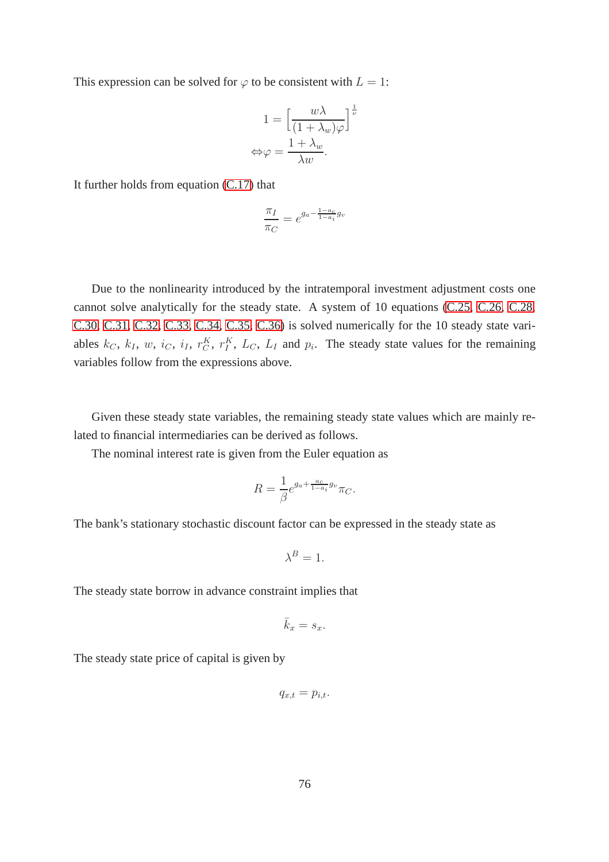This expression can be solved for  $\varphi$  to be consistent with  $L = 1$ :

$$
1 = \left[\frac{w\lambda}{(1 + \lambda_w)\varphi}\right]^{\frac{1}{\nu}}
$$

$$
\Leftrightarrow \varphi = \frac{1 + \lambda_w}{\lambda w}.
$$

It further holds from equation [\(C.17\)](#page-69-2) that

$$
\frac{\pi_I}{\pi_C} = e^{g_a - \frac{1 - a_c}{1 - a_i} g_v}
$$

Due to the nonlinearity introduced by the intratemporal investment adjustment costs one cannot solve analytically for the steady state. A system of 10 equations [\(C.25,](#page-73-3) [C.26,](#page-73-4) [C.28,](#page-73-1) [C.30,](#page-74-0) [C.31,](#page-74-1) [C.32,](#page-74-2) [C.33,](#page-75-0) [C.34,](#page-76-0) [C.35,](#page-76-1) [C.36\)](#page-76-2) is solved numerically for the 10 steady state variables  $k_C$ ,  $k_I$ ,  $w$ ,  $i_C$ ,  $i_I$ ,  $r^K$ ,  $r^K$ ,  $L_C$ ,  $L_I$  and  $p_i$ . The steady state values for the remaining variables follow from the expressions above.

Given these steady state variables, the remaining steady state values which are mainly related to financial intermediaries can be derived as follows.

The nominal interest rate is given from the Euler equation as

$$
R = \frac{1}{\beta} e^{g_a + \frac{a_c}{1 - a_i} g_v} \pi_C.
$$

The bank's stationary stochastic discount factor can be expressed in the steady state as

$$
\lambda^B=1.
$$

The steady state borrow in advance constraint implies that

$$
\bar{k}_x = s_x.
$$

The steady state price of capital is given by

$$
q_{x,t} = p_{i,t}.
$$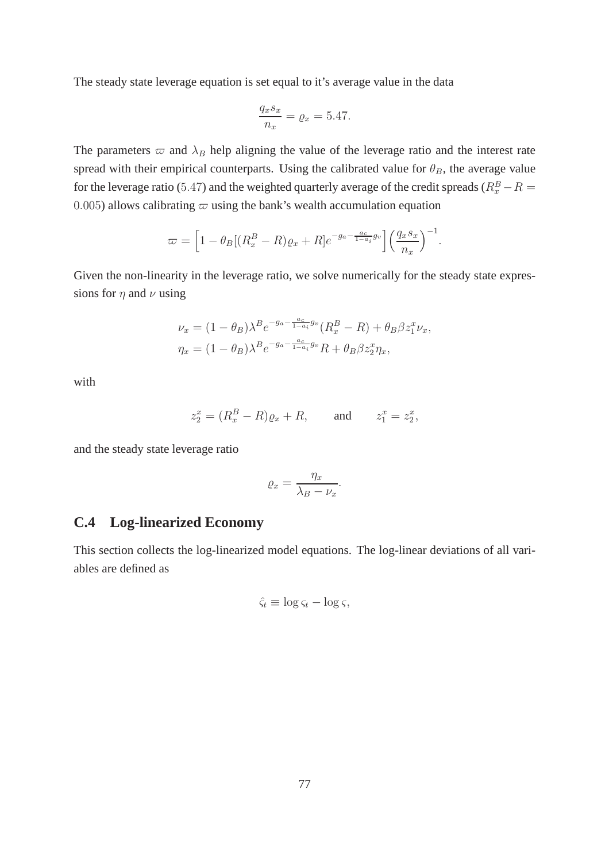The steady state leverage equation is set equal to it's average value in the data

$$
\frac{q_x s_x}{n_x} = \varrho_x = 5.47.
$$

The parameters  $\varpi$  and  $\lambda_B$  help aligning the value of the leverage ratio and the interest rate spread with their empirical counterparts. Using the calibrated value for  $\theta_B$ , the average value for the leverage ratio (5.47) and the weighted quarterly average of the credit spreads ( $R_x^B - R =$ 0.005) allows calibrating  $\varpi$  using the bank's wealth accumulation equation

$$
\varpi = \left[1 - \theta_B[(R_x^B - R)\varrho_x + R]e^{-g_a - \frac{a_c}{1 - a_i}g_v}\right] \left(\frac{q_x s_x}{n_x}\right)^{-1}.
$$

Given the non-linearity in the leverage ratio, we solve numerically for the steady state expressions for  $\eta$  and  $\nu$  using

$$
\nu_x = (1 - \theta_B)\lambda^B e^{-g_a - \frac{a_c}{1 - a_i}g_v}(R_x^B - R) + \theta_B \beta z_1^x \nu_x,
$$
  

$$
\eta_x = (1 - \theta_B)\lambda^B e^{-g_a - \frac{a_c}{1 - a_i}g_v}R + \theta_B \beta z_2^x \eta_x,
$$

with

$$
z_2^x = (R_x^B - R)\varrho_x + R, \quad \text{and} \quad z_1^x = z_2^x,
$$

and the steady state leverage ratio

$$
\varrho_x = \frac{\eta_x}{\lambda_B - \nu_x}.
$$

## **C.4 Log-linearized Economy**

This section collects the log-linearized model equations. The log-linear deviations of all variables are defined as

$$
\hat{\varsigma}_t \equiv \log \varsigma_t - \log \varsigma,
$$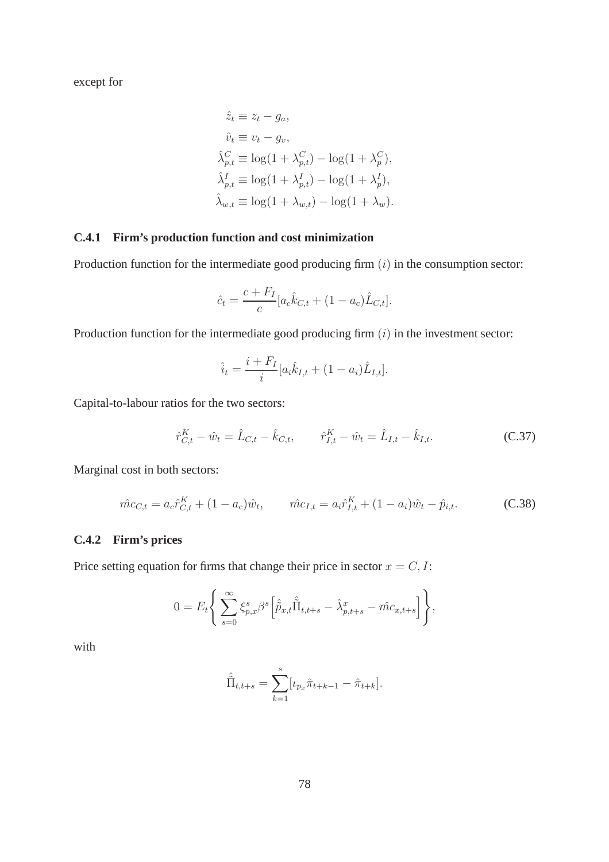except for

$$
\hat{z}_t \equiv z_t - g_a,
$$
  
\n
$$
\hat{v}_t \equiv v_t - g_v,
$$
  
\n
$$
\hat{\lambda}_{p,t}^C \equiv \log(1 + \lambda_{p,t}^C) - \log(1 + \lambda_p^C),
$$
  
\n
$$
\hat{\lambda}_{p,t}^I \equiv \log(1 + \lambda_{p,t}^I) - \log(1 + \lambda_p^I),
$$
  
\n
$$
\hat{\lambda}_{w,t} \equiv \log(1 + \lambda_{w,t}) - \log(1 + \lambda_w).
$$

#### **C.4.1 Firm's production function and cost minimization**

Production function for the intermediate good producing firm  $(i)$  in the consumption sector:

$$
\hat{c}_t = \frac{c + F_I}{c} [a_c \hat{k}_{C,t} + (1 - a_c) \hat{L}_{C,t}].
$$

Production function for the intermediate good producing firm  $(i)$  in the investment sector:

<span id="page-79-0"></span>
$$
\hat{i}_t = \frac{i + F_I}{i} [a_i \hat{k}_{I,t} + (1 - a_i) \hat{L}_{I,t}].
$$

Capital-to-labour ratios for the two sectors:

$$
\hat{r}_{C,t}^K - \hat{w}_t = \hat{L}_{C,t} - \hat{k}_{C,t}, \qquad \hat{r}_{I,t}^K - \hat{w}_t = \hat{L}_{I,t} - \hat{k}_{I,t}.
$$
 (C.37)

Marginal cost in both sectors:

$$
\hat{mc}_{C,t} = a_c \hat{r}_{C,t}^K + (1 - a_c) \hat{w}_t, \qquad \hat{mc}_{I,t} = a_i \hat{r}_{I,t}^K + (1 - a_i) \hat{w}_t - \hat{p}_{i,t}.
$$
 (C.38)

### **C.4.2 Firm's prices**

Price setting equation for firms that change their price in sector  $x = C, I$ :

$$
0 = E_t \Bigg\{ \sum_{s=0}^{\infty} \xi_{p,x}^s \beta^s \Big[ \hat{\tilde{p}}_{x,t} \hat{\tilde{\Pi}}_{t,t+s} - \hat{\lambda}_{p,t+s}^x - \hat{mc}_{x,t+s} \Big] \Bigg\},
$$

with

$$
\hat{\tilde{\Pi}}_{t,t+s} = \sum_{k=1}^{s} [\iota_{p_x} \hat{\pi}_{t+k-1} - \hat{\pi}_{t+k}].
$$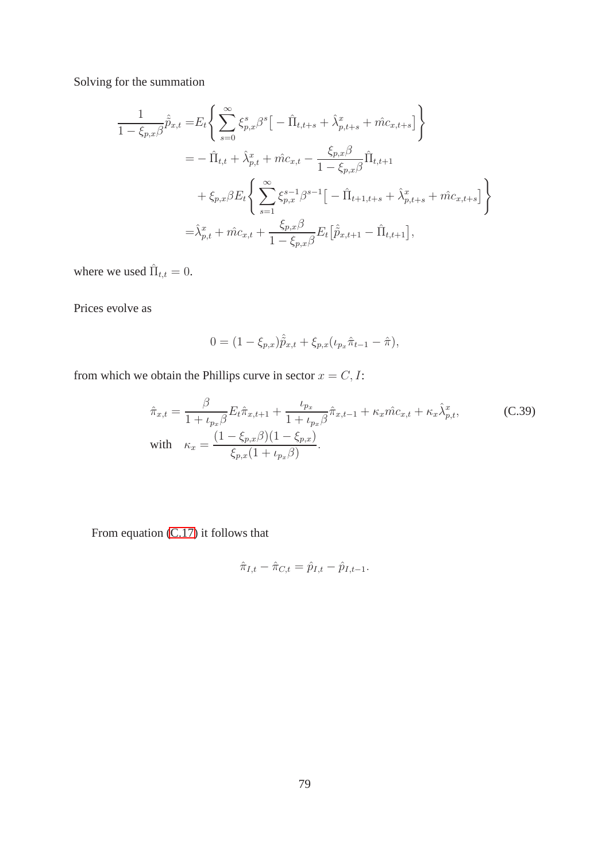Solving for the summation

$$
\frac{1}{1 - \xi_{p,x}\beta}\hat{\tilde{p}}_{x,t} = E_t \Bigg\{ \sum_{s=0}^{\infty} \xi_{p,x}^s \beta^s \Big[ -\hat{\Pi}_{t,t+s} + \hat{\lambda}_{p,t+s}^x + \hat{m}c_{x,t+s} \Big] \Bigg\}\n= -\hat{\Pi}_{t,t} + \hat{\lambda}_{p,t}^x + \hat{m}c_{x,t} - \frac{\xi_{p,x}\beta}{1 - \xi_{p,x}\beta} \hat{\Pi}_{t,t+1} \n+ \xi_{p,x}\beta E_t \Bigg\{ \sum_{s=1}^{\infty} \xi_{p,x}^{s-1} \beta^{s-1} \Big[ -\hat{\Pi}_{t+1,t+s} + \hat{\lambda}_{p,t+s}^x + \hat{m}c_{x,t+s} \Big] \Bigg\}\n= \hat{\lambda}_{p,t}^x + \hat{m}c_{x,t} + \frac{\xi_{p,x}\beta}{1 - \xi_{p,x}\beta} E_t \big[ \hat{\tilde{p}}_{x,t+1} - \hat{\Pi}_{t,t+1} \big],
$$

where we used  $\hat{\Pi}_{t,t} = 0$ .

Prices evolve as

$$
0 = (1 - \xi_{p,x})\hat{\tilde{p}}_{x,t} + \xi_{p,x}(\iota_{p_x}\hat{\pi}_{t-1} - \hat{\pi}),
$$

from which we obtain the Phillips curve in sector  $x = C, I$ :

$$
\hat{\pi}_{x,t} = \frac{\beta}{1 + \iota_{p_x} \beta} E_t \hat{\pi}_{x,t+1} + \frac{\iota_{p_x}}{1 + \iota_{p_x} \beta} \hat{\pi}_{x,t-1} + \kappa_x \hat{m} c_{x,t} + \kappa_x \hat{\lambda}_{p,t}^x,
$$
\n(C.39)  
\nwith 
$$
\kappa_x = \frac{(1 - \xi_{p,x} \beta)(1 - \xi_{p,x})}{\xi_{p,x} (1 + \iota_{p_x} \beta)}.
$$

From equation [\(C.17\)](#page-69-2) it follows that

$$
\hat{\pi}_{I,t} - \hat{\pi}_{C,t} = \hat{p}_{I,t} - \hat{p}_{I,t-1}.
$$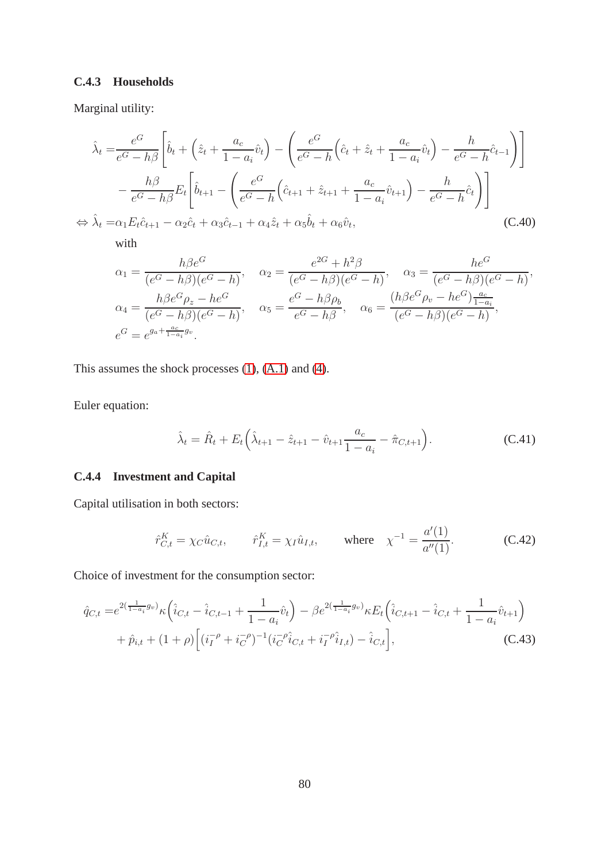#### **C.4.3 Households**

Marginal utility:

$$
\hat{\lambda}_{t} = \frac{e^{G}}{e^{G} - h\beta} \left[ \hat{b}_{t} + \left( \hat{z}_{t} + \frac{a_{c}}{1 - a_{i}} \hat{v}_{t} \right) - \left( \frac{e^{G}}{e^{G} - h} \left( \hat{c}_{t} + \hat{z}_{t} + \frac{a_{c}}{1 - a_{i}} \hat{v}_{t} \right) - \frac{h}{e^{G} - h} \hat{c}_{t-1} \right) \right]
$$
\n
$$
- \frac{h\beta}{e^{G} - h\beta} E_{t} \left[ \hat{b}_{t+1} - \left( \frac{e^{G}}{e^{G} - h} \left( \hat{c}_{t+1} + \hat{z}_{t+1} + \frac{a_{c}}{1 - a_{i}} \hat{v}_{t+1} \right) - \frac{h}{e^{G} - h} \hat{c}_{t} \right) \right]
$$
\n
$$
\Leftrightarrow \hat{\lambda}_{t} = \alpha_{1} E_{t} \hat{c}_{t+1} - \alpha_{2} \hat{c}_{t} + \alpha_{3} \hat{c}_{t-1} + \alpha_{4} \hat{z}_{t} + \alpha_{5} \hat{b}_{t} + \alpha_{6} \hat{v}_{t}, \qquad (C.40)
$$

with

$$
\alpha_1 = \frac{h\beta e^G}{(e^G - h\beta)(e^G - h)}, \quad \alpha_2 = \frac{e^{2G} + h^2\beta}{(e^G - h\beta)(e^G - h)}, \quad \alpha_3 = \frac{he^G}{(e^G - h\beta)(e^G - h)},
$$
  
\n
$$
\alpha_4 = \frac{h\beta e^G \rho_z - he^G}{(e^G - h\beta)(e^G - h)}, \quad \alpha_5 = \frac{e^G - h\beta \rho_b}{e^G - h\beta}, \quad \alpha_6 = \frac{(h\beta e^G \rho_v - he^G)\frac{a_c}{1 - a_i}}{(e^G - h\beta)(e^G - h)},
$$
  
\n
$$
e^G = e^{g_a + \frac{a_c}{1 - a_i}g_v}.
$$

This assumes the shock processes [\(1\)](#page-9-0), [\(A.1\)](#page-46-0) and [\(4\)](#page-11-0).

Euler equation:

$$
\hat{\lambda}_t = \hat{R}_t + E_t \left( \hat{\lambda}_{t+1} - \hat{z}_{t+1} - \hat{v}_{t+1} \frac{a_c}{1 - a_i} - \hat{\pi}_{C, t+1} \right).
$$
 (C.41)

### **C.4.4 Investment and Capital**

Capital utilisation in both sectors:

$$
\hat{r}_{C,t}^K = \chi_C \hat{u}_{C,t}, \qquad \hat{r}_{I,t}^K = \chi_I \hat{u}_{I,t}, \qquad \text{where} \quad \chi^{-1} = \frac{a'(1)}{a''(1)}.
$$
 (C.42)

Choice of investment for the consumption sector:

$$
\hat{q}_{C,t} = e^{2(\frac{1}{1-a_i}g_v)} \kappa \left( \hat{i}_{C,t} - \hat{i}_{C,t-1} + \frac{1}{1-a_i} \hat{v}_t \right) - \beta e^{2(\frac{1}{1-a_i}g_v)} \kappa E_t \left( \hat{i}_{C,t+1} - \hat{i}_{C,t} + \frac{1}{1-a_i} \hat{v}_{t+1} \right) + \hat{p}_{i,t} + (1+\rho) \left[ (i_I^{-\rho} + i_C^{-\rho})^{-1} (i_C^{-\rho} \hat{i}_{C,t} + i_I^{-\rho} \hat{i}_{I,t}) - \hat{i}_{C,t} \right],
$$
(C.43)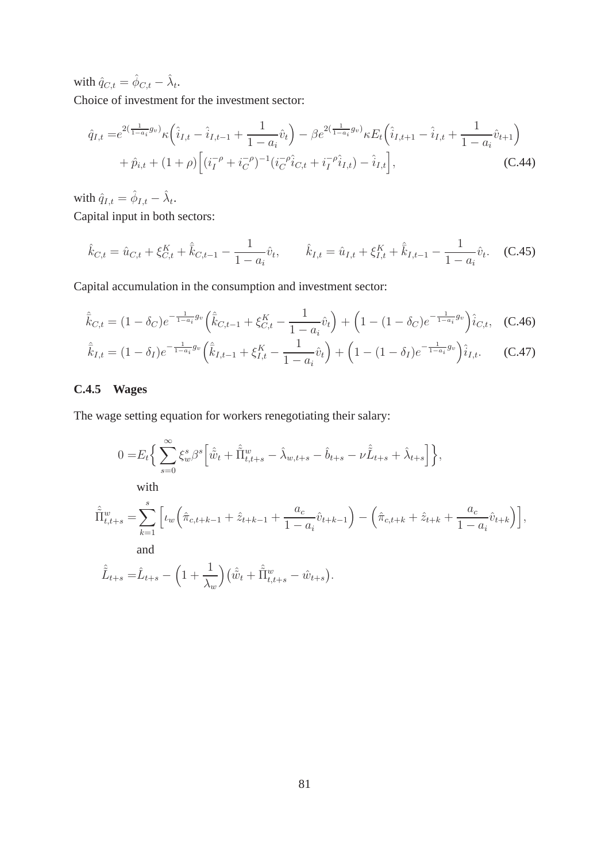with  $\hat{q}_{C,t} = \hat{\phi}_{C,t} - \hat{\lambda}_t$ .

Choice of investment for the investment sector:

$$
\hat{q}_{I,t} = e^{2(\frac{1}{1-a_i}g_v)} \kappa \left( \hat{i}_{I,t} - \hat{i}_{I,t-1} + \frac{1}{1-a_i} \hat{v}_t \right) - \beta e^{2(\frac{1}{1-a_i}g_v)} \kappa E_t \left( \hat{i}_{I,t+1} - \hat{i}_{I,t} + \frac{1}{1-a_i} \hat{v}_{t+1} \right) + \hat{p}_{i,t} + (1+\rho) \left[ (i_I^{-\rho} + i_C^{-\rho})^{-1} (i_C^{-\rho} \hat{i}_{C,t} + i_I^{-\rho} \hat{i}_{I,t}) - \hat{i}_{I,t} \right],
$$
(C.44)

with  $\hat{q}_{I,t} = \hat{\phi}_{I,t} - \hat{\lambda}_t$ .

Capital input in both sectors:

$$
\hat{k}_{C,t} = \hat{u}_{C,t} + \xi_{C,t}^K + \hat{\bar{k}}_{C,t-1} - \frac{1}{1 - a_i} \hat{v}_t, \qquad \hat{k}_{I,t} = \hat{u}_{I,t} + \xi_{I,t}^K + \hat{\bar{k}}_{I,t-1} - \frac{1}{1 - a_i} \hat{v}_t.
$$
 (C.45)

Capital accumulation in the consumption and investment sector:

$$
\hat{\overline{k}}_{C,t} = (1 - \delta_C)e^{-\frac{1}{1 - a_i}g_v} \left( \hat{\overline{k}}_{C,t-1} + \xi_{C,t}^K - \frac{1}{1 - a_i} \hat{v}_t \right) + \left( 1 - (1 - \delta_C)e^{-\frac{1}{1 - a_i}g_v} \right) \hat{i}_{C,t}, \quad (C.46)
$$

<span id="page-82-0"></span>
$$
\hat{\overline{k}}_{I,t} = (1 - \delta_I)e^{-\frac{1}{1 - a_i}g_v} \left(\hat{\overline{k}}_{I,t-1} + \xi_{I,t}^K - \frac{1}{1 - a_i}\hat{v}_t\right) + \left(1 - (1 - \delta_I)e^{-\frac{1}{1 - a_i}g_v}\right)\hat{i}_{I,t}.
$$
 (C.47)

# **C.4.5 Wages**

The wage setting equation for workers renegotiating their salary:

$$
0 = E_t \Big\{ \sum_{s=0}^{\infty} \xi_w^s \beta^s \Big[ \hat{\tilde{w}}_t + \hat{\tilde{\Pi}}_{t,t+s}^w - \hat{\lambda}_{w,t+s} - \hat{b}_{t+s} - \nu \hat{\tilde{L}}_{t+s} + \hat{\lambda}_{t+s} \Big] \Big\},
$$
  
\nwith  
\n
$$
\hat{\Pi}_{t,t+s}^w = \sum_{k=1}^s \Big[ \iota_w \Big( \hat{\pi}_{c,t+k-1} + \hat{z}_{t+k-1} + \frac{a_c}{1 - a_i} \hat{v}_{t+k-1} \Big) - \Big( \hat{\pi}_{c,t+k} + \hat{z}_{t+k} + \frac{a_c}{1 - a_i} \hat{v}_{t+k} \Big) \Big],
$$
  
\nand  
\n
$$
\hat{\tilde{L}}_{t+s} = \hat{L}_{t+s} - \Big( 1 + \frac{1}{\lambda_w} \Big) \Big( \hat{\tilde{w}}_t + \hat{\tilde{\Pi}}_{t,t+s}^w - \hat{w}_{t+s} \Big).
$$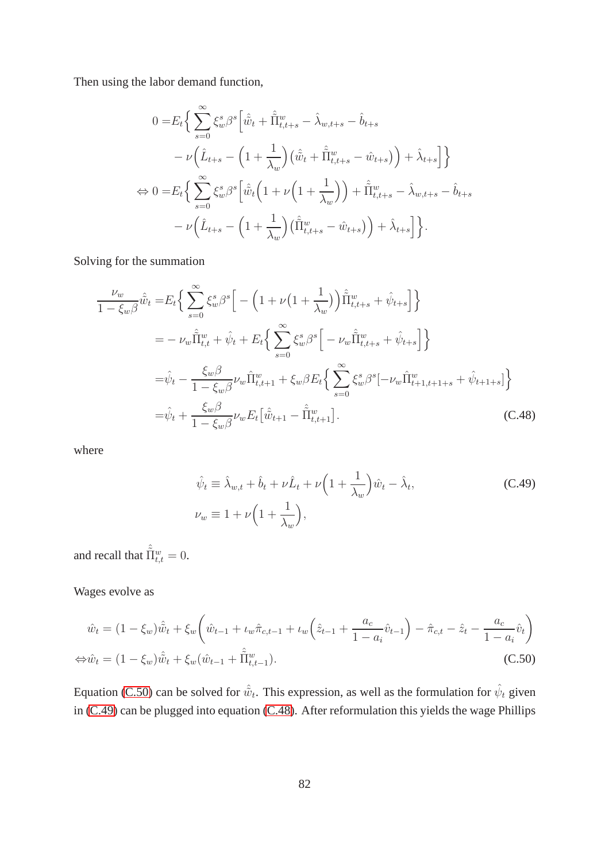Then using the labor demand function,

$$
0 = E_t \Bigg\{ \sum_{s=0}^{\infty} \xi_w^s \beta^s \Big[ \hat{\tilde{w}}_t + \hat{\tilde{\Pi}}_{t,t+s}^w - \hat{\lambda}_{w,t+s} - \hat{b}_{t+s} - \nu \Big( \hat{L}_{t+s} - \Big( 1 + \frac{1}{\lambda_w} \Big) \Big( \hat{\tilde{w}}_t + \hat{\tilde{\Pi}}_{t,t+s}^w - \hat{w}_{t+s} \Big) \Big) + \hat{\lambda}_{t+s} \Big] \Bigg\}
$$
  
\n
$$
\Leftrightarrow 0 = E_t \Big\{ \sum_{s=0}^{\infty} \xi_w^s \beta^s \Big[ \hat{\tilde{w}}_t \Big( 1 + \nu \Big( 1 + \frac{1}{\lambda_w} \Big) \Big) + \hat{\tilde{\Pi}}_{t,t+s}^w - \hat{\lambda}_{w,t+s} - \hat{b}_{t+s} - \nu \Big( \hat{L}_{t+s} - \Big( 1 + \frac{1}{\lambda_w} \Big) \Big( \hat{\tilde{\Pi}}_{t,t+s}^w - \hat{w}_{t+s} \Big) \Big) + \hat{\lambda}_{t+s} \Big] \Bigg\}.
$$

Solving for the summation

$$
\frac{\nu_{w}}{1 - \xi_{w}\beta}\hat{\tilde{w}}_{t} = E_{t}\Big\{\sum_{s=0}^{\infty}\xi_{w}^{s}\beta^{s}\Big[-\Big(1 + \nu\Big(1 + \frac{1}{\lambda_{w}}\Big)\Big)\hat{\tilde{\Pi}}_{t,t+s}^{w} + \hat{\psi}_{t+s}\Big]\Big\}
$$
\n
$$
= -\nu_{w}\hat{\tilde{\Pi}}_{t,t}^{w} + \hat{\psi}_{t} + E_{t}\Big\{\sum_{s=0}^{\infty}\xi_{w}^{s}\beta^{s}\Big[-\nu_{w}\hat{\tilde{\Pi}}_{t,t+s}^{w} + \hat{\psi}_{t+s}\Big]\Big\}
$$
\n
$$
= \hat{\psi}_{t} - \frac{\xi_{w}\beta}{1 - \xi_{w}\beta}\nu_{w}\hat{\Pi}_{t,t+1}^{w} + \xi_{w}\beta E_{t}\Big\{\sum_{s=0}^{\infty}\xi_{w}^{s}\beta^{s}\Big[-\nu_{w}\hat{\Pi}_{t+1,t+1+s}^{w} + \hat{\psi}_{t+1+s}\Big]\Big\}
$$
\n
$$
= \hat{\psi}_{t} + \frac{\xi_{w}\beta}{1 - \xi_{w}\beta}\nu_{w}E_{t}\Big[\hat{\tilde{w}}_{t+1} - \hat{\Pi}_{t,t+1}^{w}\Big].
$$
\n(C.48)

where

<span id="page-83-2"></span><span id="page-83-1"></span><span id="page-83-0"></span>
$$
\hat{\psi}_t \equiv \hat{\lambda}_{w,t} + \hat{b}_t + \nu \hat{L}_t + \nu \left( 1 + \frac{1}{\lambda_w} \right) \hat{w}_t - \hat{\lambda}_t,
$$
\n(C.49)\n
$$
\nu_w \equiv 1 + \nu \left( 1 + \frac{1}{\lambda_w} \right),
$$

and recall that  $\hat{\tilde{\Pi}}_{t,t}^w = 0$ .

Wages evolve as

$$
\hat{w}_t = (1 - \xi_w)\hat{\tilde{w}}_t + \xi_w \left(\hat{w}_{t-1} + \iota_w \hat{\pi}_{c,t-1} + \iota_w \left(\hat{z}_{t-1} + \frac{a_c}{1 - a_i} \hat{v}_{t-1}\right) - \hat{\pi}_{c,t} - \hat{z}_t - \frac{a_c}{1 - a_i} \hat{v}_t\right)
$$
  
\n
$$
\Leftrightarrow \hat{w}_t = (1 - \xi_w)\hat{\tilde{w}}_t + \xi_w(\hat{w}_{t-1} + \hat{\Pi}^w_{t,t-1}).
$$
\n(C.50)

Equation [\(C.50\)](#page-83-0) can be solved for  $\hat{\tilde{w}}_t$ . This expression, as well as the formulation for  $\hat{\psi}_t$  given in [\(C.49\)](#page-83-1) can be plugged into equation [\(C.48\)](#page-83-2). After reformulation this yields the wage Phillips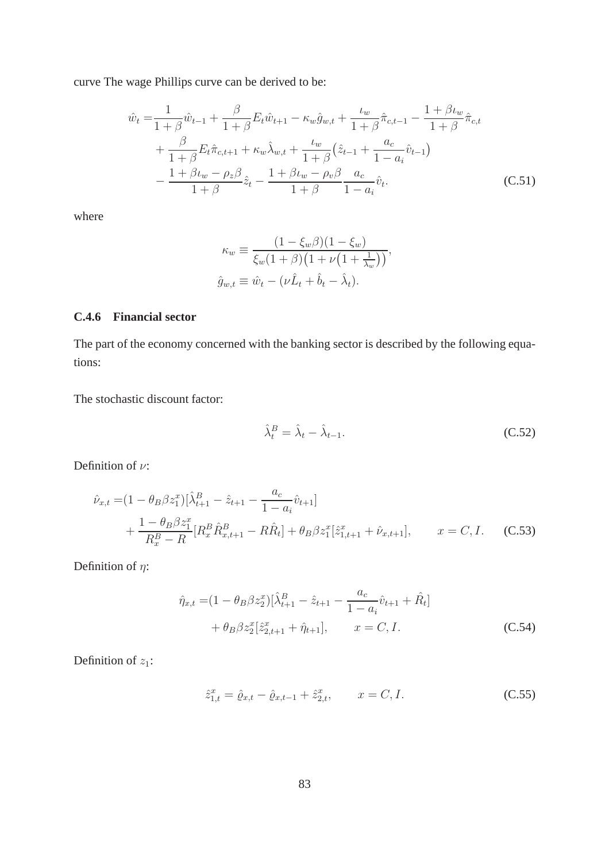curve The wage Phillips curve can be derived to be:

$$
\hat{w}_t = \frac{1}{1+\beta}\hat{w}_{t-1} + \frac{\beta}{1+\beta}E_t\hat{w}_{t+1} - \kappa_w\hat{g}_{w,t} + \frac{\iota_w}{1+\beta}\hat{\pi}_{c,t-1} - \frac{1+\beta\iota_w}{1+\beta}\hat{\pi}_{c,t} \n+ \frac{\beta}{1+\beta}E_t\hat{\pi}_{c,t+1} + \kappa_w\hat{\lambda}_{w,t} + \frac{\iota_w}{1+\beta}\left(\hat{z}_{t-1} + \frac{a_c}{1-a_i}\hat{v}_{t-1}\right) \n- \frac{1+\beta\iota_w - \rho_z\beta}{1+\beta}\hat{z}_t - \frac{1+\beta\iota_w - \rho_v\beta}{1+\beta}\frac{a_c}{1-a_i}\hat{v}_t.
$$
\n(C.51)

where

<span id="page-84-0"></span>
$$
\kappa_w \equiv \frac{(1 - \xi_w \beta)(1 - \xi_w)}{\xi_w (1 + \beta)(1 + \nu (1 + \frac{1}{\lambda_w}))},
$$
  

$$
\hat{g}_{w,t} \equiv \hat{w}_t - (\nu \hat{L}_t + \hat{b}_t - \hat{\lambda}_t).
$$

#### **C.4.6 Financial sector**

The part of the economy concerned with the banking sector is described by the following equations:

The stochastic discount factor:

$$
\hat{\lambda}_t^B = \hat{\lambda}_t - \hat{\lambda}_{t-1}.
$$
\n(C.52)

Definition of  $\nu$ :

$$
\hat{\nu}_{x,t} = (1 - \theta_B \beta z_1^x) [\hat{\lambda}_{t+1}^B - \hat{z}_{t+1} - \frac{a_c}{1 - a_i} \hat{v}_{t+1}] \n+ \frac{1 - \theta_B \beta z_1^x}{R_x^B - R} [R_x^B \hat{R}_{x,t+1}^B - R \hat{R}_t] + \theta_B \beta z_1^x [\hat{z}_{1,t+1}^x + \hat{\nu}_{x,t+1}], \qquad x = C, I.
$$
\n(C.53)

Definition of  $\eta$ :

$$
\hat{\eta}_{x,t} = (1 - \theta_B \beta z_2^x) [\hat{\lambda}_{t+1}^B - \hat{z}_{t+1} - \frac{a_c}{1 - a_i} \hat{v}_{t+1} + \hat{R}_t] + \theta_B \beta z_2^x [\hat{z}_{2,t+1}^x + \hat{\eta}_{t+1}], \qquad x = C, I.
$$
\n(C.54)

Definition of  $z_1$ :

$$
\hat{z}_{1,t}^x = \hat{\varrho}_{x,t} - \hat{\varrho}_{x,t-1} + \hat{z}_{2,t}^x, \qquad x = C, I.
$$
\n(C.55)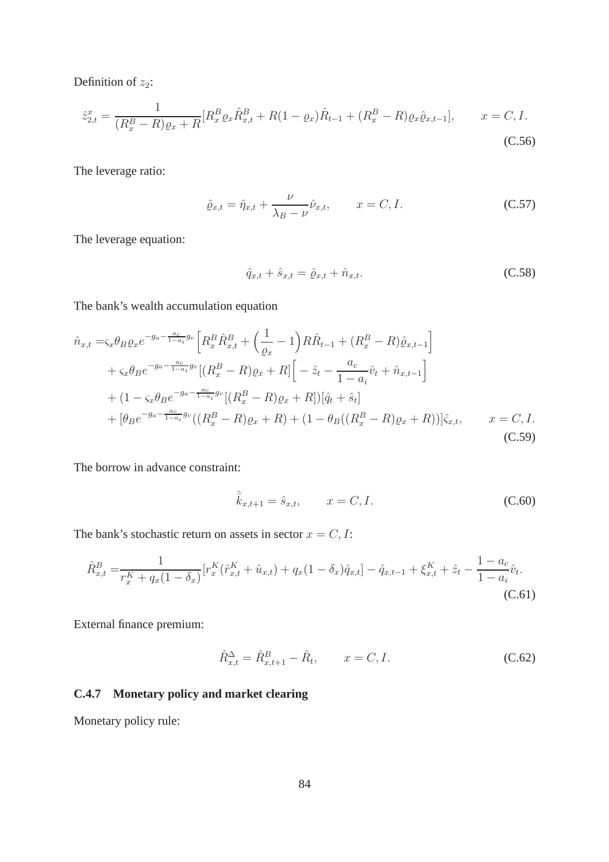Definition of  $z_2$ :

$$
\hat{z}_{2,t}^x = \frac{1}{(R_x^B - R)\varrho_x + R} [R_x^B \varrho_x \hat{R}_{x,t}^B + R(1 - \varrho_x) \hat{R}_{t-1} + (R_x^B - R)\varrho_x \hat{\varrho}_{x,t-1}], \qquad x = C, I.
$$
\n(C.56)

The leverage ratio:

$$
\hat{\varrho}_{x,t} = \hat{\eta}_{x,t} + \frac{\nu}{\lambda_B - \nu} \hat{\nu}_{x,t}, \qquad x = C, I. \tag{C.57}
$$

The leverage equation:

$$
\hat{q}_{x,t} + \hat{s}_{x,t} = \hat{\varrho}_{x,t} + \hat{n}_{x,t}.
$$
\n(C.58)

The bank's wealth accumulation equation

$$
\hat{n}_{x,t} = \varsigma_x \theta_B \varrho_x e^{-g_a - \frac{a_c}{1 - a_i} g_v} \left[ R_x^B \hat{R}_{x,t}^B + \left( \frac{1}{\varrho_x} - 1 \right) R \hat{R}_{t-1} + (R_x^B - R) \hat{\varrho}_{x,t-1} \right] \n+ \varsigma_x \theta_B e^{-g_a - \frac{a_c}{1 - a_i} g_v} \left[ (R_x^B - R) \varrho_x + R \right] \left[ -\hat{z}_t - \frac{a_c}{1 - a_i} \hat{v}_t + \hat{n}_{x,t-1} \right] \n+ (1 - \varsigma_x \theta_B e^{-g_a - \frac{a_c}{1 - a_i} g_v} \left[ (R_x^B - R) \varrho_x + R \right] \left[ \hat{q}_t + \hat{s}_t \right] \n+ \left[ \theta_B e^{-g_a - \frac{a_c}{1 - a_i} g_v} \left( (R_x^B - R) \varrho_x + R \right) + (1 - \theta_B \left( (R_x^B - R) \varrho_x + R \right) \right] \hat{\varsigma}_{x,t}, \qquad x = C, I.
$$
\n(C.59)

The borrow in advance constraint:

$$
\hat{\bar{k}}_{x,t+1} = \hat{s}_{x,t}, \qquad x = C, I.
$$
\n(C.60)

The bank's stochastic return on assets in sector  $x = C, I$ :

$$
\hat{R}_{x,t}^B = \frac{1}{r_x^K + q_x(1 - \delta_x)} [r_x^K(\hat{r}_{x,t}^K + \hat{u}_{x,t}) + q_x(1 - \delta_x)\hat{q}_{x,t}] - \hat{q}_{x,t-1} + \xi_{x,t}^K + \hat{z}_t - \frac{1 - a_c}{1 - a_i}\hat{v}_t.
$$
\n(C.61)

External finance premium:

$$
\hat{R}_{x,t}^{\Delta} = \hat{R}_{x,t+1}^{B} - \hat{R}_{t}, \qquad x = C, I.
$$
\n(C.62)

# **C.4.7 Monetary policy and market clearing**

Monetary policy rule: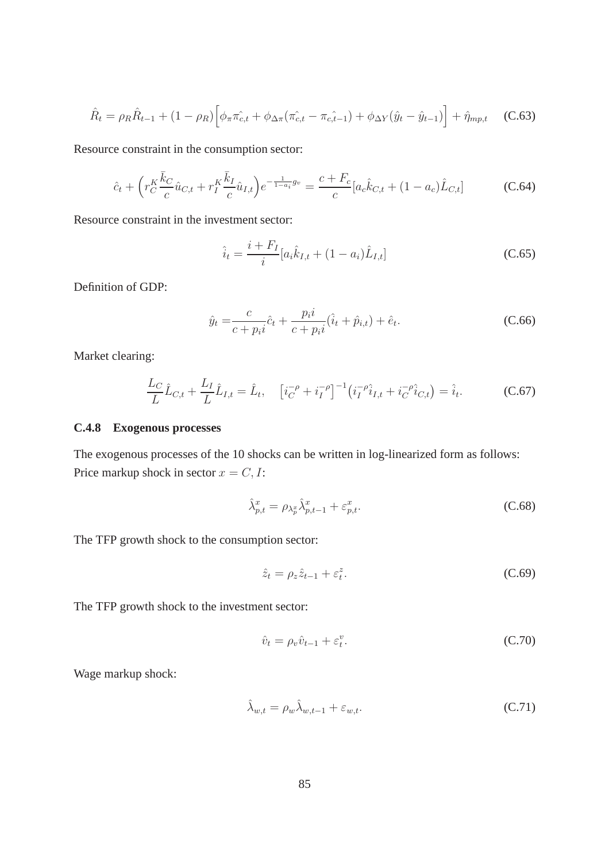$$
\hat{R}_t = \rho_R \hat{R}_{t-1} + (1 - \rho_R) \left[ \phi_\pi \hat{\pi_{c,t}} + \phi_{\Delta \pi} (\hat{\pi_{c,t}} - \hat{\pi_{c,t-1}}) + \phi_{\Delta Y} (\hat{y}_t - \hat{y}_{t-1}) \right] + \hat{\eta}_{mp,t} \quad (C.63)
$$

Resource constraint in the consumption sector:

$$
\hat{c}_t + \left(r_C^K \frac{\bar{k}_C}{c} \hat{u}_{C,t} + r_I^K \frac{\bar{k}_I}{c} \hat{u}_{I,t}\right) e^{-\frac{1}{1-a_i}g_v} = \frac{c + F_c}{c} [a_c \hat{k}_{C,t} + (1 - a_c) \hat{L}_{C,t}]
$$
\n(C.64)

Resource constraint in the investment sector:

$$
\hat{i}_t = \frac{i + F_I}{i} [a_i \hat{k}_{I,t} + (1 - a_i) \hat{L}_{I,t}]
$$
\n(C.65)

Definition of GDP:

$$
\hat{y}_t = \frac{c}{c + p_i i} \hat{c}_t + \frac{p_i i}{c + p_i i} (\hat{i}_t + \hat{p}_{i,t}) + \hat{e}_t.
$$
\n(C.66)

Market clearing:

$$
\frac{L_C}{L}\hat{L}_{C,t} + \frac{L_I}{L}\hat{L}_{I,t} = \hat{L}_t, \quad \left[i_C^{-\rho} + i_I^{-\rho}\right]^{-1} \left(i_I^{-\rho}\hat{i}_{I,t} + i_C^{-\rho}\hat{i}_{C,t}\right) = \hat{i}_t.
$$
\n(C.67)

#### **C.4.8 Exogenous processes**

The exogenous processes of the 10 shocks can be written in log-linearized form as follows: Price markup shock in sector  $x = C, I$ :

<span id="page-86-0"></span>
$$
\hat{\lambda}_{p,t}^x = \rho_{\lambda_p^x} \hat{\lambda}_{p,t-1}^x + \varepsilon_{p,t}^x.
$$
\n(C.68)

The TFP growth shock to the consumption sector:

<span id="page-86-1"></span>
$$
\hat{z}_t = \rho_z \hat{z}_{t-1} + \varepsilon_t^z. \tag{C.69}
$$

The TFP growth shock to the investment sector:

$$
\hat{v}_t = \rho_v \hat{v}_{t-1} + \varepsilon_t^v. \tag{C.70}
$$

Wage markup shock:

$$
\hat{\lambda}_{w,t} = \rho_w \hat{\lambda}_{w,t-1} + \varepsilon_{w,t}.
$$
\n(C.71)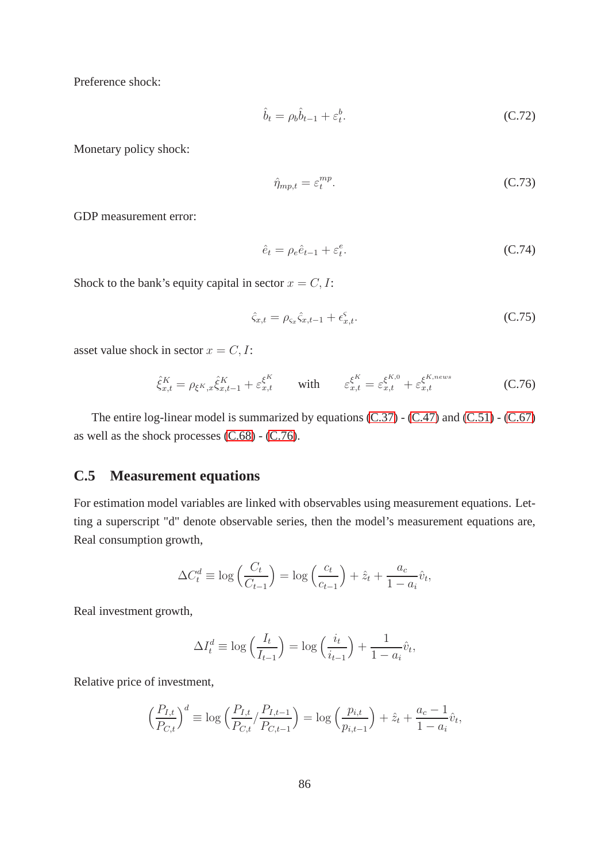Preference shock:

$$
\hat{b}_t = \rho_b \hat{b}_{t-1} + \varepsilon_t^b. \tag{C.72}
$$

Monetary policy shock:

$$
\hat{\eta}_{mp,t} = \varepsilon_t^{mp}.\tag{C.73}
$$

GDP measurement error:

$$
\hat{e}_t = \rho_e \hat{e}_{t-1} + \varepsilon_t^e. \tag{C.74}
$$

Shock to the bank's equity capital in sector  $x = C, I$ :

<span id="page-87-0"></span>
$$
\hat{\zeta}_{x,t} = \rho_{\zeta_x}\hat{\zeta}_{x,t-1} + \epsilon_{x,t}^{\zeta}.
$$
\n(C.75)

asset value shock in sector  $x = C, I$ :

$$
\hat{\xi}_{x,t}^K = \rho_{\xi^K, x} \hat{\xi}_{x,t-1}^K + \varepsilon_{x,t}^{\xi^K} \qquad \text{with} \qquad \varepsilon_{x,t}^{\xi^K} = \varepsilon_{x,t}^{\xi^{K,0}} + \varepsilon_{x,t}^{\xi^{K,news}} \tag{C.76}
$$

The entire log-linear model is summarized by equations [\(C.37\)](#page-79-0) - [\(C.47\)](#page-82-0) and [\(C.51\)](#page-84-0) - [\(C.67\)](#page-86-0) as well as the shock processes [\(C.68\)](#page-86-1) - [\(C.76\)](#page-87-0).

### **C.5 Measurement equations**

For estimation model variables are linked with observables using measurement equations. Letting a superscript "d" denote observable series, then the model's measurement equations are, Real consumption growth,

$$
\Delta C_t^d \equiv \log\left(\frac{C_t}{C_{t-1}}\right) = \log\left(\frac{c_t}{c_{t-1}}\right) + \hat{z}_t + \frac{a_c}{1 - a_i}\hat{v}_t,
$$

Real investment growth,

$$
\Delta I_t^d \equiv \log\left(\frac{I_t}{I_{t-1}}\right) = \log\left(\frac{i_t}{i_{t-1}}\right) + \frac{1}{1 - a_i}\hat{v}_t,
$$

Relative price of investment,

$$
\left(\frac{P_{I,t}}{P_{C,t}}\right)^d \equiv \log\left(\frac{P_{I,t}}{P_{C,t}}/\frac{P_{I,t-1}}{P_{C,t-1}}\right) = \log\left(\frac{p_{i,t}}{p_{i,t-1}}\right) + \hat{z}_t + \frac{a_c - 1}{1 - a_i}\hat{v}_t,
$$